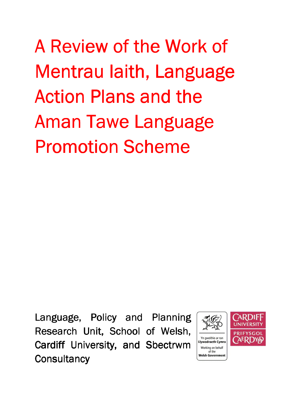A Review of the Work of Mentrau Iaith, Language Action Plans and the Aman Tawe Language Promotion Scheme

Language, Policy and Planning Research Unit, School of Welsh, Cardiff University, and Sbectrwm **Consultancy** 

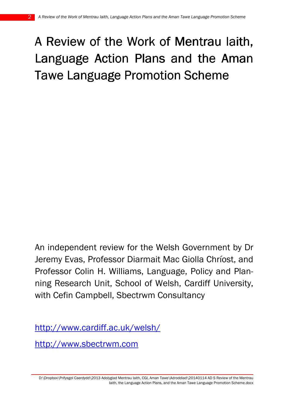# A Review of the Work of Mentrau laith, Language Action Plans and the Aman Tawe Language Promotion Scheme

An independent review for the Welsh Government by Dr Jeremy Evas, Professor Diarmait Mac Giolla Chríost, and Professor Colin H. Williams, Language, Policy and Planning Research Unit, School of Welsh, Cardiff University, with Cefin Campbell, Sbectrwm Consultancy

http://www.cardiff.ac.uk/welsh/

http://www.sbectrwm.com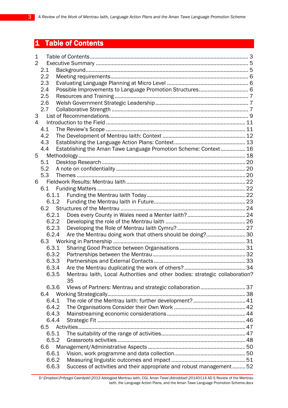## 1 Table of Contents

| 1              |       |  |                                                                             |  |  |
|----------------|-------|--|-----------------------------------------------------------------------------|--|--|
| $\overline{2}$ |       |  |                                                                             |  |  |
|                | 2.1   |  |                                                                             |  |  |
|                | 2.2   |  |                                                                             |  |  |
|                | 2.3   |  |                                                                             |  |  |
|                | 2.4   |  |                                                                             |  |  |
|                | 2.5   |  |                                                                             |  |  |
|                | 2.6   |  |                                                                             |  |  |
|                | 2.7   |  |                                                                             |  |  |
| 3              |       |  |                                                                             |  |  |
| 4              |       |  |                                                                             |  |  |
|                | 4.1   |  |                                                                             |  |  |
|                | 4.2   |  |                                                                             |  |  |
|                | 4.3   |  |                                                                             |  |  |
|                | 4.4   |  | Establishing the Aman Tawe Language Promotion Scheme: Context 16            |  |  |
| 5              |       |  |                                                                             |  |  |
|                | 5.1   |  |                                                                             |  |  |
|                | 5.2   |  |                                                                             |  |  |
|                |       |  |                                                                             |  |  |
|                | 5.3   |  |                                                                             |  |  |
| 6              |       |  |                                                                             |  |  |
|                | 6.1   |  |                                                                             |  |  |
|                | 6.1.1 |  |                                                                             |  |  |
|                | 6.1.2 |  |                                                                             |  |  |
|                | 6.2   |  |                                                                             |  |  |
|                | 6.2.1 |  |                                                                             |  |  |
|                | 6.2.2 |  |                                                                             |  |  |
|                | 6.2.3 |  |                                                                             |  |  |
|                | 6.2.4 |  | Are the Mentrau doing work that others should be doing?30                   |  |  |
|                |       |  |                                                                             |  |  |
|                | 6.3.1 |  |                                                                             |  |  |
|                | 6.3.2 |  |                                                                             |  |  |
|                | 6.3.3 |  |                                                                             |  |  |
|                | 6.3.4 |  |                                                                             |  |  |
|                | 6.3.5 |  | Mentrau laith, Local Authorities and other bodies: strategic collaboration? |  |  |
|                |       |  | 35                                                                          |  |  |
|                | 6.3.6 |  |                                                                             |  |  |
|                | 6.4   |  |                                                                             |  |  |
|                | 6.4.1 |  | The role of the Mentrau laith: further development? 41                      |  |  |
|                | 6.4.2 |  |                                                                             |  |  |
|                | 6.4.3 |  |                                                                             |  |  |
|                | 6.4.4 |  |                                                                             |  |  |
|                | 6.5   |  |                                                                             |  |  |
|                | 6.5.1 |  |                                                                             |  |  |
|                | 6.5.2 |  |                                                                             |  |  |
|                | 6.6   |  |                                                                             |  |  |
|                | 6.6.1 |  |                                                                             |  |  |
|                | 6.6.2 |  |                                                                             |  |  |
|                | 6.6.3 |  | Success of activities and their appropriate and robust management52         |  |  |
|                |       |  |                                                                             |  |  |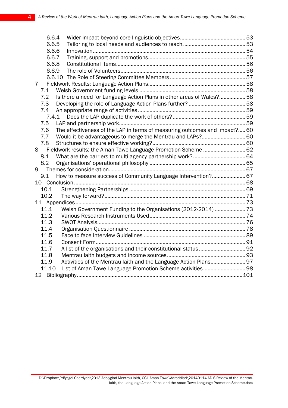| 6.6.4 |                                                                            |  |  |  |  |
|-------|----------------------------------------------------------------------------|--|--|--|--|
| 6.6.5 |                                                                            |  |  |  |  |
| 6.6.6 |                                                                            |  |  |  |  |
| 6.6.7 |                                                                            |  |  |  |  |
| 6.6.8 |                                                                            |  |  |  |  |
| 6.6.9 |                                                                            |  |  |  |  |
|       |                                                                            |  |  |  |  |
| 7     |                                                                            |  |  |  |  |
| 7.1   |                                                                            |  |  |  |  |
| 7.2   | Is there a need for Language Action Plans in other areas of Wales?58       |  |  |  |  |
| 7.3   |                                                                            |  |  |  |  |
| 7.4   |                                                                            |  |  |  |  |
| 7.4.1 |                                                                            |  |  |  |  |
| 7.5   |                                                                            |  |  |  |  |
| 7.6   | The effectiveness of the LAP in terms of measuring outcomes and impact? 60 |  |  |  |  |
| 7.7   |                                                                            |  |  |  |  |
| 7.8   |                                                                            |  |  |  |  |
| 8     | Fieldwork results: the Aman Tawe Language Promotion Scheme  62             |  |  |  |  |
| 8.1   |                                                                            |  |  |  |  |
| 8.2   |                                                                            |  |  |  |  |
| 9     |                                                                            |  |  |  |  |
| 9.1   | How to measure success of Community Language Intervention? 67              |  |  |  |  |
|       |                                                                            |  |  |  |  |
| 10.1  |                                                                            |  |  |  |  |
| 10.2  |                                                                            |  |  |  |  |
|       |                                                                            |  |  |  |  |
| 11.1  | Welsh Government Funding to the Organisations (2012-2014)  73              |  |  |  |  |
| 11.2  |                                                                            |  |  |  |  |
| 11.3  |                                                                            |  |  |  |  |
| 11.4  |                                                                            |  |  |  |  |
| 11.5  |                                                                            |  |  |  |  |
| 11.6  |                                                                            |  |  |  |  |
| 11.7  | A list of the organisations and their constitutional status 92             |  |  |  |  |
| 11.8  |                                                                            |  |  |  |  |
| 11.9  | Activities of the Mentrau laith and the Language Action Plans 97           |  |  |  |  |
| 11.10 |                                                                            |  |  |  |  |
|       |                                                                            |  |  |  |  |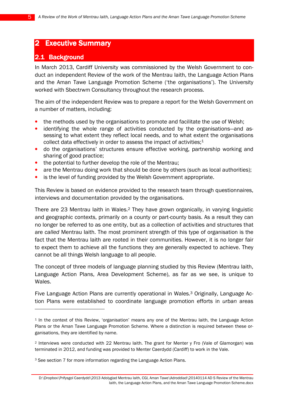## **2 Executive Summary**

## 2.1 Background

 $\overline{a}$ 

In March 2013, Cardiff University was commissioned by the Welsh Government to conduct an independent Review of the work of the Mentrau Iaith, the Language Action Plans and the Aman Tawe Language Promotion Scheme ('the organisations'). The University worked with Sbectrwm Consultancy throughout the research process.

The aim of the independent Review was to prepare a report for the Welsh Government on a number of matters, including:

- the methods used by the organisations to promote and facilitate the use of Welsh:
- identifying the whole range of activities conducted by the organisations—and assessing to what extent they reflect local needs, and to what extent the organisations collect data effectively in order to assess the impact of activities;<sup>1</sup>
- do the organisations' structures ensure effective working, partnership working and sharing of good practice;
- the potential to further develop the role of the Mentrau:
- are the Mentrau doing work that should be done by others (such as local authorities);
- is the level of funding provided by the Welsh Government appropriate.

This Review is based on evidence provided to the research team through questionnaires, interviews and documentation provided by the organisations.

There are 23 Mentrau Iaith in Wales.2 They have grown organically, in varying linguistic and geographic contexts, primarily on a county or part-county basis. As a result they can no longer be referred to as one entity, but as a collection of activities and structures that are called Mentrau Iaith. The most prominent strength of this type of organisation is the fact that the Mentrau Iaith are rooted in their communities. However, it is no longer fair to expect them to achieve all the functions they are generally expected to achieve. They cannot be all things Welsh language to all people.

The concept of three models of language planning studied by this Review (Mentrau Iaith, Language Action Plans, Area Development Scheme), as far as we see, is unique to Wales.

Five Language Action Plans are currently operational in Wales.<sup>3</sup> Originally, Language Action Plans were established to coordinate language promotion efforts in urban areas

<sup>&</sup>lt;sup>1</sup> In the context of this Review, 'organisation' means any one of the Mentrau laith, the Language Action Plans or the Aman Tawe Language Promotion Scheme. Where a distinction is required between these organisations, they are identified by name.

<sup>2</sup> Interviews were conducted with 22 Mentrau Iaith. The grant for Menter y Fro (Vale of Glamorgan) was terminated in 2012, and funding was provided to Menter Caerdydd (Cardiff) to work in the Vale.

<sup>&</sup>lt;sup>3</sup> See section 7 for more information regarding the Language Action Plans.

D:\Dropbox\Prifysgol Caerdydd\2013 Adolygiad Mentrau Iaith, CGI, Aman Tawe\Adroddiad\20140114 AD S Review of the Mentrau Iaith, the Language Action Plans, and the Aman Tawe Language Promotion Scheme.docx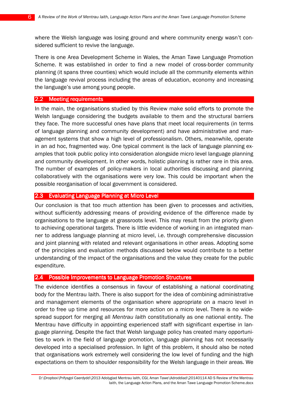where the Welsh language was losing ground and where community energy wasn't considered sufficient to revive the language.

There is one Area Development Scheme in Wales, the Aman Tawe Language Promotion Scheme. It was established in order to find a new model of cross-border community planning (it spans three counties) which would include all the community elements within the language revival process including the areas of education, economy and increasing the language's use among young people.

#### 2.2 Meeting requirements

In the main, the organisations studied by this Review make solid efforts to promote the Welsh language considering the budgets available to them and the structural barriers they face. The more successful ones have plans that meet local requirements (in terms of language planning and community development) and have administrative and management systems that show a high level of professionalism. Others, meanwhile, operate in an ad hoc, fragmented way. One typical comment is the lack of language planning examples that took public policy into consideration alongside micro level language planning and community development. In other words, holistic planning is rather rare in this area. The number of examples of policy-makers in local authorities discussing and planning collaboratively with the organisations were very low. This could be important when the possible reorganisation of local government is considered.

#### 2.3 Evaluating Language Planning at Micro Level

Our conclusion is that too much attention has been given to processes and activities, without sufficiently addressing means of providing evidence of the difference made by organisations to the language at grassroots level. This may result from the priority given to achieving operational targets. There is little evidence of working in an integrated manner to address language planning at micro level, i.e. through comprehensive discussion and joint planning with related and relevant organisations in other areas. Adopting some of the principles and evaluation methods discussed below would contribute to a better understanding of the impact of the organisations and the value they create for the public expenditure.

#### 2.4 Possible Improvements to Language Promotion Structures

The evidence identifies a consensus in favour of establishing a national coordinating body for the Mentrau Iaith. There is also support for the idea of combining administrative and management elements of the organisation where appropriate on a macro level in order to free up time and resources for more action on a micro level. There is no widespread support for merging all Mentrau laith constitutionally as one national entity. The Mentrau have difficulty in appointing experienced staff with significant expertise in language planning. Despite the fact that Welsh language policy has created many opportunities to work in the field of language promotion, language planning has not necessarily developed into a specialised profession. In light of this problem, it should also be noted that organisations work extremely well considering the low level of funding and the high expectations on them to shoulder responsibility for the Welsh language in their areas. We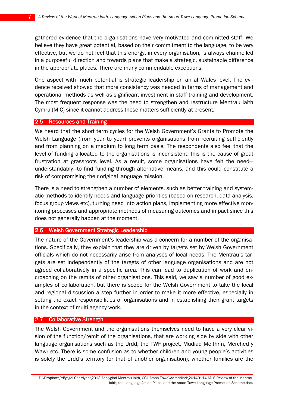gathered evidence that the organisations have very motivated and committed staff. We believe they have great potential, based on their commitment to the language, to be very effective, but we do not feel that this energy, in every organisation, is always channelled in a purposeful direction and towards plans that make a strategic, sustainable difference in the appropriate places. There are many commendable exceptions.

One aspect with much potential is strategic leadership on an all-Wales level. The evidence received showed that more consistency was needed in terms of management and operational methods as well as significant investment in staff training and development. The most frequent response was the need to strengthen and restructure Mentrau Iaith Cymru (MIC) since it cannot address these matters sufficiently at present.

#### 2.5 Resources and Training

We heard that the short term cycles for the Welsh Government's Grants to Promote the Welsh Language (from year to year) prevents organisations from recruiting sufficiently and from planning on a medium to long term basis. The respondents also feel that the level of funding allocated to the organisations is inconsistent; this is the cause of great frustration at grassroots level. As a result, some organisations have felt the need understandably—to find funding through alternative means, and this could constitute a risk of compromising their original language mission.

There is a need to strengthen a number of elements, such as better training and systematic methods to identify needs and language priorities (based on research, data analysis, focus group views etc), turning need into action plans, implementing more effective monitoring processes and appropriate methods of measuring outcomes and impact since this does not generally happen at the moment.

#### 2.6 Welsh Government Strategic Leadership

The nature of the Government's leadership was a concern for a number of the organisations. Specifically, they explain that they are driven by targets set by Welsh Government officials which do not necessarily arise from analyses of local needs. The Mentrau's targets are set independently of the targets of other language organisations and are not agreed collaboratively in a specific area. This can lead to duplication of work and encroaching on the remits of other organisations. This said, we saw a number of good examples of collaboration, but there is scope for the Welsh Government to take the local and regional discussion a step further in order to make it more effective, especially in setting the exact responsibilities of organisations and in establishing their grant targets in the context of multi-agency work.

#### $\vert$  2.7 Collaborative Strength

The Welsh Government and the organisations themselves need to have a very clear vision of the function/remit of the organisations, that are working side by side with other language organisations such as the Urdd, the TWF project, Mudiad Meithrin, Merched y Wawr etc. There is some confusion as to whether children and young people's activities is solely the Urdd's territory (or that of another organisation), whether families are the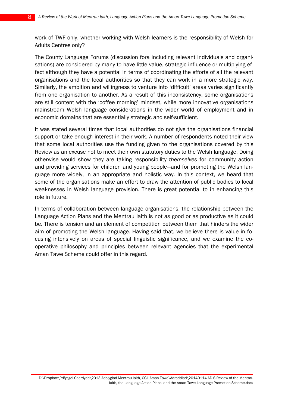work of TWF only, whether working with Welsh learners is the responsibility of Welsh for Adults Centres only?

The County Language Forums (discussion fora including relevant individuals and organisations) are considered by many to have little value, strategic influence or multiplying effect although they have a potential in terms of coordinating the efforts of all the relevant organisations and the local authorities so that they can work in a more strategic way. Similarly, the ambition and willingness to venture into 'difficult' areas varies significantly from one organisation to another. As a result of this inconsistency, some organisations are still content with the 'coffee morning' mindset, while more innovative organisations mainstream Welsh language considerations in the wider world of employment and in economic domains that are essentially strategic and self-sufficient.

It was stated several times that local authorities do not give the organisations financial support or take enough interest in their work. A number of respondents noted their view that some local authorities use the funding given to the organisations covered by this Review as an excuse not to meet their own statutory duties to the Welsh language. Doing otherwise would show they are taking responsibility themselves for community action and providing services for children and young people—and for promoting the Welsh language more widely, in an appropriate and holistic way. In this context, we heard that some of the organisations make an effort to draw the attention of public bodies to local weaknesses in Welsh language provision. There is great potential to in enhancing this role in future.

In terms of collaboration between language organisations, the relationship between the Language Action Plans and the Mentrau Iaith is not as good or as productive as it could be. There is tension and an element of competition between them that hinders the wider aim of promoting the Welsh language. Having said that, we believe there is value in focusing intensively on areas of special linguistic significance, and we examine the cooperative philosophy and principles between relevant agencies that the experimental Aman Tawe Scheme could offer in this regard.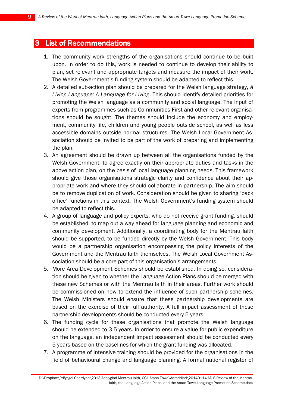## **3 List of Recommendations**

- 1. The community work strengths of the organisations should continue to be built upon. In order to do this, work is needed to continue to develop their ability to plan, set relevant and appropriate targets and measure the impact of their work. The Welsh Government's funding system should be adapted to reflect this.
- 2. A detailed sub-action plan should be prepared for the Welsh language strategy, A Living Language: A Language for Living. This should identify detailed priorities for promoting the Welsh language as a community and social language. The input of experts from programmes such as Communities First and other relevant organisations should be sought. The themes should include the economy and employment, community life, children and young people outside school, as well as less accessible domains outside normal structures. The Welsh Local Government Association should be invited to be part of the work of preparing and implementing the plan.
- 3. An agreement should be drawn up between all the organisations funded by the Welsh Government, to agree exactly on their appropriate duties and tasks in the above action plan, on the basis of local language planning needs. This framework should give those organisations strategic clarity and confidence about their appropriate work and where they should collaborate in partnership. The aim should be to remove duplication of work. Consideration should be given to sharing 'back office' functions in this context. The Welsh Government's funding system should be adapted to reflect this.
- 4. A group of language and policy experts, who do not receive grant funding, should be established, to map out a way ahead for language planning and economic and community development. Additionally, a coordinating body for the Mentrau Iaith should be supported, to be funded directly by the Welsh Government. This body would be a partnership organisation encompassing the policy interests of the Government and the Mentrau Iaith themselves. The Welsh Local Government Association should be a core part of this organisation's arrangements.
- 5. More Area Development Schemes should be established. In doing so, consideration should be given to whether the Language Action Plans should be merged with these new Schemes or with the Mentrau Iaith in their areas. Further work should be commissioned on how to extend the influence of such partnership schemes. The Welsh Ministers should ensure that these partnership developments are based on the exercise of their full authority. A full impact assessment of these partnership developments should be conducted every 5 years.
- 6. The funding cycle for these organisations that promote the Welsh language should be extended to 3-5 years. In order to ensure a value for public expenditure on the language, an independent impact assessment should be conducted every 5 years based on the baselines for which the grant funding was allocated.
- 7. A programme of intensive training should be provided for the organisations in the field of behavioural change and language planning. A formal national register of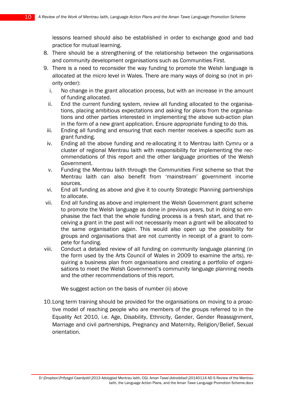lessons learned should also be established in order to exchange good and bad practice for mutual learning.

- 8. There should be a strengthening of the relationship between the organisations and community development organisations such as Communities First.
- 9. There is a need to reconsider the way funding to promote the Welsh language is allocated at the micro level in Wales. There are many ways of doing so (not in priority order):
	- i. No change in the grant allocation process, but with an increase in the amount of funding allocated.
	- ii. End the current funding system, review all funding allocated to the organisations, placing ambitious expectations and asking for plans from the organisations and other parties interested in implementing the above sub-action plan in the form of a new grant application. Ensure appropriate funding to do this.
	- iii. Ending all funding and ensuring that each menter receives a specific sum as grant funding.
	- iv. Ending all the above funding and re-allocating it to Mentrau Iaith Cymru or a cluster of regional Mentrau Iaith with responsibility for implementing the recommendations of this report and the other language priorities of the Welsh Government.
	- v. Funding the Mentrau Iaith through the Communities First scheme so that the Mentrau Iaith can also benefit from 'mainstream' government income sources.
	- vi. End all funding as above and give it to county Strategic Planning partnerships to allocate.
- vii. End all funding as above and implement the Welsh Government grant scheme to promote the Welsh language as done in previous years, but in doing so emphasise the fact that the whole funding process is a fresh start, and that receiving a grant in the past will not necessarily mean a grant will be allocated to the same organisation again. This would also open up the possibility for groups and organisations that are not currently in receipt of a grant to compete for funding.
- viii. Conduct a detailed review of all funding on community language planning (in the form used by the Arts Council of Wales in 2009 to examine the arts), requiring a business plan from organisations and creating a portfolio of organisations to meet the Welsh Government's community language planning needs and the other recommendations of this report.

We suggest action on the basis of number (ii) above

10.Long term training should be provided for the organisations on moving to a proactive model of reaching people who are members of the groups referred to in the Equality Act 2010, i.e. Age, Disability, Ethnicity, Gender, Gender Reassignment, Marriage and civil partnerships, Pregnancy and Maternity, Religion/Belief, Sexual orientation.

D:\Dropbox\Prifysgol Caerdydd\2013 Adolygiad Mentrau Iaith, CGI, Aman Tawe\Adroddiad\20140114 AD S Review of the Mentrau Iaith, the Language Action Plans, and the Aman Tawe Language Promotion Scheme.docx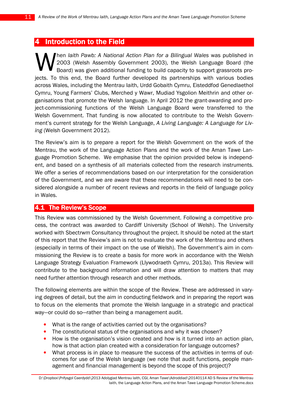## 4 Introduction to the Field

hen Iaith Pawb: A National Action Plan for a Bilingual Wales was published in 2003 (Welsh Assembly Government 2003), the Welsh Language Board (the Board) was given additional funding to build capacity to support grassroots projects. To this end, the Board further developed its partnerships with various bodies across Wales, including the Mentrau Iaith, Urdd Gobaith Cymru, Eisteddfod Genedlaethol Cymru, Young Farmers' Clubs, Merched y Wawr, Mudiad Ysgolion Meithrin and other organisations that promote the Welsh language. In April 2012 the grant-awarding and project-commissioning functions of the Welsh Language Board were transferred to the Welsh Government. That funding is now allocated to contribute to the Welsh Government's current strategy for the Welsh Language, A Living Language: A Language for Living (Welsh Government 2012). W

The Review's aim is to prepare a report for the Welsh Government on the work of the Mentrau, the work of the Language Action Plans and the work of the Aman Tawe Language Promotion Scheme. We emphasise that the opinion provided below is independent, and based on a synthesis of all materials collected from the research instruments. We offer a series of recommendations based on our interpretation for the consideration of the Government, and we are aware that these recommendations will need to be considered alongside a number of recent reviews and reports in the field of language policy in Wales.

## 4.1 The Review's Scope

This Review was commissioned by the Welsh Government. Following a competitive process, the contract was awarded to Cardiff University (School of Welsh). The University worked with Sbectrwm Consultancy throughout the project. It should be noted at the start of this report that the Review's aim is not to evaluate the work of the Mentrau and others (especially in terms of their impact on the use of Welsh). The Government's aim in commissioning the Review is to create a basis for more work in accordance with the Welsh Language Strategy Evaluation Framework (Llywodraeth Cymru, 2013a). This Review will contribute to the background information and will draw attention to matters that may need further attention through research and other methods.

The following elements are within the scope of the Review. These are addressed in varying degrees of detail, but the aim in conducting fieldwork and in preparing the report was to focus on the elements that promote the Welsh language in a strategic and practical way—or could do so—rather than being a management audit.

- What is the range of activities carried out by the organisations?
- The constitutional status of the organisations and why it was chosen?
- How is the organisation's vision created and how is it turned into an action plan, how is that action plan created with a consideration for language outcomes?
- What process is in place to measure the success of the activities in terms of outcomes for use of the Welsh language (we note that audit functions, people management and financial management is beyond the scope of this project)?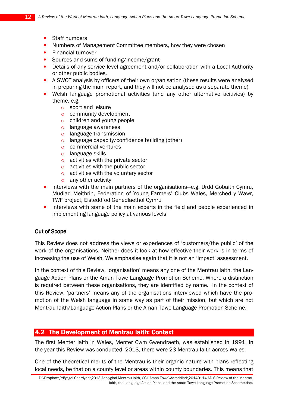- Staff numbers
- Numbers of Management Committee members, how they were chosen
- Financial turnover
- Sources and sums of funding/income/grant
- Details of any service level agreement and/or collaboration with a Local Authority or other public bodies.
- A SWOT analysis by officers of their own organisation (these results were analysed in preparing the main report, and they will not be analysed as a separate theme)
- Welsh language promotional activities (and any other alternative acitivies) by theme, e.g.
	- o sport and leisure
	- o community development
	- o children and young people
	- o language awareness
	- o language transmission
	- o language capacity/confidence building (other)
	- o commercial ventures
	- o language skills
	- o activities with the private sector
	- o activities with the public sector
	- o activities with the voluntary sector
	- o any other activity
- Interviews with the main partners of the organisations—e.g. Urdd Gobaith Cymru, Mudiad Meithrin, Federation of Young Farmers' Clubs Wales, Merched y Wawr, TWF project, Eisteddfod Genedlaethol Cymru
- Interviews with some of the main experts in the field and people experienced in implementing language policy at various levels

#### **Out of Scope**

This Review does not address the views or experiences of 'customers/the public' of the work of the organisations. Neither does it look at how effective their work is in terms of increasing the use of Welsh. We emphasise again that it is not an 'impact' assessment.

In the context of this Review, 'organisation' means any one of the Mentrau Iaith, the Language Action Plans or the Aman Tawe Language Promotion Scheme. Where a distinction is required between these organisations, they are identified by name. In the context of this Review, 'partners' means any of the organisations interviewed which have the promotion of the Welsh language in some way as part of their mission, but which are not Mentrau Iaith/Language Action Plans or the Aman Tawe Language Promotion Scheme.

#### 4.2 The Development of Mentrau laith: Context

The first Menter Iaith in Wales, Menter Cwm Gwendraeth, was established in 1991. In the year this Review was conducted, 2013, there were 23 Mentrau Iaith across Wales.

One of the theoretical merits of the Mentrau is their organic nature with plans reflecting local needs, be that on a county level or areas within county boundaries. This means that

D:\Dropbox\Prifysgol Caerdydd\2013 Adolygiad Mentrau Iaith, CGI, Aman Tawe\Adroddiad\20140114 AD S Review of the Mentrau Iaith, the Language Action Plans, and the Aman Tawe Language Promotion Scheme.docx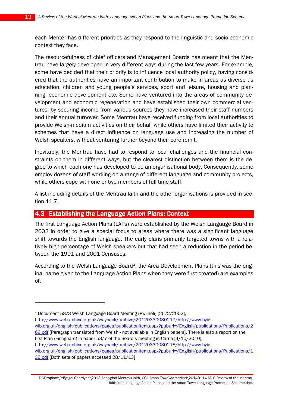each Menter has different priorities as they respond to the linguistic and socio-economic context they face.

The resourcefulness of chief officers and Management Boards has meant that the Mentrau have largely developed in very different ways during the last few years. For example, some have decided that their priority is to influence local authority policy, having considered that the authorities have an important contribution to make in areas as diverse as education, children and young people's services, sport and leisure, housing and planning, economic development etc. Some have ventured into the areas of community development and economic regeneration and have established their own commercial ventures; by securing income from various sources they have increased their staff numbers and their annual turnover. Some Mentrau have received funding from local authorities to provide Welsh-medium activities on their behalf while others have limited their activity to schemes that have a direct influence on language use and increasing the number of Welsh speakers, without venturing further beyond their core remit.

Inevitably, the Mentrau have had to respond to local challenges and the financial constraints on them in different ways, but the clearest distinction between them is the degree to which each one has developed to be an organisational body. Consequently, some employ dozens of staff working on a range of different language and community projects, while others cope with one or two members of full-time staff.

A list including details of the Mentrau Iaith and the other organisations is provided in section 11.7.

## 4.3 Establishing the Language Action Plans: Context

 $\overline{a}$ 

The first Language Action Plans (LAPs) were established by the Welsh Language Board in 2002 in order to give a special focus to areas where there was a significant language shift towards the English language. The early plans primarily targeted towns with a relatively high percentage of Welsh speakers but that had seen a reduction in the period between the 1991 and 2001 Censuses.

According to the Welsh Language Board4, the Area Development Plans (this was the original name given to the Language Action Plans when they were first created) are examples of:

<sup>4</sup> Document 58/3 Welsh Language Board Meeting (Pwllheli) [25/2/2002], http://www.webarchive.org.uk/wayback/archive/20120330030217/http://www.byigwlb.org.uk/english/publications/pages/publicationitem.aspx?puburl=/English/publications/Publications/2 66.pdf [Paragraph translated from Welsh - not available in English papers]. There is also a report on the first Plan (Fishguard) in paper 53/7 of the Board's meeting in Carno [4/10/2010], http://www.webarchive.org.uk/wayback/archive/20120330030218/http://www.byigwlb.org.uk/english/publications/pages/publicationitem.aspx?puburl=/English/publications/Publications/1 35.pdf [Both sets of papers accessed 28/11/13]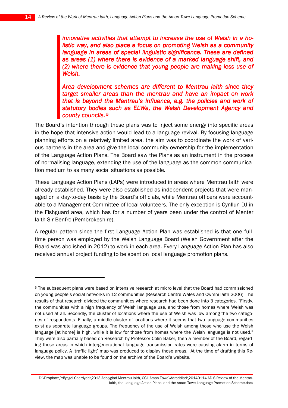innovative activities that attempt to increase the use of Welsh in a holistic way, and also place a focus on promoting Welsh as a community language in areas of special linguistic significance. These are defined as areas (1) where there is evidence of a marked language shift, and (2) where there is evidence that young people are making less use of Welsh.

Area development schemes are different to Mentrau laith since they target smaller areas than the mentrau and have an impact on work that is beyond the Mentrau's influence, e.g. the policies and work of statutory bodies such as ELWa, the Welsh Development Agency and county councils. 5

The Board's intention through these plans was to inject some energy into specific areas in the hope that intensive action would lead to a language revival. By focusing language planning efforts on a relatively limited area, the aim was to coordinate the work of various partners in the area and give the local community ownership for the implementation of the Language Action Plans. The Board saw the Plans as an instrument in the process of normalising language, extending the use of the language as the common communication medium to as many social situations as possible.

These Language Action Plans (LAPs) were introduced in areas where Mentrau Iaith were already established. They were also established as independent projects that were managed on a day-to-day basis by the Board's officials, while Mentrau officers were accountable to a Management Committee of local volunteers. The only exception is Cynllun DJ in the Fishguard area, which has for a number of years been under the control of Menter Iaith Sir Benfro (Pembrokeshire).

A regular pattern since the first Language Action Plan was established is that one fulltime person was employed by the Welsh Language Board (Welsh Government after the Board was abolished in 2012) to work in each area. Every Language Action Plan has also received annual project funding to be spent on local language promotion plans.

D:\Dropbox\Prifysgol Caerdydd\2013 Adolygiad Mentrau Iaith, CGI, Aman Tawe\Adroddiad\20140114 AD S Review of the Mentrau Iaith, the Language Action Plans, and the Aman Tawe Language Promotion Scheme.docx

 $\overline{a}$ 

<sup>5</sup> The subsequent plans were based on intensive research at micro level that the Board had commissioned on young people's social networks in 12 communities (Research Centre Wales and Cwmni Iaith 2006). The results of that research divided the communities where research had been done into 3 categories. "Firstly, the communities with a high frequency of Welsh language use, and those from homes where Welsh was not used at all. Secondly, the cluster of locations where the use of Welsh was low among the two categories of respondents. Finally, a middle cluster of locations where it seems that two language communities exist as separate language groups. The frequency of the use of Welsh among those who use the Welsh language [at home] is high, while it is low for those from homes where the Welsh language is not used." They were also partially based on Research by Professor Colin Baker, then a member of the Board, regarding those areas in which intergenerational language transmission rates were causing alarm in terms of language policy. A 'traffic light' map was produced to display those areas. At the time of drafting this Review, the map was unable to be found on the archive of the Board's website.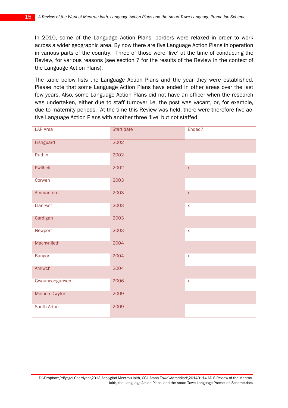In 2010, some of the Language Action Plans' borders were relaxed in order to work across a wider geographic area. By now there are five Language Action Plans in operation in various parts of the country. Three of those were 'live' at the time of conducting the Review, for various reasons (see section 7 for the results of the Review in the context of the Language Action Plans).

The table below lists the Language Action Plans and the year they were established. Please note that some Language Action Plans have ended in other areas over the last few years. Also, some Language Action Plans did not have an officer when the research was undertaken, either due to staff turnover i.e. the post was vacant, or, for example, due to maternity periods. At the time this Review was held, there were therefore five active Language Action Plans with another three 'live' but not staffed.

| <b>LAP</b> Area       | Start date | Ended?             |
|-----------------------|------------|--------------------|
| Fishguard             | 2002       |                    |
| Ruthin                | 2002       |                    |
| Pwllheli              | 2002       | $\bar{\mathsf{X}}$ |
| Corwen                | 2003       |                    |
| Ammanford             | 2003       | $\bar{\mathsf{X}}$ |
| Llanrwst              | 2003       | $\bar{\mathsf{X}}$ |
| Cardigan              | 2003       |                    |
| Newport               | 2003       | $\bar{\mathsf{X}}$ |
| Machynlleth           | 2004       |                    |
| <b>Bangor</b>         | 2004       | $\bar{\mathsf{X}}$ |
| Amlwch                | 2004       |                    |
| Gwauncaegurwen        | 2006       | $\bar{\mathsf{X}}$ |
| <b>Meirion Dwyfor</b> | 2009       |                    |
| South Arfon           | 2009       |                    |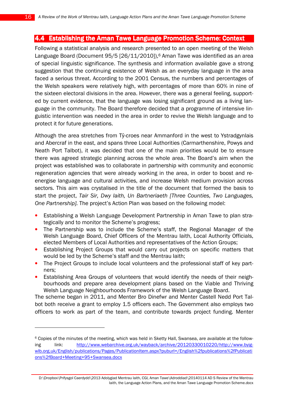## 4.4 Establishing the Aman Tawe Language Promotion Scheme: Context

Following a statistical analysis and research presented to an open meeting of the Welsh Language Board (Document 95/5  $[26/11/2010]$ ,  $6$  Aman Tawe was identified as an area of special linguistic significance. The synthesis and information available gave a strong suggestion that the continuing existence of Welsh as an everyday language in the area faced a serious threat. According to the 2001 Census, the numbers and percentages of the Welsh speakers were relatively high, with percentages of more than 60% in nine of the sixteen electoral divisions in the area. However, there was a general feeling, supported by current evidence, that the language was losing significant ground as a living language in the community. The Board therefore decided that a programme of intensive linguistic intervention was needed in the area in order to revive the Welsh language and to protect it for future generations.

Although the area stretches from Tŷ-croes near Ammanford in the west to Ystradgynlais and Abercraf in the east, and spans three Local Authorities (Carmarthenshire, Powys and Neath Port Talbot), it was decided that one of the main priorities would be to ensure there was agreed strategic planning across the whole area. The Board's aim when the project was established was to collaborate in partnership with community and economic regeneration agencies that were already working in the area, in order to boost and reenergise language and cultural activities, and increase Welsh medium provision across sectors. This aim was crystalised in the title of the document that formed the basis to start the project, Tair Sir, Dwy Iaith, Un Bartneriaeth [Three Counties, Two Languages, One Partnership]. The project's Action Plan was based on the following model:

- Establishing a Welsh Language Development Partnership in Aman Tawe to plan strategically and to monitor the Scheme's progress;
- The Partnership was to include the Scheme's staff, the Regional Manager of the Welsh Language Board, Chief Officers of the Mentrau Iaith, Local Authority Officials, elected Members of Local Authorities and representatives of the Action Groups;
- Establishing Project Groups that would carry out projects on specific matters that would be led by the Scheme's staff and the Mentrau Iaith;
- The Project Groups to include local volunteers and the professional staff of key partners;
- Establishing Area Groups of volunteers that would identify the needs of their neighbourhoods and prepare area development plans based on the Viable and Thriving Welsh Language Neighbourhoods Framework of the Welsh Language Board.

The scheme began in 2011, and Menter Bro Dinefwr and Menter Castell Nedd Port Talbot both receive a grant to employ 1.5 officers each. The Government also employs two officers to work as part of the team, and contribute towards project funding. Menter

 $\overline{a}$ 

<sup>6</sup> Copies of the minutes of the meeting, which was held in Sketty Hall, Swansea, are available at the following link: http://www.webarchive.org.uk/wayback/archive/20120330010220/http://www.byigwlb.org.uk/English/publications/Pages/PublicationItem.aspx?puburl=/English%2fpublications%2fPublicati ons%2fBoard+Meeting+95+Swansea.docx

D:\Dropbox\Prifysgol Caerdydd\2013 Adolygiad Mentrau Iaith, CGI, Aman Tawe\Adroddiad\20140114 AD S Review of the Mentrau Iaith, the Language Action Plans, and the Aman Tawe Language Promotion Scheme.docx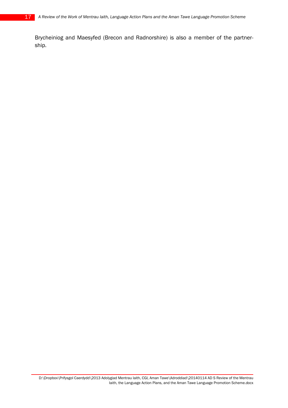Brycheiniog and Maesyfed (Brecon and Radnorshire) is also a member of the partnership.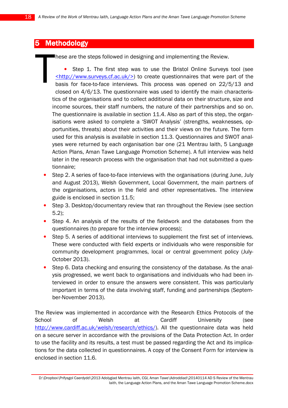## 5 Methodology

**These are the steps followed in designing and implementing the Review.** 

• Step 1. The first step was to use the Bristol Online Surveys tool (see <http://www.surveys.cf.ac.uk/>) to create questionnaires that were part of the basis for face-to-face interviews. This process was opened on 22/5/13 and closed on 4/6/13. The questionnaire was used to identify the main characteristics of the organisations and to collect additional data on their structure, size and income sources, their staff numbers, the nature of their partnerships and so on. The questionnaire is available in section 11.4. Also as part of this step, the organisations were asked to complete a 'SWOT Analysis' (strengths, weaknesses, opportunities, threats) about their activities and their views on the future. The form used for this analysis is available in section 11.3. Questionnaires and SWOT analyses were returned by each organisation bar one (21 Mentrau Iaith, 5 Language Action Plans, Aman Tawe Language Promotion Scheme). A full interview was held later in the research process with the organisation that had not submitted a questionnaire; T

- Step 2. A series of face-to-face interviews with the organisations (during June, July and August 2013), Welsh Government, Local Government, the main partners of the organisations, actors in the field and other representatives. The interview guide is enclosed in section 11.5;
- Step 3. Desktop/documentary review that ran throughout the Review (see section 5.2);
- Step 4. An analysis of the results of the fieldwork and the databases from the questionnaires (to prepare for the interview process);
- Step 5. A series of additional interviews to supplement the first set of interviews. These were conducted with field experts or individuals who were responsible for community development programmes, local or central government policy (July-October 2013).
- Step 6. Data checking and ensuring the consistency of the database. As the analysis progressed, we went back to organisations and individuals who had been interviewed in order to ensure the answers were consistent. This was particularly important in terms of the data involving staff, funding and partnerships (September-November 2013).

The Review was implemented in accordance with the Research Ethics Protocols of the School of Welsh at Cardiff University (see http://www.cardiff.ac.uk/welsh/research/ethics/). All the questionnaire data was held on a secure server in accordance with the provisions of the Data Protection Act. In order to use the facility and its results, a test must be passed regarding the Act and its implications for the data collected in questionnaires. A copy of the Consent Form for interview is enclosed in section 11.6.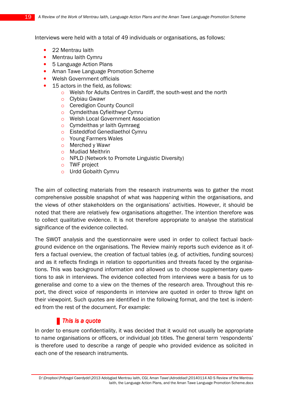Interviews were held with a total of 49 individuals or organisations, as follows:

- 22 Mentrau laith
- Mentrau Iaith Cymru
- 5 Language Action Plans
- Aman Tawe Language Promotion Scheme
- Welsh Government officials
- 15 actors in the field, as follows:
	- o Welsh for Adults Centres in Cardiff, the south-west and the north
	- o Clybiau Gwawr
	- o Ceredigion County Council
	- o Cymdeithas Cyfieithwyr Cymru
	- o Welsh Local Government Association
	- o Cymdeithas yr Iaith Gymraeg
	- o Eisteddfod Genedlaethol Cymru
	- o Young Farmers Wales
	- o Merched y Wawr
	- o Mudiad Meithrin
	- o NPLD (Network to Promote Linguistic Diversity)
	- o TWF project
	- o Urdd Gobaith Cymru

The aim of collecting materials from the research instruments was to gather the most comprehensive possible snapshot of what was happening within the organisations, and the views of other stakeholders on the organisations' activities. However, it should be noted that there are relatively few organisations altogether. The intention therefore was to collect qualitative evidence. It is not therefore appropriate to analyse the statistical significance of the evidence collected.

The SWOT analysis and the questionnaire were used in order to collect factual background evidence on the organisations. The Review mainly reports such evidence as it offers a factual overview, the creation of factual tables (e.g. of activities, funding sources) and as it reflects findings in relation to opportunities and threats faced by the organisations. This was background information and allowed us to choose supplementary questions to ask in interviews. The evidence collected from interviews were a basis for us to generalise and come to a view on the themes of the research area. Throughout this report, the direct voice of respondents in interview are quoted in order to throw light on their viewpoint. Such quotes are identified in the following format, and the text is indented from the rest of the document. For example:

## $\blacksquare$  This is a quote

In order to ensure confidentiality, it was decided that it would not usually be appropriate to name organisations or officers, or individual job titles. The general term 'respondents' is therefore used to describe a range of people who provided evidence as solicited in each one of the research instruments.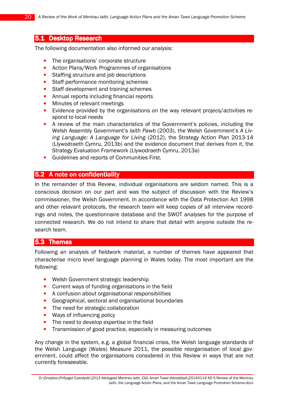#### **5.1 Desktop Research**

The following documentation also informed our analysis:

- The organisations' corporate structure
- Action Plans/Work Programmes of organisations
- Staffing structure and job descriptions
- Staff performance monitoring schemes
- Staff development and training schemes
- Annual reports including financial reports
- Minutes of relevant meetings
- Evidence provided by the organisations on the way relevant projecs/activities respond to local needs
- A review of the main characteristics of the Government's policies, including the Welsh Assembly Government's laith Pawb (2003), the Welsh Government's A Living Language: A Language for Living (2012), the Strategy Action Plan 2013-14 (Llywodraeth Cymru, 2013b) and the evidence document that derives from it, the Strategy Evaluation Framework (Llywodraeth Cymru, 2013a)
- Guidelines and reports of Communities First.

#### **5.2** A note on confidentiality

In the remainder of this Review, individual organisations are seldom named. This is a conscious decision on our part and was the subject of discussion with the Review's commissioner, the Welsh Government. In accordance with the Data Protection Act 1998 and other relavant protocols, the research team will keep copies of all interview recordings and notes, the questionnaire database and the SWOT analyses for the purpose of connected research. We do not intend to share that detail with anyone outside the research team.

#### 5.3 Themes

Following an analysis of fieldwork material, a number of themes have appeared that characterise micro level language planning in Wales today. The most important are the following:

- Welsh Government strategic leadership
- Current ways of funding organisations in the field
- A confusion about organisational responsibilities
- Geographical, sectoral and organisational boundaries
- The need for strategic collaboration
- Ways of influencing policy
- The need to develop expertise in the field
- Transmission of good practice, especially in measuring outcomes

Any change in the system, e.g. a global financial crisis, the Welsh language standards of the Welsh Language (Wales) Measure 2011, the possible reorganisation of local government, could affect the organisations considered in this Review in ways that are not currently foreseeable.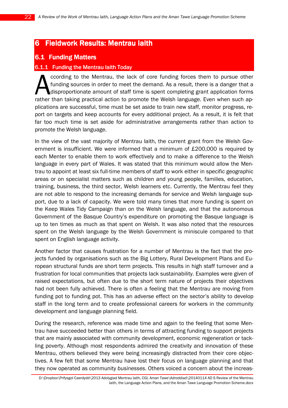## 6 Fieldwork Results: Mentrau Iaith

## **6.1 Funding Matters**

#### 6.1.1 Funding the Mentrau laith Today

ccording to the Mentrau, the lack of core funding forces them to pursue other funding sources in order to meet the demand. As a result, there is a danger that a disproportionate amount of staff time is spent completing grant application forms ccording to the Mentrau, the lack of core funding forces them to pursue other<br>funding sources in order to meet the demand. As a result, there is a danger that a<br>disproportionate amount of staff time is spent completing gra plications are successful, time must be set aside to train new staff, monitor progress, report on targets and keep accounts for every additional project. As a result, it is felt that far too much time is set aside for administrative arrangements rather than action to promote the Welsh language.

In the view of the vast majority of Mentrau Iaith, the current grant from the Welsh Government is insufficient. We were informed that a minimum of £200,000 is required by each Menter to enable them to work effectively and to make a difference to the Welsh language in every part of Wales. It was stated that this minimum would allow the Mentrau to appoint at least six full-time members of staff to work either in specific geographic areas or on specialist matters such as children and young people, families, education, training, business, the third sector, Welsh learners etc. Currently, the Mentrau feel they are not able to respond to the increasing demands for service and Welsh language support, due to a lack of capacity. We were told many times that more funding is spent on the Keep Wales Tidy Campaign than on the Welsh language, and that the autonomous Government of the Basque Country's expenditure on promoting the Basque language is up to ten times as much as that spent on Welsh. It was also noted that the resources spent on the Welsh language by the Welsh Government is miniscule compared to that spent on English language activity.

Another factor that causes frustration for a number of Mentrau is the fact that the projects funded by organisations such as the Big Lottery, Rural Development Plans and European structural funds are short term projects. This results in high staff turnover and a frustration for local communities that projects lack sustainability. Examples were given of raised expectations, but often due to the short term nature of projects their objectives had not been fully achieved. There is often a feeling that the Mentrau are moving from funding pot to funding pot. This has an adverse effect on the sector's ability to develop staff in the long term and to create professional careers for workers in the community development and language planning field.

During the research, reference was made time and again to the feeling that some Mentrau have succeeded better than others in terms of attracting funding to support projects that are mainly associated with community development, economic regeneration or tackling poverty. Although most respondents admired the creativity and innovation of these Mentrau, others believed they were being increasingly distracted from their core objectives. A few felt that some Mentrau have lost their focus on language planning and that they now operated as community businesses. Others voiced a concern about the increas-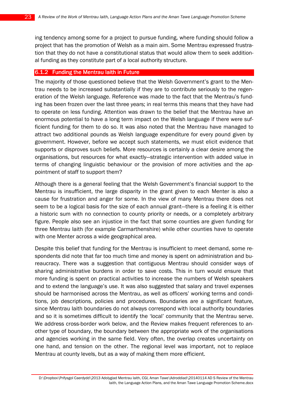ing tendency among some for a project to pursue funding, where funding should follow a project that has the promotion of Welsh as a main aim. Some Mentrau expressed frustration that they do not have a constitutional status that would allow them to seek additional funding as they constitute part of a local authority structure.

#### $6.1.2$  Funding the Mentrau laith in Future

The majority of those questioned believe that the Welsh Government's grant to the Mentrau needs to be increased substantially if they are to contribute seriously to the regeneration of the Welsh language. Reference was made to the fact that the Mentrau's funding has been frozen over the last three years; in real terms this means that they have had to operate on less funding. Attention was drawn to the belief that the Mentrau have an enormous potential to have a long term impact on the Welsh language if there were sufficient funding for them to do so. It was also noted that the Mentrau have managed to attract two additional pounds as Welsh language expenditure for every pound given by government. However, before we accept such statements, we must elicit evidence that supports or disproves such beliefs. More resources is certainly a clear desire among the organisations, but resources for what exactly—strategic intervention with added value in terms of changing linguistic behaviour or the provision of more activities and the appointment of staff to support them?

Although there is a general feeling that the Welsh Government's financial support to the Mentrau is insufficient, the large disparity in the grant given to each Menter is also a cause for frustration and anger for some. In the view of many Mentrau there does not seem to be a logical basis for the size of each annual grant—there is a feeling it is either a historic sum with no connection to county priority or needs, or a completely arbitrary figure. People also see an injustice in the fact that some counties are given funding for three Mentrau Iaith (for example Carmarthenshire) while other counties have to operate with one Menter across a wide geographical area.

Despite this belief that funding for the Mentrau is insufficient to meet demand, some respondents did note that far too much time and money is spent on administration and bureaucracy. There was a suggestion that contiguous Mentrau should consider ways of sharing administrative burdens in order to save costs. This in turn would ensure that more funding is spent on practical activities to increase the numbers of Welsh speakers and to extend the language's use. It was also suggested that salary and travel expenses should be harmonised across the Mentrau, as well as officers' working terms and conditions, job descriptions, policies and procedures. Boundaries are a significant feature, since Mentrau Iaith boundaries do not always correspond with local authority boundaries and so it is sometimes difficult to identify the 'local' community that the Mentrau serve. We address cross-border work below, and the Review makes frequent references to another type of boundary, the boundary between the appropriate work of the organisations and agencies working in the same field. Very often, the overlap creates uncertainty on one hand, and tension on the other. The regional level was important, not to replace Mentrau at county levels, but as a way of making them more efficient.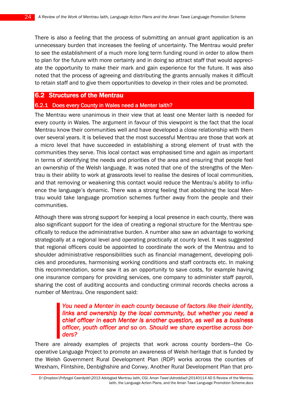There is also a feeling that the process of submitting an annual grant application is an unnecessary burden that increases the feeling of uncertainty. The Mentrau would prefer to see the establishment of a much more long term funding round in order to allow them to plan for the future with more certainty and in doing so attract staff that would appreciate the opportunity to make their mark and gain experience for the future. It was also noted that the process of agreeing and distributing the grants annually makes it difficult to retain staff and to give them opportunities to develop in their roles and be promoted.

## 6.2 Structures of the Mentrau

## 6.2.1 Does every County in Wales need a Menter laith?

The Mentrau were unanimous in their view that at least one Menter Iaith is needed for every county in Wales. The argument in favour of this viewpoint is the fact that the local Mentrau know their communities well and have developed a close relationship with them over several years. It is believed that the most successful Mentrau are those that work at a micro level that have succeeded in establishing a strong element of trust with the communities they serve. This local contact was emphasised time and again as important in terms of identifying the needs and priorities of the area and ensuring that people feel an ownership of the Welsh language. It was noted that one of the strengths of the Mentrau is their ability to work at grassroots level to realise the desires of local communities, and that removing or weakening this contact would reduce the Mentrau's ability to influence the language's dynamic. There was a strong feeling that abolishing the local Mentrau would take language promotion schemes further away from the people and their communities.

Although there was strong support for keeping a local presence in each county, there was also significant support for the idea of creating a regional structure for the Mentrau specifically to reduce the administrative burden. A number also saw an advantage to working strategically at a regional level and operating practically at county level. It was suggested that regional officers could be appointed to coordinate the work of the Mentrau and to shoulder administrative responsibilities such as financial management, developing policies and procedures, harmonising working conditions and staff contracts etc. In making this recommendation, some saw it as an opportunity to save costs, for example having one insurance company for providing services, one company to administer staff payroll, sharing the cost of auditing accounts and conducting criminal records checks across a number of Mentrau. One respondent said:

## You need a Menter in each county because of factors like their identity. links and ownership by the local community, but whether you need a chief officer in each Menter is another question, as well as a business officer, youth officer and so on. Should we share expertise across borders?

There are already examples of projects that work across county borders—the Cooperative Language Project to promote an awareness of Welsh heritage that is funded by the Welsh Government Rural Development Plan (RDP) works across the counties of Wrexham, Flintshire, Denbighshire and Conwy. Another Rural Development Plan that pro-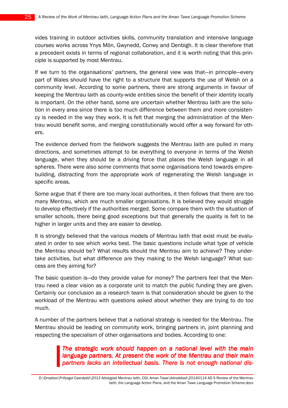vides training in outdoor activities skills, community translation and intensive language courses works across Ynys Môn, Gwynedd, Conwy and Denbigh. It is clear therefore that a precedent exists in terms of regional collaboration, and it is worth noting that this principle is supported by most Mentrau.

If we turn to the organisations' partners, the general view was that—in principle—every part of Wales should have the right to a structure that supports the use of Welsh on a community level. According to some partners, there are strong arguments in favour of keeping the Mentrau Iaith as county-wide entities since the benefit of their identity locally is important. On the other hand, some are uncertain whether Mentrau Iaith are the solution in every area since there is too much difference between them and more consistency is needed in the way they work. It is felt that merging the administration of the Mentrau would benefit some, and merging constitutionally would offer a way forward for others.

The evidence derived from the fieldwork suggests the Mentrau Iaith are pulled in many directions, and sometimes attempt to be everything to everyone in terms of the Welsh language, when they should be a driving force that places the Welsh language in all spheres. There were also some comments that some organisations tend towards empirebuilding, distracting from the appropriate work of regenerating the Welsh language in specific areas.

Some argue that if there are too many local authorities, it then follows that there are too many Mentrau, which are much smaller organisations. It is believed they would struggle to develop effectively if the authorities merged. Some compare them with the situation of smaller schools, there being good exceptions but that generally the quality is felt to be higher in larger units and they are easier to develop.

It is strongly believed that the various models of Mentrau Iaith that exist must be evaluated in order to see which works best. The basic questions include what type of vehicle the Mentrau should be? What results should the Mentrau aim to achieve? They undertake activities, but what difference are they making to the Welsh language? What success are they aiming for?

The basic question is—do they provide value for money? The partners feel that the Mentrau need a clear vision as a corporate unit to match the public funding they are given. Certainly our conclusion as a research team is that consideration should be given to the workload of the Mentrau with questions asked about whether they are trying to do too much.

A number of the partners believe that a national strategy is needed for the Mentrau. The Mentrau should be leading on community work, bringing partners in, joint planning and respecting the specialism of other organisations and bodies. According to one:

> The strategic work should happen on a national level with the main language partners. At present the work of the Mentrau and their main partners lacks an intellectual basis. There is not enough national dis-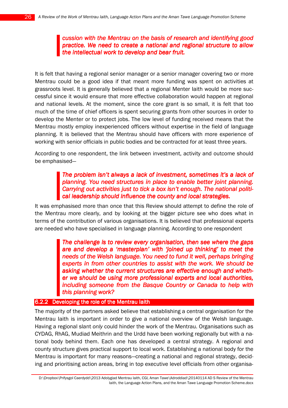## cussion with the Mentrau on the basis of research and identifying good practice. We need to create a national and regional structure to allow the intellectual work to develop and bear fruit.

It is felt that having a regional senior manager or a senior manager covering two or more Mentrau could be a good idea if that meant more funding was spent on activities at grassroots level. It is generally believed that a regional Menter Iaith would be more successful since it would ensure that more effective collaboration would happen at regional and national levels. At the moment, since the core grant is so small, it is felt that too much of the time of chief officers is spent securing grants from other sources in order to develop the Menter or to protect jobs. The low level of funding received means that the Mentrau mostly employ inexperienced officers without expertise in the field of language planning. It is believed that the Mentrau should have officers with more experience of working with senior officials in public bodies and be contracted for at least three years.

According to one respondent, the link between investment, activity and outcome should be emphasised—

## The problem isn't always a lack of investment, sometimes it's a lack of planning. You need structures in place to enable better joint planning. Carrying out activities just to tick a box isn't enough. The national political leadership should influence the county and local strategies.

It was emphasised more than once that this Review should attempt to define the role of the Mentrau more clearly, and by looking at the bigger picture see who does what in terms of the contribution of various organisations. It is believed that professional experts are needed who have specialised in language planning. According to one respondent

> The challenge is to review every organisation, then see where the gaps are and develop a 'masterplan' with 'joined up thinking' to meet the needs of the Welsh language. You need to fund it well, perhaps bringing experts in from other countries to assist with the work. We should be asking whether the current structures are effective enough and whether we should be using more professional experts and local authorities, including someone from the Basque Country or Canada to help with this planning work?

#### 6.2.2 Developing the role of the Mentrau laith

The majority of the partners asked believe that establishing a central organisation for the Mentrau Iaith is important in order to give a national overview of the Welsh language. Having a regional slant only could hinder the work of the Mentrau. Organisations such as CYDAG, RhAG, Mudiad Meithrin and the Urdd have been working regionally but with a national body behind them. Each one has developed a central strategy. A regional and county structure gives practical support to local work. Establishing a national body for the Mentrau is important for many reasons—creating a national and regional strategy, deciding and prioritising action areas, bring in top executive level officials from other organisa-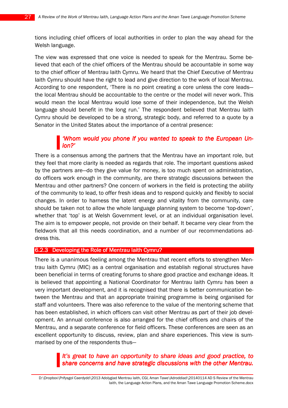tions including chief officers of local authorities in order to plan the way ahead for the Welsh language.

The view was expressed that one voice is needed to speak for the Mentrau. Some believed that each of the chief officers of the Mentrau should be accountable in some way to the chief officer of Mentrau Iaith Cymru. We heard that the Chief Executive of Mentrau Iaith Cymru should have the right to lead and give direction to the work of local Mentrau. According to one respondent, 'There is no point creating a core unless the core leads the local Mentrau should be accountable to the centre or the model will never work. This would mean the local Mentrau would lose some of their independence, but the Welsh language should benefit in the long run.' The respondent believed that Mentrau Iaith Cymru should be developed to be a strong, strategic body, and referred to a quote by a Senator in the United States about the importance of a central presence:

## 'Whom would you phone if you wanted to speak to the European Union?'

There is a consensus among the partners that the Mentrau have an important role, but they feel that more clarity is needed as regards that role. The important questions asked by the partners are—do they give value for money, is too much spent on administration, do officers work enough in the community, are there strategic discussions between the Mentrau and other partners? One concern of workers in the field is protecting the ability of the community to lead, to offer fresh ideas and to respond quickly and flexibly to social changes. In order to harness the latent energy and vitality from the community, care should be taken not to allow the whole language planning system to become 'top-down', whether that 'top' is at Welsh Government level, or at an individual organisation level. The aim is to empower people, not provide on their behalf. It became very clear from the fieldwork that all this needs coordination, and a number of our recommendations address this.

#### 6.2.3 Developing the Role of Mentrau laith Cymru?

There is a unanimous feeling among the Mentrau that recent efforts to strengthen Mentrau Iaith Cymru (MIC) as a central organisation and establish regional structures have been beneficial in terms of creating forums to share good practice and exchange ideas. It is believed that appointing a National Coordinator for Mentrau Iaith Cymru has been a very important development, and it is recognised that there is better communication between the Mentrau and that an appropriate training programme is being organised for staff and volunteers. There was also reference to the value of the mentoring scheme that has been established, in which officers can visit other Mentrau as part of their job development. An annual conference is also arranged for the chief officers and chairs of the Mentrau, and a separate conference for field officers. These conferences are seen as an excellent opportunity to discuss, review, plan and share experiences. This view is summarised by one of the respondents thus—

## It's great to have an opportunity to share ideas and good practice, to share concerns and have strategic discussions with the other Mentrau.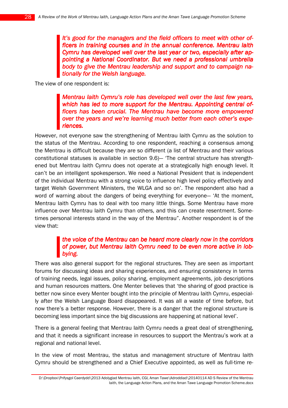It's good for the managers and the field officers to meet with other officers in training courses and in the annual conference. Mentrau laith Cymru has developed well over the last year or two, especially after appointing a National Coordinator. But we need a professional umbrella body to give the Mentrau leadership and support and to campaign nationally for the Welsh language.

The view of one respondent is:

Mentrau Iaith Cymru's role has developed well over the last few years, which has led to more support for the Mentrau. Appointing central officers has been crucial. The Mentrau have become more empowered over the years and we're learning much better from each other's experiences.

However, not everyone saw the strengthening of Mentrau Iaith Cymru as the solution to the status of the Mentrau. According to one respondent, reaching a consensus among the Mentrau is difficult because they are so different (a list of Mentrau and their various constitutional statuses is available in section 9.6)— 'The central structure has strengthened but Mentrau Iaith Cymru does not operate at a strategically high enough level. It can't be an intelligent spokesperson. We need a National President that is independent of the individual Mentrau with a strong voice to influence high level policy effectively and target Welsh Government Ministers, the WLGA and so on'. The respondent also had a word of warning about the dangers of being everything for everyone— 'At the moment, Mentrau Iaith Cymru has to deal with too many little things. Some Mentrau have more influence over Mentrau Iaith Cymru than others, and this can create resentment. Sometimes personal interests stand in the way of the Mentrau". Another respondent is of the view that:

## the voice of the Mentrau can be heard more clearly now in the corridors of power, but Mentrau laith Cymru need to be even more active in lobbying.

There was also general support for the regional structures. They are seen as important forums for discussing ideas and sharing experiences, and ensuring consistency in terms of training needs, legal issues, policy sharing, employment agreements, job descriptions and human resources matters. One Menter believes that 'the sharing of good practice is better now since every Menter bought into the principle of Mentrau Iaith Cymru, especially after the Welsh Language Board disappeared. It was all a waste of time before, but now there's a better response. However, there is a danger that the regional structure is becoming less important since the big discussions are happening at national level'.

There is a general feeling that Mentrau Iaith Cymru needs a great deal of strengthening, and that it needs a significant increase in resources to support the Mentrau's work at a regional and national level.

In the view of most Mentrau, the status and management structure of Mentrau Iaith Cymru should be strengthened and a Chief Executive appointed, as well as full-time re-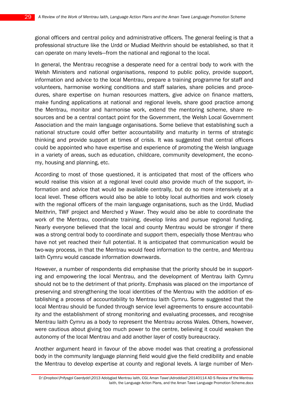gional officers and central policy and administrative officers. The general feeling is that a professional structure like the Urdd or Mudiad Meithrin should be established, so that it can operate on many levels—from the national and regional to the local.

In general, the Mentrau recognise a desperate need for a central body to work with the Welsh Ministers and national organisations, respond to public policy, provide support, information and advice to the local Mentrau, prepare a training programme for staff and volunteers, harmonise working conditions and staff salaries, share policies and procedures, share expertise on human resources matters, give advice on finance matters, make funding applications at national and regional levels, share good practice among the Mentrau, monitor and harmonise work, extend the mentoring scheme, share resources and be a central contact point for the Government, the Welsh Local Government Association and the main language organisations. Some believe that establishing such a national structure could offer better accountability and maturity in terms of strategic thinking and provide support at times of crisis. It was suggested that central officers could be appointed who have expertise and experience of promoting the Welsh language in a variety of areas, such as education, childcare, community development, the economy, housing and planning, etc.

According to most of those questioned, it is anticipated that most of the officers who would realise this vision at a regional level could also provide much of the support, information and advice that would be available centrally, but do so more intensively at a local level. These officers would also be able to lobby local authorities and work closely with the regional officers of the main language organisations, such as the Urdd, Mudiad Meithrin, TWF project and Merched y Wawr. They would also be able to coordinate the work of the Mentrau, coordinate training, develop links and pursue regional funding. Nearly everyone believed that the local and county Mentrau would be stronger if there was a strong central body to coordinate and support them, especially those Mentrau who have not yet reached their full potential. It is anticipated that communication would be two-way process, in that the Mentrau would feed information to the centre, and Mentrau Iaith Cymru would cascade information downwards.

However, a number of respondents did emphasise that the priority should be in supporting and empowering the local Mentrau, and the development of Mentrau Iaith Cymru should not be to the detriment of that priority. Emphasis was placed on the importance of preserving and strengthening the local identities of the Mentrau with the addition of establishing a process of accountability to Mentrau Iaith Cymru. Some suggested that the local Mentrau should be funded through service level agreements to ensure accountability and the establishment of strong monitoring and evaluating processes, and recognise Mentrau Iaith Cymru as a body to represent the Mentrau across Wales. Others, however, were cautious about giving too much power to the centre, believing it could weaken the autonomy of the local Mentrau and add another layer of costly bureaucracy.

Another argument heard in favour of the above model was that creating a professional body in the community language planning field would give the field credibility and enable the Mentrau to develop expertise at county and regional levels. A large number of Men-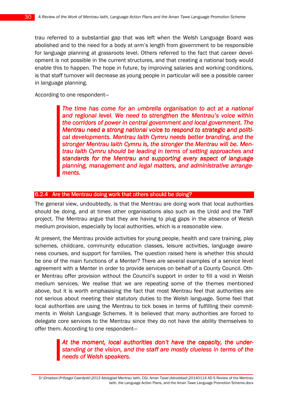trau referred to a substantial gap that was left when the Welsh Language Board was abolished and to the need for a body at arm's length from government to be responsible for language planning at grassroots level. Others referred to the fact that career development is not possible in the current structures, and that creating a national body would enable this to happen. The hope in future, by improving salaries and working conditions, is that staff turnover will decrease as young people in particular will see a possible career in language planning.

According to one respondent—

The time has come for an umbrella organisation to act at a national and regional level. We need to strengthen the Mentrau's voice within the corridors of power in central government and local government. The Mentrau need a strong national voice to respond to strategic and political developments. Mentrau Iaith Cymru needs better branding, and the stronger Mentrau laith Cymru is, the stronger the Mentrau will be. Mentrau laith Cymru should be leading in terms of setting approaches and standards for the Mentrau and supporting every aspect of language planning, management and legal matters, and administrative arrangements.

#### 6.2.4 Are the Mentrau doing work that others should be doing?

The general view, undoubtedly, is that the Mentrau are doing work that local authorities should be doing, and at times other organisations also such as the Urdd and the TWF project. The Mentrau argue that they are having to plug gaps in the absence of Welsh medium provision, especially by local authorities, which is a reasonable view.

At present, the Mentrau provide activities for young people, health and care training, play schemes, childcare, community education classes, leisure activities, language awareness courses, and support for families. The question raised here is whether this should be one of the main functions of a Menter? There are several examples of a service level agreement with a Menter in order to provide services on behalf of a County Council. Other Mentrau offer provision without the Council's support in order to fill a void in Welsh medium services. We realise that we are repeating some of the themes mentioned above, but it is worth emphasising the fact that most Mentrau feel that authorities are not serious about meeting their statutory duties to the Welsh language. Some feel that local authorities are using the Mentrau to tick boxes in terms of fulfilling their commitments in Welsh Language Schemes. It is believed that many authorities are forced to delegate core services to the Mentrau since they do not have the ability themselves to offer them. According to one respondent—

> At the moment, local authorities don't have the capacity, the understanding or the vision, and the staff are mostly clueless in terms of the needs of Welsh speakers.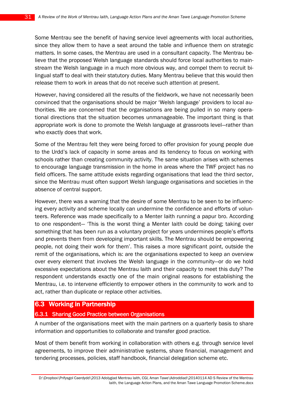Some Mentrau see the benefit of having service level agreements with local authorities, since they allow them to have a seat around the table and influence them on strategic matters. In some cases, the Mentrau are used in a consultant capacity. The Mentrau believe that the proposed Welsh language standards should force local authorities to mainstream the Welsh language in a much more obvious way, and compel them to recruit bilingual staff to deal with their statutory duties. Many Mentrau believe that this would then release them to work in areas that do not receive such attention at present.

However, having considered all the results of the fieldwork, we have not necessarily been convinced that the organisations should be major 'Welsh language' providers to local authorities. We are concerned that the organisations are being pulled in so many operational directions that the situation becomes unmanageable. The important thing is that appropriate work is done to promote the Welsh language at grassroots level—rather than who exactly does that work.

Some of the Mentrau felt they were being forced to offer provision for young people due to the Urdd's lack of capacity in some areas and its tendency to focus on working with schools rather than creating community activity. The same situation arises with schemes to encourage language transmission in the home in areas where the TWF project has no field officers. The same attitude exists regarding organisations that lead the third sector, since the Mentrau must often support Welsh language organisations and societies in the absence of central support.

However, there was a warning that the desire of some Mentrau to be seen to be influencing every activity and scheme locally can undermine the confidence and efforts of volunteers. Reference was made specifically to a Menter Iaith running a papur bro. According to one respondent— 'This is the worst thing a Menter Iaith could be doing; taking over something that has been run as a voluntary project for years undermines people's efforts and prevents them from developing important skills. The Mentrau should be empowering people, not doing their work for them'. This raises a more significant point, outside the remit of the organisations, which is: are the organisations expected to keep an overview over every element that involves the Welsh language in the community—or do we hold excessive expectations about the Mentrau Iaith and their capacity to meet this duty? The respondent understands exactly one of the main original reasons for establishing the Mentrau, i.e. to intervene efficiently to empower others in the community to work and to act, rather than duplicate or replace other activities.

## **6.3 Working in Partnership**

#### 6.3.1 Sharing Good Practice between Organisations

A number of the organisations meet with the main partners on a quarterly basis to share information and opportunities to collaborate and transfer good practice.

Most of them benefit from working in collaboration with others e.g. through service level agreements, to improve their administrative systems, share financial, management and tendering processes, policies, staff handbook, financial delegation scheme etc.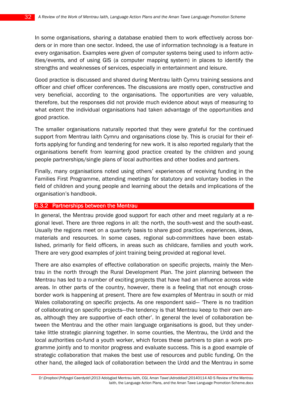In some organisations, sharing a database enabled them to work effectively across borders or in more than one sector. Indeed, the use of information technology is a feature in every organisation. Examples were given of computer systems being used to inform activities/events, and of using GIS (a computer mapping system) in places to identify the strengths and weaknesses of services, especially in entertainment and leisure.

Good practice is discussed and shared during Mentrau Iaith Cymru training sessions and officer and chief officer conferences. The discussions are mostly open, constructive and very beneficial, according to the organisations. The opportunities are very valuable, therefore, but the responses did not provide much evidence about ways of measuring to what extent the individual organisations had taken advantage of the opportunities and good practice.

The smaller organisations naturally reported that they were grateful for the continued support from Mentrau Iaith Cymru and organisations close by. This is crucial for their efforts applying for funding and tendering for new work. It is also reported regularly that the organisations benefit from learning good practice created by the children and young people partnerships/single plans of local authorities and other bodies and partners.

Finally, many organisations noted using others' experiences of receiving funding in the Families First Programme, attending meetings for statutory and voluntary bodies in the field of children and young people and learning about the details and implications of the organisation's handbook.

#### 6.3.2 Partnerships between the Mentrau

In general, the Mentrau provide good support for each other and meet regularly at a regional level. There are three regions in all: the north, the south-west and the south-east. Usually the regions meet on a quarterly basis to share good practice, experiences, ideas, materials and resources. In some cases, regional sub-committees have been established, primarily for field officers, in areas such as childcare, families and youth work. There are very good examples of joint training being provided at regional level.

There are also examples of effective collaboration on specific projects, mainly the Mentrau in the north through the Rural Development Plan. The joint planning between the Mentrau has led to a number of exciting projects that have had an influence across wide areas. In other parts of the country, however, there is a feeling that not enough crossborder work is happening at present. There are few examples of Mentrau in south or mid Wales collaborating on specific projects. As one respondent said— 'There is no tradition of collaborating on specific projects—the tendency is that Mentrau keep to their own areas, although they are supportive of each other'. In general the level of collaboration between the Mentrau and the other main language organisations is good, but they undertake little strategic planning together. In some counties, the Mentrau, the Urdd and the local authorities co-fund a youth worker, which forces these partners to plan a work programme jointly and to monitor progress and evaluate success. This is a good example of strategic collaboration that makes the best use of resources and public funding. On the other hand, the alleged lack of collaboration between the Urdd and the Mentrau in some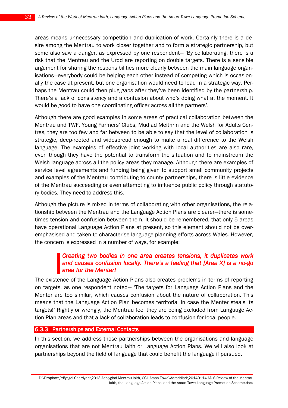areas means unnecessary competition and duplication of work. Certainly there is a desire among the Mentrau to work closer together and to form a strategic partnership, but some also saw a danger, as expressed by one respondent— 'By collaborating, there is a risk that the Mentrau and the Urdd are reporting on double targets. There is a sensible argument for sharing the responsibilities more clearly between the main language organisations—everybody could be helping each other instead of competing which is occasionally the case at present, but one organisation would need to lead in a strategic way. Perhaps the Mentrau could then plug gaps after they've been identified by the partnership. There's a lack of consistency and a confusion about who's doing what at the moment. It would be good to have one coordinating officer across all the partners'.

Although there are good examples in some areas of practical collaboration between the Mentrau and TWF, Young Farmers' Clubs, Mudiad Meithrin and the Welsh for Adults Centres, they are too few and far between to be able to say that the level of collaboration is strategic, deep-rooted and widespread enough to make a real difference to the Welsh language. The examples of effective joint working with local authorities are also rare, even though they have the potential to transform the situation and to mainstream the Welsh language across all the policy areas they manage. Although there are examples of service level agreements and funding being given to support small community projects and examples of the Mentrau contributing to county partnerships, there is little evidence of the Mentrau succeeding or even attempting to influence public policy through statutory bodies. They need to address this.

Although the picture is mixed in terms of collaborating with other organisations, the relationship between the Mentrau and the Language Action Plans are clearer—there is sometimes tension and confusion between them. It should be remembered, that only 5 areas have operational Language Action Plans at present, so this element should not be overemphasised and taken to characterise language planning efforts across Wales. However, the concern is expressed in a number of ways, for example:

## Creating two bodies in one area creates tensions, it duplicates work and causes confusion locally. There's a feeling that  $[Area X]$  is a no-go area for the Menter!

The existence of the Language Action Plans also creates problems in terms of reporting on targets, as one respondent noted— 'The targets for Language Action Plans and the Menter are too similar, which causes confusion about the nature of collaboration. This means that the Language Action Plan becomes territorial in case the Menter steals its targets!' Rightly or wrongly, the Mentrau feel they are being excluded from Language Action Plan areas and that a lack of collaboration leads to confusion for local people.

#### 6.3.3 Partnerships and External Contacts

In this section, we address those partnerships between the organisations and language organisations that are not Mentrau Iaith or Language Action Plans. We will also look at partnerships beyond the field of language that could benefit the language if pursued.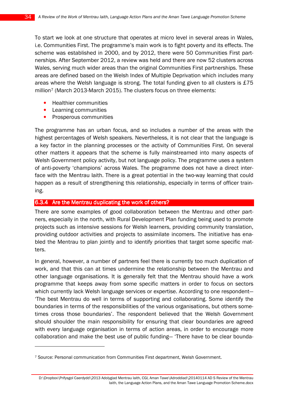To start we look at one structure that operates at micro level in several areas in Wales, i.e. Communities First. The programme's main work is to fight poverty and its effects. The scheme was established in 2000, and by 2012, there were 50 Communities First partnerships. After September 2012, a review was held and there are now 52 clusters across Wales, serving much wider areas than the original Communities First partnerships. These areas are defined based on the Welsh Index of Multiple Deprivation which includes many areas where the Welsh language is strong. The total funding given to all clusters is £75 million<sup>7</sup> (March 2013-March 2015). The clusters focus on three elements:

- Healthier communities
- Learning communities

 $\overline{a}$ 

• Prosperous communities

The programme has an urban focus, and so includes a number of the areas with the highest percentages of Welsh speakers. Nevertheless, it is not clear that the language is a key factor in the planning processes or the activity of Communities First. On several other matters it appears that the scheme is fully mainstreamed into many aspects of Welsh Government policy activity, but not language policy. The programme uses a system of anti-poverty 'champions' across Wales. The programme does not have a direct interface with the Mentrau Iaith. There is a great potential in the two-way learning that could happen as a result of strengthening this relationship, especially in terms of officer training.

#### 6.3.4 Are the Mentrau duplicating the work of others?

There are some examples of good collaboration between the Mentrau and other partners, especially in the north, with Rural Development Plan funding being used to promote projects such as intensive sessions for Welsh learners, providing community translation, providing outdoor activities and projects to assimilate incomers. The initiative has enabled the Mentrau to plan jointly and to identify priorities that target some specific matters.

In general, however, a number of partners feel there is currently too much duplication of work, and that this can at times undermine the relationship between the Mentrau and other language organisations. It is generally felt that the Mentrau should have a work programme that keeps away from some specific matters in order to focus on sectors which currently lack Welsh language services or expertise. According to one respondent— 'The best Mentrau do well in terms of supporting and collaborating. Some identify the boundaries in terms of the responsibilities of the various organisations, but others sometimes cross those boundaries'. The respondent believed that the Welsh Government should shoulder the main responsibility for ensuring that clear boundaries are agreed with every language organisation in terms of action areas, in order to encourage more collaboration and make the best use of public funding— 'There have to be clear bounda-

<sup>7</sup> Source: Personal communication from Communities First department, Welsh Government.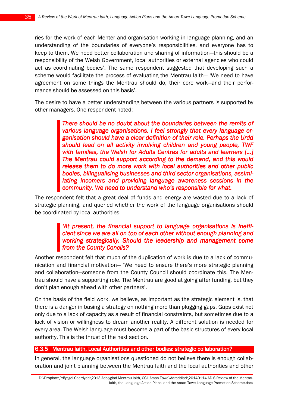ries for the work of each Menter and organisation working in language planning, and an understanding of the boundaries of everyone's responsibilities, and everyone has to keep to them. We need better collaboration and sharing of information—this should be a responsibility of the Welsh Government, local authorities or external agencies who could act as coordinating bodies'. The same respondent suggested that developing such a scheme would facilitate the process of evaluating the Mentrau Iaith— 'We need to have agreement on some things the Mentrau should do, their core work—and their performance should be assessed on this basis'.

The desire to have a better understanding between the various partners is supported by other managers. One respondent noted:

> There should be no doubt about the boundaries between the remits of various language organisations. I feel strongly that every language organisation should have a clear definition of their role. Perhaps the Urdd should lead on all activity involving children and young people, TWF with families, the Welsh for Adults Centres for adults and learners [...] The Mentrau could support according to the demand, and this would release them to do more work with local authorities and other public bodies, bilingualising businesses and third sector organisations, assimilating incomers and providing language awareness sessions in the community. We need to understand who's responsible for what.

The respondent felt that a great deal of funds and energy are wasted due to a lack of strategic planning, and queried whether the work of the language organisations should be coordinated by local authorities.

## 'At present, the financial support to language organisations is inefficient since we are all on top of each other without enough planning and working strategically. Should the leadership and management come from the County Concils?

Another respondent felt that much of the duplication of work is due to a lack of communication and financial motivation— 'We need to ensure there's more strategic planning and collaboration—someone from the County Council should coordinate this. The Mentrau should have a supporting role. The Mentrau are good at going after funding, but they don't plan enough ahead with other partners'.

On the basis of the field work, we believe, as important as the strategic element is, that there is a danger in basing a strategy on nothing more than plugging gaps. Gaps exist not only due to a lack of capacity as a result of financial constraints, but sometimes due to a lack of vision or willingness to dream another reality. A different solution is needed for every area. The Welsh language must become a part of the basic structures of every local authority. This is the thrust of the next section.

#### 6.3.5 Mentrau laith, Local Authorities and other bodies: strategic collaboration?

In general, the language organisations questioned do not believe there is enough collaboration and joint planning between the Mentrau Iaith and the local authorities and other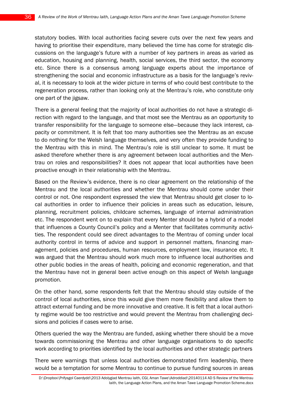statutory bodies. With local authorities facing severe cuts over the next few years and having to prioritise their expenditure, many believed the time has come for strategic discussions on the language's future with a number of key partners in areas as varied as education, housing and planning, health, social services, the third sector, the economy etc. Since there is a consensus among language experts about the importance of strengthening the social and economic infrastructure as a basis for the language's revival, it is necessary to look at the wider picture in terms of who could best contribute to the regeneration process, rather than looking only at the Mentrau's role, who constitute only one part of the jigsaw.

There is a general feeling that the majority of local authorities do not have a strategic direction with regard to the language, and that most see the Mentrau as an opportunity to transfer responsibility for the language to someone else—because they lack interest, capacity or commitment. It is felt that too many authorities see the Mentrau as an excuse to do nothing for the Welsh language themselves, and very often they provide funding to the Mentrau with this in mind. The Mentrau's role is still unclear to some. It must be asked therefore whether there is any agreement between local authorities and the Mentrau on roles and responsibilities? It does not appear that local authorities have been proactive enough in their relationship with the Mentrau.

Based on the Review's evidence, there is no clear agreement on the relationship of the Mentrau and the local authorities and whether the Mentrau should come under their control or not. One respondent expressed the view that Mentrau should get closer to local authorities in order to influence their policies in areas such as education, leisure, planning, recruitment policies, childcare schemes, language of internal administration etc. The respondent went on to explain that every Menter should be a hybrid of a model that influences a County Council's policy and a Menter that facilitates community activities. The respondent could see direct advantages to the Mentrau of coming under local authority control in terms of advice and support in personnel matters, financing management, policies and procedures, human resources, employment law, insurance etc. It was argued that the Mentrau should work much more to influence local authorities and other public bodies in the areas of health, policing and economic regeneration, and that the Mentrau have not in general been active enough on this aspect of Welsh language promotion.

On the other hand, some respondents felt that the Mentrau should stay outside of the control of local authorities, since this would give them more flexibility and allow them to attract external funding and be more innovative and creative. It is felt that a local authority regime would be too restrictive and would prevent the Mentrau from challenging decisions and policies if cases were to arise.

Others queried the way the Mentrau are funded, asking whether there should be a move towards commissioning the Mentrau and other language organisations to do specific work according to priorities identified by the local authorities and other strategic partners

There were warnings that unless local authorities demonstrated firm leadership, there would be a temptation for some Mentrau to continue to pursue funding sources in areas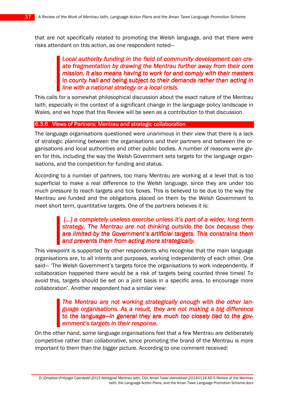that are not specifically related to promoting the Welsh language, and that there were risks attendant on this action, as one respondent noted—

> Local authority funding in the field of community development can create fragmentation by drawing the Mentrau further away from their core mission. It also means having to work for and comply with their masters in county hall and being subject to their demands rather than acting in line with a national strategy or a local crisis.

This calls for a somewhat philosophical discussion about the exact nature of the Mentrau Iaith, especially in the context of a significant change in the language policy landscape in Wales, and we hope that this Review will be seen as a contribution to that discussion.

### 6.3.6 VIews of Partners: Mentrau and strategic collaboration

The language organisations questioned were unanimous in their view that there is a lack of strategic planning between the organisations and their partners and between the organisations and local authorities and other public bodies. A number of reasons were given for this, including the way the Welsh Government sets targets for the language organisations, and the competition for funding and status.

According to a number of partners, too many Mentrau are working at a level that is too superficial to make a real difference to the Welsh language, since they are under too much pressure to reach targets and tick boxes. This is believed to be due to the way the Mentrau are funded and the obligations placed on them by the Welsh Government to meet short term, quantitative targets. One of the partners believes it is:

# [...] a completely useless exercise unless it's part of a wider, long term strategy. The Mentrau are not thinking outside the box because they are limited by the Government's artificial targets. This constrains them and prevents them from acting more strategically.

This viewpoint is supported by other respondents who recognise that the main language organisations are, to all intents and purposes, working independently of each other. One said— 'The Welsh Government's targets force the organisations to work independently. If collaboration happened there would be a risk of targets being counted three times! To avoid this, targets should be set on a joint basis in a specific area, to encourage more collaboration'. Another respondent had a similar view:

## The Mentrau are not working strategically enough with the other language organisations. As a result, they are not making a big difference to the language—in general they are much too closely tied to the government's targets in their response.

On the other hand, some language organisations feel that a few Mentrau are deliberately competitive rather than collaborative, since promoting the brand of the Mentrau is more important to them than the bigger picture. According to one comment received: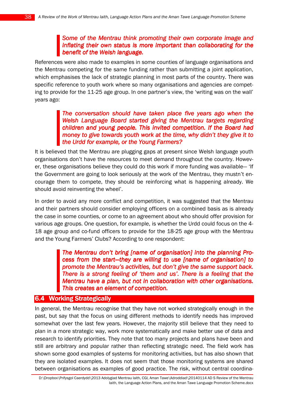## Some of the Mentrau think promoting their own corporate image and inflating their own status is more important than collaborating for the benefit of the Welsh language.

References were also made to examples in some counties of language organisations and the Mentrau competing for the same funding rather than submitting a joint application, which emphasises the lack of strategic planning in most parts of the country. There was specific reference to youth work where so many organisations and agencies are competing to provide for the 11-25 age group. In one partner's view, the 'writing was on the wall' years ago:

## The conversation should have taken place five years ago when the Welsh Language Board started giving the Mentrau targets regarding children and young people. This invited competition. If the Board had money to give towards youth work at the time, why didn't they give it to the Urdd for example, or the Young Farmers?

It is believed that the Mentrau are plugging gaps at present since Welsh language youth organisations don't have the resources to meet demand throughout the country. However, these organisations believe they could do this work if more funding was available— 'If the Government are going to look seriously at the work of the Mentrau, they mustn't encourage them to compete, they should be reinforcing what is happening already. We should avoid reinventing the wheel'.

In order to avoid any more conflict and competition, it was suggested that the Mentrau and their partners should consider employing officers on a combined basis as is already the case in some counties, or come to an agreement about who should offer provision for various age groups. One question, for example, is whether the Urdd could focus on the 4- 18 age group and co-fund officers to provide for the 18-25 age group with the Mentrau and the Young Farmers' Clubs? According to one respondent:

> The Mentrau don't bring [name of organisation] into the planning Process from the start—they are willing to use [name of organisation] to promote the Mentrau's activities, but don't give the same support back. There is a strong feeling of 'them and us'. There is a feeling that the Mentrau have a plan, but not in collaboration with other organisations. This creates an element of competition.

## 6.4 Working Strategically

In general, the Mentrau recognise that they have not worked strategically enough in the past, but say that the focus on using different methods to identify needs has improved somewhat over the last few years. However, the majority still believe that they need to plan in a more strategic way, work more systematically and make better use of data and research to identify priorities. They note that too many projects and plans have been and still are arbitrary and popular rather than reflecting strategic need. The field work has shown some good examples of systems for monitoring activities, but has also shown that they are isolated examples. It does not seem that those monitoring systems are shared between organisations as examples of good practice. The risk, without central coordina-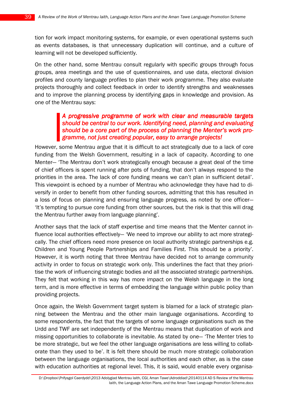tion for work impact monitoring systems, for example, or even operational systems such as events databases, is that unnecessary duplication will continue, and a culture of learning will not be developed sufficiently.

On the other hand, some Mentrau consult regularly with specific groups through focus groups, area meetings and the use of questionnaires, and use data, electoral division profiles and county language profiles to plan their work programme. They also evaluate projects thoroughly and collect feedback in order to identify strengths and weaknesses and to improve the planning process by identifying gaps in knowledge and provision. As one of the Mentrau says:

## A progressive programme of work with clear and measurable targets should be central to our work. Identifying need, planning and evaluating should be a core part of the process of planning the Menter's work programme, not just creating popular, easy to arrange projects!

However, some Mentrau argue that it is difficult to act strategically due to a lack of core funding from the Welsh Government, resulting in a lack of capacity. According to one Menter— 'The Mentrau don't work strategically enough because a great deal of the time of chief officers is spent running after pots of funding, that don't always respond to the priorities in the area. The lack of core funding means we can't plan in sufficient detail'. This viewpoint is echoed by a number of Mentrau who acknowledge they have had to diversify in order to benefit from other funding sources, admitting that this has resulted in a loss of focus on planning and ensuring language progress, as noted by one officer— 'It's tempting to pursue core funding from other sources, but the risk is that this will drag the Mentrau further away from language planning'.

Another says that the lack of staff expertise and time means that the Menter cannot influence local authorities effectively— 'We need to improve our ability to act more strategically. The chief officers need more presence on local authority strategic partnerships e.g. Children and Young People Partnerships and Families First. This should be a priority'. However, it is worth noting that three Mentrau have decided not to arrange community activity in order to focus on strategic work only. This underlines the fact that they prioritise the work of influencing strategic bodies and all the associated strategic partnerships. They felt that working in this way has more impact on the Welsh language in the long term, and is more effective in terms of embedding the language within public policy than providing projects.

Once again, the Welsh Government target system is blamed for a lack of strategic planning between the Mentrau and the other main language organisations. According to some respondents, the fact that the targets of some language organisations such as the Urdd and TWF are set independently of the Mentrau means that duplication of work and missing opportunities to collaborate is inevitable. As stated by one— 'The Menter tries to be more strategic, but we feel the other language organisations are less willing to collaborate than they used to be'. It is felt there should be much more strategic collaboration between the language organisations, the local authorities and each other, as is the case with education authorities at regional level. This, it is said, would enable every organisa-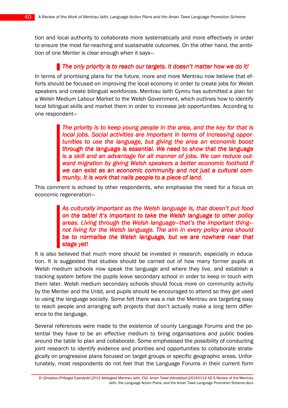tion and local authority to collaborate more systematically and more effectively in order to ensure the most far-reaching and sustainable outcomes. On the other hand, the ambition of one Menter is clear enough when it says—

## The only priority is to reach our targets. It doesn't matter how we do it!

In terms of prioritising plans for the future, more and more Mentrau now believe that efforts should be focused on improving the local economy in order to create jobs for Welsh speakers and create bilingual workforces. Mentrau Iaith Cymru has submitted a plan for a Welsh Medium Labour Market to the Welsh Government, which outlines how to identify local bilingual skills and market them in order to increase job opportunities. According to one respondent—

> The priority is to keep young people in the area, and the key for that is local jobs. Social activities are important in terms of increasing opportunities to use the language, but giving the area an economic boost through the language is essential. We need to show that the language is a skill and an advantage for all manner of jobs. We can reduce outward migration by giving Welsh speakers a better economic foothold if we can exist as an economic community and not just a cultural community. It is work that nails people to a piece of land.

This comment is echoed by other respondents, who emphasise the need for a focus on economic regeneration—

> As culturally important as the Welsh language is, that doesn't put food on the table! It's important to take the Welsh language to other policy areas. Living through the Welsh language—that's the important thingnot living for the Welsh language. The aim in every policy area should be to normalise the Welsh language, but we are nowhere near that stage yet!

It is also believed that much more should be invested in research, especially in education. It is suggested that studies should be carried out of how many former pupils at Welsh medium schools now speak the language and where they live, and establish a tracking system before the pupils leave secondary school in order to keep in touch with them later. Welsh medium secondary schools should focus more on community activity by the Menter and the Urdd, and pupils should be encouraged to attend so they get used to using the language socially. Some felt there was a risk the Mentrau are targeting easy to reach people and arranging soft projects that don't actually make a long term difference to the language.

Several references were made to the existence of county Language Forums and the potential they have to be an effective medium to bring organisations and public bodies around the table to plan and collaborate. Some emphasised the possibility of conducting joint research to identify evidence and priorities and opportunities to collaborate strategically on progressive plans focused on target groups or specific geographic areas. Unfortunately, most respondents do not feel that the Language Forums in their current form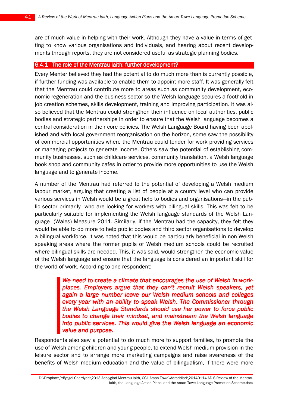are of much value in helping with their work. Although they have a value in terms of getting to know various organisations and individuals, and hearing about recent developments through reports, they are not considered useful as strategic planning bodies.

### 6.4.1 The role of the Mentrau Iaith: further development?

Every Menter believed they had the potential to do much more than is currently possible, if further funding was available to enable them to appoint more staff. It was generally felt that the Mentrau could contribute more to areas such as community development, economic regeneration and the business sector so the Welsh language secures a foothold in job creation schemes, skills development, training and improving participation. It was also believed that the Mentrau could strengthen their influence on local authorities, public bodies and strategic partnerships in order to ensure that the Welsh language becomes a central consideration in their core policies. The Welsh Language Board having been abolished and with local government reorganisation on the horizon, some saw the possibility of commercial opportunities where the Mentrau could tender for work providing services or managing projects to generate income. Others saw the potential of establishing community businesses, such as childcare services, community translation, a Welsh language book shop and community cafes in order to provide more opportunities to use the Welsh language and to generate income.

A number of the Mentrau had referred to the potential of developing a Welsh medium labour market, arguing that creating a list of people at a county level who can provide various services in Welsh would be a great help to bodies and organisations—in the public sector primarily—who are looking for workers with bilingual skills. This was felt to be particularly suitable for implementing the Welsh language standards of the Welsh Language (Wales) Measure 2011. Similarly, if the Mentrau had the capacity, they felt they would be able to do more to help public bodies and third sector organisations to develop a bilingual workforce. It was noted that this would be particularly beneficial in non-Welsh speaking areas where the former pupils of Welsh medium schools could be recruited where bilingual skills are needed. This, it was said, would strengthen the economic value of the Welsh language and ensure that the language is considered an important skill for the world of work. According to one respondent:

> We need to create a climate that encourages the use of Welsh in workplaces. Employers argue that they can't recruit Welsh speakers, yet again a large number leave our Welsh medium schools and colleges every year with an ability to speak Welsh. The Commissioner through the Welsh Language Standards should use her power to force public bodies to change their mindset, and mainstream the Welsh language into public services. This would give the Welsh language an economic value and purpose.

Respondents also saw a potential to do much more to support families, to promote the use of Welsh among children and young people, to extend Welsh medium provision in the leisure sector and to arrange more marketing campaigns and raise awareness of the benefits of Welsh medium education and the value of bilingualism, if there were more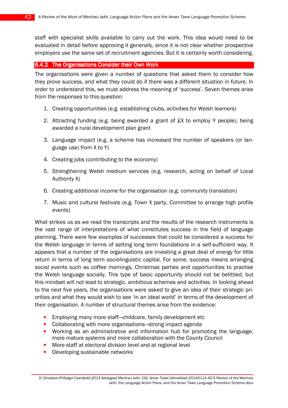staff with specialist skills available to carry out the work. This idea would need to be evaluated in detail before approving it generally, since it is not clear whether prospective employers use the same set of recruitment agencies. But it is certainly worth considering.

#### 6.4.2 The Organisations Consider their Own Work

The organisations were given a number of questions that asked them to consider how they prove success, and what they could do if there was a different situation in future. In order to understand this, we must address the meaning of 'success'. Seven themes arise from the responses to this question:

- 1. Creating opportunities (e.g. establishing clubs, activities for Welsh learners)
- 2. Attracting funding (e.g. being awarded a grant of £X to employ Y people), being awarded a rural development plan grant
- 3. Language impact (e.g. a scheme has increased the number of speakers (or language use) from X to Y)
- 4. Creating jobs (contributing to the economy)
- 5. Strengthening Welsh medium services (e.g. research, acting on behalf of Local Authority X)
- 6. Creating additional income for the organisation (e.g. community translation)
- 7. Music and cultural festivals (e.g. Town X party, Committee to arrange high profile events)

What strikes us as we read the transcripts and the results of the research instruments is the vast range of interpretations of what constitutes success in the field of language planning. There were few examples of successes that could be considered a success for the Welsh language in terms of setting long term foundations in a self-sufficient way. It appears that a number of the organisations are investing a great deal of energy for little return in terms of long term sociolinguistic capital. For some, success means arranging social events such as coffee mornings, Christmas parties and opportunities to practise the Welsh language socially. This type of basic opportunity should not be belittled, but this mindset will not lead to strategic, ambitious schemes and activities. In looking ahead to the next five years, the organisations were asked to give an idea of their strategic priorities and what they would wish to see 'in an ideal world' in terms of the development of their organisation. A number of structural themes arise from the evidence:

- Employing many more staff-childcare, family development etc
- Collaborating with more organisations—strong impact agenda
- Working as an administrative and information hub for promoting the language, more mature systems and more collaboration with the County Council
- More staff at electoral division level and at regional level
- Developing sustainable networks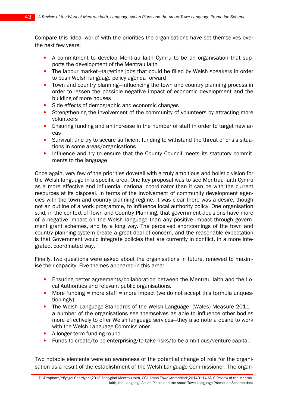Compare this 'ideal world' with the priorities the organisations have set themselves over the next few years:

- A commitment to develop Mentrau Iaith Cymru to be an organisation that supports the development of the Mentrau Iaith
- The labour market—targeting jobs that could be filled by Welsh speakers in order to push Welsh language policy agenda forward
- Town and country planning—influencing the town and country planning process in order to lessen the possible negative impact of economic development and the building of more houses
- Side effects of demographic and economic changes
- Strengthening the involvement of the community of volunteers by attracting more volunteers
- Ensuring funding and an increase in the number of staff in order to target new areas
- Survival: and try to secure sufficient funding to withstand the threat of crisis situations in some areas/organisations
- Influence and try to ensure that the County Council meets its statutory commitments to the language

Once again, very few of the priorities dovetail with a truly ambitious and holistic vision for the Welsh language in a specific area. One key proposal was to see Mentrau Iaith Cymru as a more effective and influential national coordinator than it can be with the current resources at its disposal. In terms of the involvement of community development agencies with the town and country planning regime, it was clear there was a desire, though not an outline of a work programme, to influence local authority policy. One organisation said, in the context of Town and Country Planning, that government decisions have more of a negative impact on the Welsh language than any positive impact through government grant schemes, and by a long way. The perceived shortcomings of the town and country planning system create a great deal of concern, and the reasonable expectation is that Government would integrate policies that are currently in conflict, in a more integrated, coordinated way.

Finally, two questions were asked about the organisations in future, renewed to maximise their capacity. Five themes appeared in this area:

- Ensuring better agreements/collaboration between the Mentrau Iaith and the Local Authorities and relevant public organisations.
- More funding = more staff = more impact (we do not accept this formula unquestioningly).
- The Welsh Language Standards of the Welsh Language (Wales) Measure 2011– a number of the organisations see themselves as able to influence other bodies more effectively to offer Welsh language services—they also note a desire to work with the Welsh Language Commissioner.
- A longer term funding round.
- Funds to create/to be enterprising/to take risks/to be ambitious/venture capital.

Two notable elements were an awareness of the potential change of role for the organisation as a result of the establishment of the Welsh Language Commissioner. The organ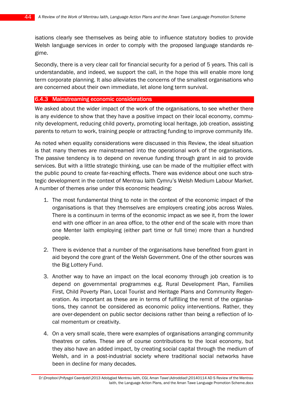isations clearly see themselves as being able to influence statutory bodies to provide Welsh language services in order to comply with the proposed language standards regime.

Secondly, there is a very clear call for financial security for a period of 5 years. This call is understandable, and indeed, we support the call, in the hope this will enable more long term corporate planning. It also alleviates the concerns of the smallest organisations who are concerned about their own immediate, let alone long term survival.

#### 6.4.3 Mainstreaming economic considerations

We asked about the wider impact of the work of the organisations, to see whether there is any evidence to show that they have a positive impact on their local economy, community development, reducing child poverty, promoting local heritage, job creation, assisting parents to return to work, training people or attracting funding to improve community life.

As noted when equality considerations were discussed in this Review, the ideal situation is that many themes are mainstreamed into the operational work of the organisations. The passive tendency is to depend on revenue funding through grant in aid to provide services. But with a little strategic thinking, use can be made of the multiplier effect with the public pound to create far-reaching effects. There was evidence about one such strategic development in the context of Mentrau Iaith Cymru's Welsh Medium Labour Market. A number of themes arise under this economic heading:

- 1. The most fundamental thing to note in the context of the economic impact of the organisations is that they themselves are employers creating jobs across Wales. There is a continuum in terms of the economic impact as we see it, from the lower end with one officer in an area office, to the other end of the scale with more than one Menter Iaith employing (either part time or full time) more than a hundred people.
- 2. There is evidence that a number of the organisations have benefited from grant in aid beyond the core grant of the Welsh Government. One of the other sources was the Big Lottery Fund.
- 3. Another way to have an impact on the local economy through job creation is to depend on governmental programmes e.g. Rural Development Plan, Families First, Child Poverty Plan, Local Tourist and Heritage Plans and Community Regeneration. As important as these are in terms of fulfilling the remit of the organisations, they cannot be considered as economic policy interventions. Rather, they are over-dependent on public sector decisions rather than being a reflection of local momentum or creativity.
- 4. On a very small scale, there were examples of organisations arranging community theatres or cafes. These are of course contributions to the local economy, but they also have an added impact, by creating social capital through the medium of Welsh, and in a post-industrial society where traditional social networks have been in decline for many decades.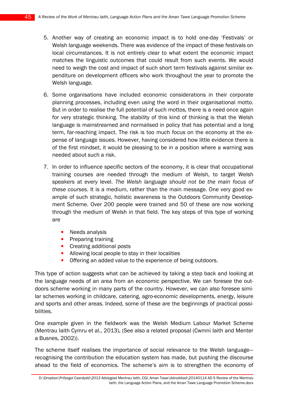- 5. Another way of creating an economic impact is to hold one-day 'Festivals' or Welsh language weekends. There was evidence of the impact of these festivals on local circumstances. It is not entirely clear to what extent the economic impact matches the linguistic outcomes that could result from such events. We would need to weigh the cost and impact of such short term festivals against similar expenditure on development officers who work throughout the year to promote the Welsh language.
- 6. Some organisations have included economic considerations in their corporate planning processes, including even using the word in their organisational motto. But in order to realise the full potential of such mottos, there is a need once again for very strategic thinking. The stability of this kind of thinking is that the Welsh language is mainstreamed and normalised in policy that has potential and a long term, far-reaching impact. The risk is too much focus on the economy at the expense of language issues. However, having considered how little evidence there is of the first mindset, it would be pleasing to be in a position where a warning was needed about such a risk.
- 7. In order to influence specific sectors of the economy, it is clear that occupational training courses are needed through the medium of Welsh, to target Welsh speakers at every level. The Welsh language should not be the main focus of these courses. It is a medium, rather than the main message. One very good example of such strategic, holistic awareness is the Outdoors Community Development Scheme. Over 200 people were trained and 50 of these are now working through the medium of Welsh in that field. The key steps of this type of working are
	- Needs analysis
	- Preparing training
	- Creating additional posts
	- Allowing local people to stay in their localities
	- Offering an added value to the experience of being outdoors.

This type of action suggests what can be achieved by taking a step back and looking at the language needs of an area from an economic perspective. We can foresee the outdoors scheme working in many parts of the country. However, we can also foresee similar schemes working in childcare, catering, agro-economic developments, energy, leisure and sports and other areas. Indeed, some of these are the beginnings of practical possibilities.

One example given in the fieldwork was the Welsh Medium Labour Market Scheme (Mentrau Iaith Cymru et al., 2013).(See also a related proposal(Cwmni Iaith and Menter a Busnes, 2002)).

The scheme itself realises the importance of social relevance to the Welsh language recognising the contribution the education system has made, but pushing the discourse ahead to the field of economics. The scheme's aim is to strengthen the economy of

D:\Dropbox\Prifysgol Caerdydd\2013 Adolygiad Mentrau Iaith, CGI, Aman Tawe\Adroddiad\20140114 AD S Review of the Mentrau Iaith, the Language Action Plans, and the Aman Tawe Language Promotion Scheme.docx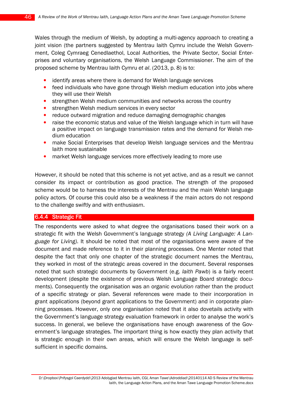Wales through the medium of Welsh, by adopting a multi-agency approach to creating a joint vision (the partners suggested by Mentrau Iaith Cymru include the Welsh Government, Coleg Cymraeg Cenedlaethol, Local Authorities, the Private Sector, Social Enterprises and voluntary organisations, the Welsh Language Commissioner. The aim of the proposed scheme by Mentrau Iaith Cymru et al. (2013, p. 8) is to:

- identify areas where there is demand for Welsh language services
- feed individuals who have gone through Welsh medium education into jobs where they will use their Welsh
- strengthen Welsh medium communities and networks across the country
- strengthen Welsh medium services in every sector
- reduce outward migration and reduce damaging demographic changes
- raise the economic status and value of the Welsh language which in turn will have a positive impact on language transmission rates and the demand for Welsh medium education
- make Social Enterprises that develop Welsh language services and the Mentrau Iaith more sustainable
- market Welsh language services more effectively leading to more use

However, it should be noted that this scheme is not yet active, and as a result we cannot consider its impact or contribution as good practice. The strength of the proposed scheme would be to harness the interests of the Mentrau and the main Welsh language policy actors. Of course this could also be a weakness if the main actors do not respond to the challenge swiftly and with enthusiasm.

#### 6.4.4 Strategic Fit

The respondents were asked to what degree the organisations based their work on a strategic fit with the Welsh Government's language strategy (A Living Language: A Language for Living). It should be noted that most of the organisations were aware of the document and made reference to it in their planning processes. One Menter noted that despite the fact that only one chapter of the strategic document names the Mentrau, they worked in most of the strategic areas covered in the document. Several responses noted that such strategic documents by Government (e.g. Iaith Pawb) is a fairly recent development (despite the existence of previous Welsh Language Board strategic documents). Consequently the organisation was an organic evolution rather than the product of a specific strategy or plan. Several references were made to their incorporation in grant applications (beyond grant applications to the Government) and in corporate planning processes. However, only one organisation noted that it also dovetails activity with the Government's language strategy evaluation framework in order to analyse the work's success. In general, we believe the organisations have enough awareness of the Government's language strategies. The important thing is how exactly they plan activity that is strategic enough in their own areas, which will ensure the Welsh language is selfsufficient in specific domains.

D:\Dropbox\Prifysgol Caerdydd\2013 Adolygiad Mentrau Iaith, CGI, Aman Tawe\Adroddiad\20140114 AD S Review of the Mentrau Iaith, the Language Action Plans, and the Aman Tawe Language Promotion Scheme.docx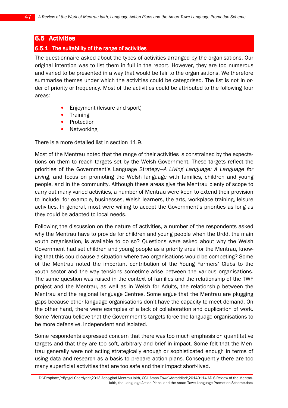### **6.5 Activities**

#### 6.5.1 The suitability of the range of activities

The questionnaire asked about the types of activities arranged by the organisations. Our original intention was to list them in full in the report. However, they are too numerous and varied to be presented in a way that would be fair to the organisations. We therefore summarise themes under which the activities could be categorised. The list is not in order of priority or frequency. Most of the activities could be attributed to the following four areas:

- Enjoyment (leisure and sport)
- **Training**
- **Protection**
- **Networking**

There is a more detailed list in section 11.9.

Most of the Mentrau noted that the range of their activities is constrained by the expectations on them to reach targets set by the Welsh Government. These targets reflect the priorities of the Government's Language Strategy—A Living Language: A Language for Living, and focus on promoting the Welsh language with families, children and young people, and in the community. Although these areas give the Mentrau plenty of scope to carry out many varied activities, a number of Mentrau were keen to extend their provision to include, for example, businesses, Welsh learners, the arts, workplace training, leisure activities. In general, most were willing to accept the Government's priorities as long as they could be adapted to local needs.

Following the discussion on the nature of activities, a number of the respondents asked why the Mentrau have to provide for children and young people when the Urdd, the main youth organisation, is available to do so? Questions were asked about why the Welsh Government had set children and young people as a priority area for the Mentrau, knowing that this could cause a situation where two organisations would be competing? Some of the Mentrau noted the important contribution of the Young Farmers' Clubs to the youth sector and the way tensions sometime arise between the various organisations. The same question was raised in the context of families and the relationship of the TWF project and the Mentrau, as well as in Welsh for Adults, the relationship between the Mentrau and the regional language Centres. Some argue that the Mentrau are plugging gaps because other language organisations don't have the capacity to meet demand. On the other hand, there were examples of a lack of collaboration and duplication of work. Some Mentrau believe that the Government's targets force the language organisations to be more defensive, independent and isolated.

Some respondents expressed concern that there was too much emphasis on quantitative targets and that they are too soft, arbitrary and brief in impact. Some felt that the Mentrau generally were not acting strategically enough or sophisticated enough in terms of using data and research as a basis to prepare action plans. Consequently there are too many superficial activities that are too safe and their impact short-lived.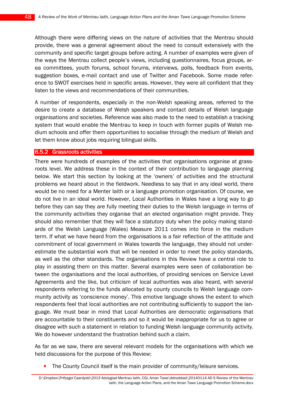Although there were differing views on the nature of activities that the Mentrau should provide, there was a general agreement about the need to consult extensively with the community and specific target groups before acting. A number of examples were given of the ways the Mentrau collect people's views, including questionnaires, focus groups, area committees, youth forums, school forums, interviews, polls, feedback from events, suggestion boxes, e-mail contact and use of Twitter and Facebook. Some made reference to SWOT exercises held in specific areas. However, they were all confident that they listen to the views and recommendations of their communities.

A number of respondents, especially in the non-Welsh speaking areas, referred to the desire to create a database of Welsh speakers and contact details of Welsh language organisations and societies. Reference was also made to the need to establish a tracking system that would enable the Mentrau to keep in touch with former pupils of Welsh medium schools and offer them opportunities to socialise through the medium of Welsh and let them know about jobs requiring bilingual skills.

#### 6.5.2 Grassroots activities

There were hundreds of examples of the activities that organisations organise at grassroots level. We address these in the context of their contribution to language planning below. We start this section by looking at the 'owners' of activities and the structural problems we heard about in the fieldwork. Needless to say that in any ideal world, there would be no need for a Menter Iaith or a language promotion organisation. Of course, we do not live in an ideal world. However, Local Authorities in Wales have a long way to go before they can say they are fully meeting their duties to the Welsh language in terms of the community activities they organise that an elected organisation might provide. They should also remember that they will face a statutory duty when the policy making standards of the Welsh Language (Wales) Measure 2011 comes into force in the medium term. If what we have heard from the organisations is a fair reflection of the attitude and commitment of local government in Wales towards the language, they should not underestimate the substantial work that will be needed in order to meet the policy standards, as well as the other standards. The organisations in this Review have a central role to play in assisting them on this matter. Several examples were seen of collaboration between the organisations and the local authorities, of providing services on Service Level Agreements and the like, but criticism of local authorities was also heard, with several respondents referring to the funds allocated by county councils to Welsh language community activity as 'conscience money'. This emotive language shows the extent to which respondents feel that local authorities are not contributing sufficiently to support the language. We must bear in mind that Local Authorities are democratic organisations that are accountable to their constituents and so it would be inappropriate for us to agree or disagree with such a statement in relation to funding Welsh language community activity. We do however understand the frustration behind such a claim.

As far as we saw, there are several relevant models for the organisations with which we held discussions for the purpose of this Review:

The County Council itself is the main provider of community/leisure services.

D:\Dropbox\Prifysgol Caerdydd\2013 Adolygiad Mentrau Iaith, CGI, Aman Tawe\Adroddiad\20140114 AD S Review of the Mentrau Iaith, the Language Action Plans, and the Aman Tawe Language Promotion Scheme.docx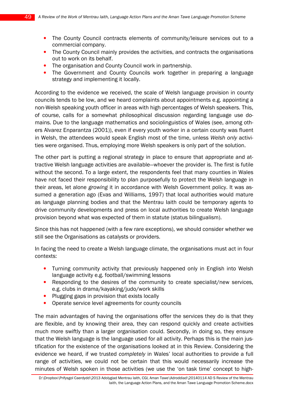- The County Council contracts elements of community/leisure services out to a commercial company.
- The County Council mainly provides the activities, and contracts the organisations out to work on its behalf.
- The organisation and County Council work in partnership.
- The Government and County Councils work together in preparing a language strategy and implementing it locally.

According to the evidence we received, the scale of Welsh language provision in county councils tends to be low, and we heard complaints about appointments e.g. appointing a non-Welsh speaking youth officer in areas with high percentages of Welsh speakers. This, of course, calls for a somewhat philosophical discussion regarding language use domains. Due to the language mathematics and sociolinguistics of Wales (see, among others Alvarez Enparantza (2001)), even if every youth worker in a certain county was fluent in Welsh, the attendees would speak English most of the time, unless Welsh only activities were organised. Thus, employing more Welsh speakers is only part of the solution.

The other part is putting a regional strategy in place to ensure that appropriate and attractive Welsh language activities are available—whoever the provider is. The first is futile without the second. To a large extent, the respondents feel that many counties in Wales have not faced their responsibility to plan purposefully to protect the Welsh language in their areas, let alone growing it in accordance with Welsh Government policy. It was assumed a generation ago (Evas and Williams, 1997) that local authorities would mature as language planning bodies and that the Mentrau Iaith could be temporary agents to drive community developments and press on local authorities to create Welsh language provision beyond what was expected of them in statute (status bilingualism).

Since this has not happened (with a few rare exceptions), we should consider whether we still see the Organisations as catalysts or providers.

In facing the need to create a Welsh language climate, the organisations must act in four contexts:

- Turning community activity that previously happened only in English into Welsh language activity e.g. football/swimming lessons
- Responding to the desires of the community to create specialist/new services, e.g. clubs in drama/kayaking/judo/work skills
- Plugging gaps in provision that exists locally
- Operate service level agreements for county councils

The main advantages of having the organisations offer the services they do is that they are flexible, and by knowing their area, they can respond quickly and create activities much more swiftly than a larger organisation could. Secondly, in doing so, they ensure that the Welsh language is the language used for all activity. Perhaps this is the main justification for the existence of the organisations looked at in this Review. Considering the evidence we heard, if we trusted completely in Wales' local authorities to provide a full range of activities, we could not be certain that this would necessarily increase the minutes of Welsh spoken in those activities (we use the 'on task time' concept to high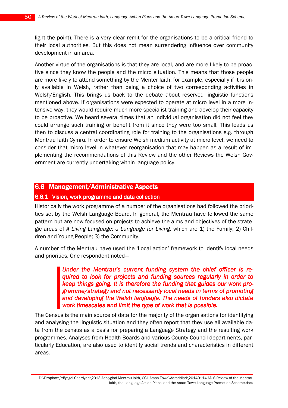light the point). There is a very clear remit for the organisations to be a critical friend to their local authorities. But this does not mean surrendering influence over community development in an area.

Another virtue of the organisations is that they are local, and are more likely to be proactive since they know the people and the micro situation. This means that those people are more likely to attend something by the Menter Iaith, for example, especially if it is only available in Welsh, rather than being a choice of two corresponding activities in Welsh/English. This brings us back to the debate about reserved linguistic functions mentioned above. If organisations were expected to operate at micro level in a more intensive way, they would require much more specialist training and develop their capacity to be proactive. We heard several times that an individual organisation did not feel they could arrange such training or benefit from it since they were too small. This leads us then to discuss a central coordinating role for training to the organisations e.g. through Mentrau Iaith Cymru. In order to ensure Welsh medium activity at micro level, we need to consider that micro level in whatever reorganisation that may happen as a result of implementing the recommendations of this Review and the other Reviews the Welsh Government are currently undertaking within language policy.

## 6.6 Management/Administrative Aspects

### 6.6.1 Vision, work programme and data collection

Historically the work programme of a number of the organisations had followed the priorities set by the Welsh Language Board. In general, the Mentrau have followed the same pattern but are now focused on projects to achieve the aims and objectives of the strategic areas of A Living Language: a Language for Living, which are 1) the Family; 2) Children and Young People; 3) the Community.

A number of the Mentrau have used the 'Local action' framework to identify local needs and priorities. One respondent noted—

> Under the Mentrau's current funding system the chief officer is required to look for projects and funding sources regularly in order to keep things going. It is therefore the funding that guides our work programme/strategy and not necessarily local needs in terms of promoting and developing the Welsh language. The needs of funders also dictate work timescales and limit the type of work that is possible.

The Census is the main source of data for the majority of the organisations for identifying and analysing the linguistic situation and they often report that they use all available data from the census as a basis for preparing a Language Strategy and the resulting work programmes. Analyses from Health Boards and various County Council departments, particularly Education, are also used to identify social trends and characteristics in different areas.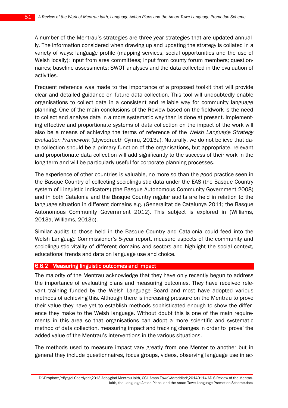A number of the Mentrau's strategies are three-year strategies that are updated annually. The information considered when drawing up and updating the strategy is collated in a variety of ways: language profile (mapping services, social opportunities and the use of Welsh locally); input from area committees; input from county forum members; questionnaires; baseline assessments; SWOT analyses and the data collected in the evaluation of activities.

Frequent reference was made to the importance of a proposed toolkit that will provide clear and detailed guidance on future data collection. This tool will undoubtedly enable organisations to collect data in a consistent and reliable way for community language planning. One of the main conclusions of the Review based on the fieldwork is the need to collect and analyse data in a more systematic way than is done at present. Implementing effective and proportionate systems of data collection on the impact of the work will also be a means of achieving the terms of reference of the Welsh Language Strategy Evaluation Framework (Llywodraeth Cymru, 2013a). Naturally, we do not believe that data collection should be a primary function of the organisations, but appropriate, relevant and proportionate data collection will add significantly to the success of their work in the long term and will be particularly useful for corporate planning processes.

The experience of other countries is valuable, no more so than the good practice seen in the Basque Country of collecting sociolinguistic data under the EAS (the Basque Country system of Linguistic Indicators) (the Basque Autonomous Community Government 2008) and in both Catalonia and the Basque Country regular audits are held in relation to the language situation in different domains e.g. (Generalitat de Catalunya 2011; the Basque Autonomous Community Government 2012). This subject is explored in (Williams, 2013a, Williams, 2013b).

Similar audits to those held in the Basque Country and Catalonia could feed into the Welsh Language Commissioner's 5-year report, measure aspects of the community and sociolinguistic vitality of different domains and sectors and highlight the social context, educational trends and data on language use and choice.

#### 6.6.2 Measuring linguistic outcomes and impact

The majority of the Mentrau acknowledge that they have only recently begun to address the importance of evaluating plans and measuring outcomes. They have received relevant training funded by the Welsh Language Board and most have adopted various methods of achieving this. Although there is increasing pressure on the Mentrau to prove their value they have yet to establish methods sophisticated enough to show the difference they make to the Welsh language. Without doubt this is one of the main requirements in this area so that organisations can adopt a more scientific and systematic method of data collection, measuring impact and tracking changes in order to 'prove' the added value of the Mentrau's interventions in the various situations.

The methods used to measure impact vary greatly from one Menter to another but in general they include questionnaires, focus groups, videos, observing language use in ac-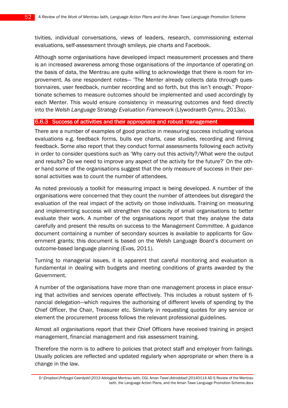tivities, individual conversations, views of leaders, research, commissioning external evaluations, self-assessment through smileys, pie charts and Facebook.

Although some organisations have developed impact measurement processes and there is an increased awareness among those organisations of the importance of operating on the basis of data, the Mentrau are quite willing to acknowledge that there is room for improvement. As one respondent notes— 'The Menter already collects data through questionnaires, user feedback, number recording and so forth, but this isn't enough.' Proportionate schemes to measure outcomes should be implemented and used accordingly by each Menter. This would ensure consistency in measuring outcomes and feed directly into the Welsh Language Strategy Evaluation Framework (Llywodraeth Cymru, 2013a).

#### 6.6.3 Success of activities and their appropriate and robust management

There are a number of examples of good practice in measuring success including various evaluations e.g. feedback forms, bulls eye charts, case studies, recording and filming feedback. Some also report that they conduct formal assessments following each activity in order to consider questions such as 'Why carry out this activity?/What were the output and results? Do we need to improve any aspect of the activity for the future?' On the other hand some of the organisations suggest that the only measure of success in their personal activities was to count the number of attendees.

As noted previously a toolkit for measuring impact is being developed. A number of the organisations were concerned that they count the number of attendees but disregard the evaluation of the real impact of the activity on those individuals. Training on measuring and implementing success will strengthen the capacity of small organisations to better evaluate their work. A number of the organisations report that they analyse the data carefully and present the results on success to the Management Committee. A guidance document containing a number of secondary sources is available to applicants for Government grants; this document is based on the Welsh Language Board's document on outcome-based language planning (Evas, 2011).

Turning to managerial issues, it is apparent that careful monitoring and evaluation is fundamental in dealing with budgets and meeting conditions of grants awarded by the Government.

A number of the organisations have more than one management process in place ensuring that activities and services operate effectively. This includes a robust system of financial delegation—which requires the authorising of different levels of spending by the Chief Officer, the Chair, Treasurer etc. Similarly in requesting quotes for any service or element the procurement process follows the relevant professional guidelines.

Almost all organisations report that their Chief Officers have received training in project management, financial management and risk assessment training.

Therefore the norm is to adhere to policies that protect staff and employer from failings. Usually policies are reflected and updated regularly when appropriate or when there is a change in the law.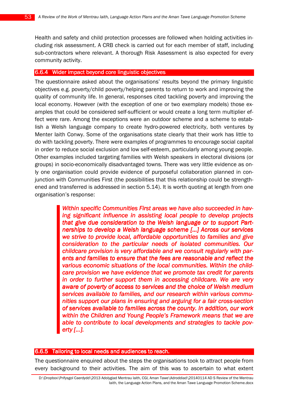Health and safety and child protection processes are followed when holding activities including risk assessment. A CRB check is carried out for each member of staff, including sub-contractors where relevant. A thorough Risk Assessment is also expected for every community activity.

#### 6.6.4 Wider impact beyond core linguistic objectives

The questionnaire asked about the organisations' results beyond the primary linguistic objectives e.g. poverty/child poverty/helping parents to return to work and improving the quality of community life. In general, responses cited tackling poverty and improving the local economy. However (with the exception of one or two exemplary models) those examples that could be considered self-sufficient or would create a long term multiplier effect were rare. Among the exceptions were an outdoor scheme and a scheme to establish a Welsh language company to create hydro-powered electricity, both ventures by Menter Iaith Conwy. Some of the organisations state clearly that their work has little to do with tackling poverty. There were examples of programmes to encourage social capital in order to reduce social exclusion and low self-esteem, particularly among young people. Other examples included targeting families with Welsh speakers in electoral divisions (or groups) in socio-economically disadvantaged towns. There was very little evidence as only one organisation could provide evidence of purposeful collaboration planned in conjunction with Communities First (the possibilities that this relationship could be strengthened and transferred is addressed in section 5.14). It is worth quoting at length from one organisation's response:

> Within specific Communities First areas we have also succeeded in having significant influence in assisting local people to develop projects that give due consideration to the Welsh language or to support Partnerships to develop a Welsh language scheme [...] Across our services we strive to provide local, affordable opportunities to families and give consideration to the particular needs of isolated communities. Our childcare provision is very affordable and we consult regularly with parents and families to ensure that the fees are reasonable and reflect the various economic situations of the local communities. Within the childcare provision we have evidence that we promote tax credit for parents in order to further support them in accessing childcare. We are very aware of poverty of access to services and the choice of Welsh medium services available to families, and our research within various communities support our plans in ensuring and arguing for a fair cross-section of services available to families across the county. In addition, our work within the Children and Young People's Framework means that we are able to contribute to local developments and strategies to tackle poverty [...].

#### 6.6.5 Tailoring to local needs and audiences to reach.

The questionnaire enquired about the steps the organisations took to attract people from every background to their activities. The aim of this was to ascertain to what extent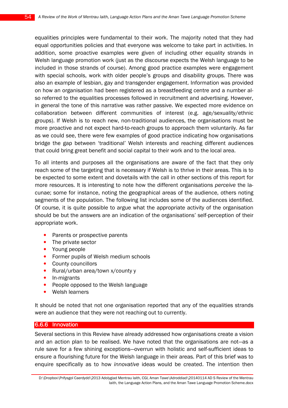equalities principles were fundamental to their work. The majority noted that they had equal opportunities policies and that everyone was welcome to take part in activities. In addition, some proactive examples were given of including other equality strands in Welsh language promotion work (just as the discourse expects the Welsh language to be included in those strands of course). Among good practice examples were engagement with special schools, work with older people's groups and disability groups. There was also an example of lesbian, gay and transgender engagement. Information was provided on how an organisation had been registered as a breastfeeding centre and a number also referred to the equalities processes followed in recruitment and advertising. However, in general the tone of this narrative was rather passive. We expected more evidence on collaboration between different communities of interest (e.g. age/sexuality/ethnic groups). If Welsh is to reach new, non-traditional audiences, the organisations must be more proactive and not expect hard-to-reach groups to approach them voluntarily. As far as we could see, there were few examples of good practice indicating how organisations bridge the gap between 'traditional' Welsh interests and reaching different audiences that could bring great benefit and social capital to their work and to the local area.

To all intents and purposes all the organisations are aware of the fact that they only reach some of the targeting that is necessary if Welsh is to thrive in their areas. This is to be expected to some extent and dovetails with the call in other sections of this report for more resources. It is interesting to note how the different organisations perceive the lacunae; some for instance, noting the geographical areas of the audience, others noting segments of the population. The following list includes some of the audiences identified. Of course, it is quite possible to argue what the appropriate activity of the organisation should be but the answers are an indication of the organisations' self-perception of their appropriate work.

- Parents or prospective parents
- The private sector
- Young people
- Former pupils of Welsh medium schools
- County councillors
- Rural/urban area/town x/county y
- In-migrants
- People opposed to the Welsh language
- Welsh learners

It should be noted that not one organisation reported that any of the equalities strands were an audience that they were not reaching out to currently.

#### 6.6.6 Innovation

Several sections in this Review have already addressed how organisations create a vision and an action plan to be realised. We have noted that the organisations are not—as a rule save for a few shining exceptions—overrun with holistic and self-sufficient ideas to ensure a flourishing future for the Welsh language in their areas. Part of this brief was to enquire specifically as to how innovative ideas would be created. The intention then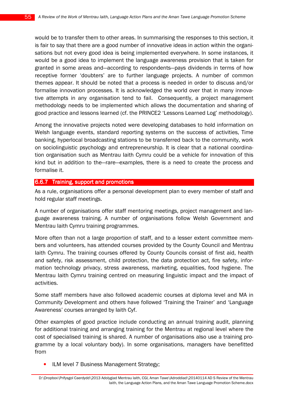would be to transfer them to other areas. In summarising the responses to this section, it is fair to say that there are a good number of innovative ideas in action within the organisations but not every good idea is being implemented everywhere. In some instances, it would be a good idea to implement the language awareness provision that is taken for granted in some areas and—according to respondents—pays dividends in terms of how receptive former 'doubters' are to further language projects. A number of common themes appear. It should be noted that a process is needed in order to discuss and/or formalise innovation processes. It is acknowledged the world over that in many innovative attempts in any organisation tend to fail. Consequently, a project management methodology needs to be implemented which allows the documentation and sharing of good practice and lessons learned (cf. the PRINCE2 'Lessons Learned Log' methodology).

Among the innovative projects noted were developing databases to hold information on Welsh language events, standard reporting systems on the success of activities, Time banking, hyperlocal broadcasting stations to be transferred back to the community, work on sociolinguistic psychology and entrepreneurship. It is clear that a national coordination organisation such as Mentrau Iaith Cymru could be a vehicle for innovation of this kind but in addition to the—rare—examples, there is a need to create the process and formalise it.

#### 6.6.7 Training, support and promotions

As a rule, organisations offer a personal development plan to every member of staff and hold regular staff meetings.

A number of organisations offer staff mentoring meetings, project management and language awareness training. A number of organisations follow Welsh Government and Mentrau Iaith Cymru training programmes.

More often than not a large proportion of staff, and to a lesser extent committee members and volunteers, has attended courses provided by the County Council and Mentrau Iaith Cymru. The training courses offered by County Councils consist of first aid, health and safety, risk assessment, child protection, the data protection act, fire safety, information technology privacy, stress awareness, marketing, equalities, food hygiene. The Mentrau Iaith Cymru training centred on measuring linguistic impact and the impact of activities.

Some staff members have also followed academic courses at diploma level and MA in Community Development and others have followed 'Training the Trainer' and 'Language Awareness' courses arranged by Iaith Cyf.

Other examples of good practice include conducting an annual training audit, planning for additional training and arranging training for the Mentrau at regional level where the cost of specialised training is shared. A number of organisations also use a training programme by a local voluntary body). In some organisations, managers have benefitted from

• ILM level 7 Business Management Strategy;

D:\Dropbox\Prifysgol Caerdydd\2013 Adolygiad Mentrau Iaith, CGI, Aman Tawe\Adroddiad\20140114 AD S Review of the Mentrau Iaith, the Language Action Plans, and the Aman Tawe Language Promotion Scheme.docx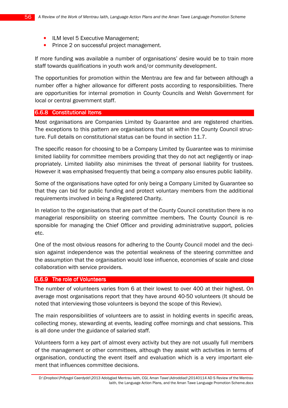- ILM level 5 Executive Management;
- Prince 2 on successful project management.

If more funding was available a number of organisations' desire would be to train more staff towards qualifications in youth work and/or community development.

The opportunities for promotion within the Mentrau are few and far between although a number offer a higher allowance for different posts according to responsibilities. There are opportunities for internal promotion in County Councils and Welsh Government for local or central government staff.

#### 6.6.8 Constitutional Items

Most organisations are Companies Limited by Guarantee and are registered charities. The exceptions to this pattern are organisations that sit within the County Council structure. Full details on constitutional status can be found in section 11.7.

The specific reason for choosing to be a Company Limited by Guarantee was to minimise limited liability for committee members providing that they do not act negligently or inappropriately. Limited liability also minimises the threat of personal liability for trustees. However it was emphasised frequently that being a company also ensures public liability.

Some of the organisations have opted for only being a Company Limited by Guarantee so that they can bid for public funding and protect voluntary members from the additional requirements involved in being a Registered Charity.

In relation to the organisations that are part of the County Council constitution there is no managerial responsibility on steering committee members. The County Council is responsible for managing the Chief Officer and providing administrative support, policies etc.

One of the most obvious reasons for adhering to the County Council model and the decision against independence was the potential weakness of the steering committee and the assumption that the organisation would lose influence, economies of scale and close collaboration with service providers.

## 6.6.9 The role of Volunteers

The number of volunteers varies from 6 at their lowest to over 400 at their highest. On average most organisations report that they have around 40-50 volunteers (It should be noted that interviewing those volunteers is beyond the scope of this Review).

The main responsibilities of volunteers are to assist in holding events in specific areas, collecting money, stewarding at events, leading coffee mornings and chat sessions. This is all done under the guidance of salaried staff.

Volunteers form a key part of almost every activity but they are not usually full members of the management or other committees, although they assist with activities in terms of organisation, conducting the event itself and evaluation which is a very important element that influences committee decisions.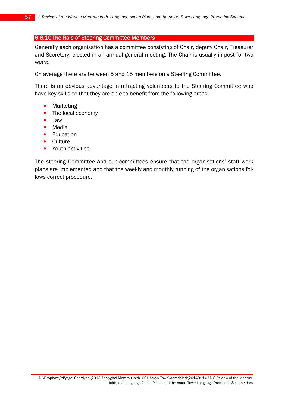#### 6.6.10 The Role of Steering Committee Members

Generally each organisation has a committee consisting of Chair, deputy Chair, Treasurer and Secretary, elected in an annual general meeting. The Chair is usually in post for two years.

On average there are between 5 and 15 members on a Steering Committee.

There is an obvious advantage in attracting volunteers to the Steering Committee who have key skills so that they are able to benefit from the following areas:

- **Marketing**
- The local economy
- Law
- Media
- Education
- Culture
- Youth activities.

The steering Committee and sub-committees ensure that the organisations' staff work plans are implemented and that the weekly and monthly running of the organisations follows correct procedure.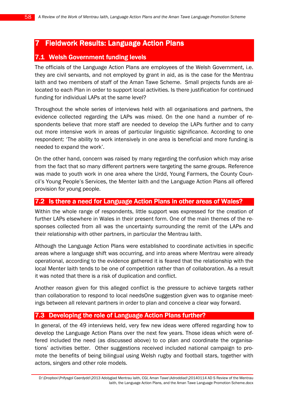# 7 Fieldwork Results: Language Action Plans

# 7.1 Welsh Government funding levels

The officials of the Language Action Plans are employees of the Welsh Government, i.e. they are civil servants, and not employed by grant in aid, as is the case for the Mentrau Iaith and two members of staff of the Aman Tawe Scheme. Small projects funds are allocated to each Plan in order to support local activities. Is there justification for continued funding for individual LAPs at the same level?

Throughout the whole series of interviews held with all organisations and partners, the evidence collected regarding the LAPs was mixed. On the one hand a number of respondents believe that more staff are needed to develop the LAPs further and to carry out more intensive work in areas of particular linguistic significance. According to one respondent: 'The ability to work intensively in one area is beneficial and more funding is needed to expand the work'.

On the other hand, concern was raised by many regarding the confusion which may arise from the fact that so many different partners were targeting the same groups. Reference was made to youth work in one area where the Urdd, Young Farmers, the County Council's Young People's Services, the Menter Iaith and the Language Action Plans all offered provision for young people.

## 7.2 Is there a need for Language Action Plans in other areas of Wales?

Within the whole range of respondents, little support was expressed for the creation of further LAPs elsewhere in Wales in their present form. One of the main themes of the responses collected from all was the uncertainty surrounding the remit of the LAPs and their relationship with other partners, in particular the Mentrau Iaith.

Although the Language Action Plans were established to coordinate activities in specific areas where a language shift was occurring, and into areas where Mentrau were already operational, according to the evidence gathered it is feared that the relationship with the local Menter Iaith tends to be one of competition rather than of collaboration. As a result it was noted that there is a risk of duplication and conflict.

Another reason given for this alleged conflict is the pressure to achieve targets rather than collaboration to respond to local needsOne suggestion given was to organise meetings between all relevant partners in order to plan and conceive a clear way forward.

## 7.3 Developing the role of Language Action Plans further?

In general, of the 49 interviews held, very few new ideas were offered regarding how to develop the Language Action Plans over the next few years. Those ideas which were offered included the need (as discussed above) to co plan and coordinate the organisations' activities better. Other suggestions received included national campaign to promote the benefits of being bilingual using Welsh rugby and football stars, together with actors, singers and other role models.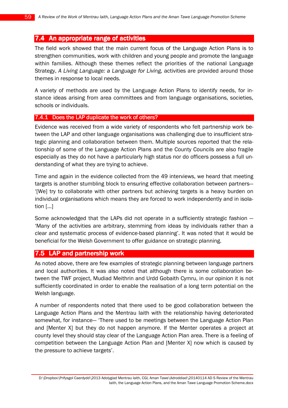## 7.4 An appropriate range of activities

The field work showed that the main current focus of the Language Action Plans is to strengthen communities, work with children and young people and promote the language within families. Although these themes reflect the priorities of the national Language Strategy, A Living Language: a Language for Living, activities are provided around those themes in response to local needs.

A variety of methods are used by the Language Action Plans to identify needs, for instance ideas arising from area committees and from language organisations, societies, schools or individuals.

#### 7.4.1 Does the LAP duplicate the work of others?

Evidence was received from a wide variety of respondents who felt partnership work between the LAP and other language organisations was challenging due to insufficient strategic planning and collaboration between them. Multiple sources reported that the relationship of some of the Language Action Plans and the County Councils are also fragile especially as they do not have a particularly high status nor do officers possess a full understanding of what they are trying to achieve.

Time and again in the evidence collected from the 49 interviews, we heard that meeting targets is another stumbling block to ensuring effective collaboration between partners— '[We] try to collaborate with other partners but achieving targets is a heavy burden on individual organisations which means they are forced to work independently and in isolation [...]

Some acknowledged that the LAPs did not operate in a sufficiently strategic fashion — 'Many of the activities are arbitrary, stemming from ideas by individuals rather than a clear and systematic process of evidence-based planning'. It was noted that it would be beneficial for the Welsh Government to offer guidance on strategic planning.

## 7.5 LAP and partnership work

As noted above, there are few examples of strategic planning between language partners and local authorities. It was also noted that although there is some collaboration between the TWF project, Mudiad Meithrin and Urdd Gobaith Cymru, in our opinion it is not sufficiently coordinated in order to enable the realisation of a long term potential on the Welsh language.

A number of respondents noted that there used to be good collaboration between the Language Action Plans and the Mentrau Iaith with the relationship having deteriorated somewhat, for instance— 'There used to be meetings between the Language Action Plan and [Menter X] but they do not happen anymore. If the Menter operates a project at county level they should stay clear of the Language Action Plan area. There is a feeling of competition between the Language Action Plan and [Menter X] now which is caused by the pressure to achieve targets'.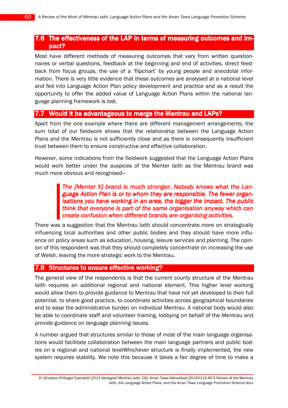# 7.6 The effectiveness of the LAP in terms of measuring outcomes and impact?

Most have different methods of measuring outcomes that vary from written questionnaires or verbal questions, feedback at the beginning and end of activities, direct feedback from focus groups, the use of a 'flipchart' by young people and anecdotal information. There is very little evidence that these outcomes are analysed at a national level and fed into Language Action Plan policy development and practice and as a result the opportunity to offer the added value of Language Action Plans within the national language planning framework is lost.

## 7.7 Would it be advantageous to merge the Mentrau and LAPs?

Apart from the one example where there are different management arrangements, the sum total of our fieldwork shows that the relationship between the Language Action Plans and the Mentrau is not sufficiently close and as there is consequently insufficient trust between them to ensure constructive and effective collaboration.

However, some indications from the fieldwork suggested that the Language Action Plans would work better under the auspices of the Menter Iaith as the Mentrau brand was much more obvious and recognised—

## The  $[M$ enter X $]$  brand is much stronger. Nobody knows what the Language Action Plan is or to whom they are responsible. The fewer organisations you have working in an area, the bigger the impact. The public think that everyone is part of the same organisation anyway which can create confusion when different brands are organising activities.

There was a suggestion that the Mentrau Iaith should concentrate more on strategically influencing local authorities and other public bodies and they should have more influence on policy areas such as education, housing, leisure services and planning. The opinion of this respondent was that they should completely concentrate on increasing the use of Welsh, leaving the more strategic work to the Mentrau.

### 7.8 Structures to ensure effective working?

The general view of the respondents is that the current county structure of the Mentrau Iaith requires an additional regional and national element. This higher level working would allow them to provide guidance to Mentrau that have not yet developed to their full potential, to share good practice, to coordinate activities across geographical boundaries and to ease the administrative burden on individual Mentrau. A national body would also be able to coordinate staff and volunteer training, lobbying on behalf of the Mentrau and provide guidance on language planning issues.

A number argued that structures similar to those of most of the main language organisations would facilitate collaboration between the main language partners and public bodies on a regional and national levelWhichever structure is finally implemented, the new system requires stability. We note this because it takes a fair degree of time to make a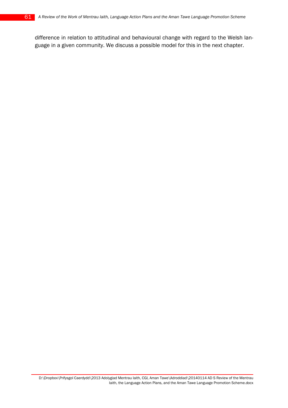difference in relation to attitudinal and behavioural change with regard to the Welsh language in a given community. We discuss a possible model for this in the next chapter.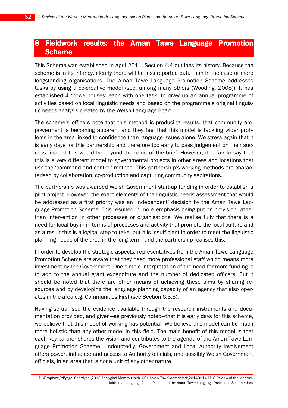# 8 Fieldwork results: the Aman Tawe Language Promotion Scheme

This Scheme was established in April 2011. Section 4.4 outlines its history. Because the scheme is in its infancy, clearly there will be less reported data than in the case of more longstanding organisations. The Aman Tawe Language Promotion Scheme addresses tasks by using a co-creative model (see, among many others (Wooding, 2008)). It has established 4 'powerhouses' each with one task, to draw up an annual programme of activities based on local linguistic needs and based on the programme's original linguistic needs analysis created by the Welsh Language Board.

The scheme's officers note that this method is producing results, that community empowerment is becoming apparent and they feel that this model is tackling wider problems in the area linked to confidence than language issues alone. We stress again that it is early days for this partnership and therefore too early to pass judgement on their success—indeed this would be beyond the remit of the brief. However, it is fair to say that this is a very different model to governmental projects in other areas and locations that use the 'command and control' method. This partnership's working methods are characterised by collaboration, co-production and capturing community aspirations.

The partnership was awarded Welsh Government start-up funding in order to establish a pilot project. However, the exact elements of the linguistic needs assessment that would be addressed as a first priority was an 'independent' decision by the Aman Tawe Language Promotion Scheme. This resulted in more emphasis being put on provision rather than intervention in other processes or organisations. We realise fully that there is a need for local buy-in in terms of processes and activity that promote the local culture and as a result this is a logical step to take, but it is insufficient in order to meet the linguistic planning needs of the area in the long term—and the partnership realises this.

In order to develop the strategic aspects, representatives from the Aman Tawe Language Promotion Scheme are aware that they need more professional staff which means more investment by the Government. One simple interpretation of the need for more funding is to add to the annual grant expenditure and the number of dedicated officers. But it should be noted that there are other means of achieving these aims by sharing resources and by developing the language planning capacity of an agency that also operates in the area e.g. Communities First (see Section 6.3.3).

Having scrutinised the evidence available through the research instruments and documentation provided, and given—as previously noted—that it is early days for this scheme, we believe that this model of working has potential. We believe this model can be much more holistic than any other model in this field. The main benefit of this model is that each key partner shares the vision and contributes to the agenda of the Aman Tawe Language Promotion Scheme. Undoubtedly, Government and Local Authority involvement offers power, influence and access to Authority officials, and possibly Welsh Government officials, in an area that is not a unit of any other nature.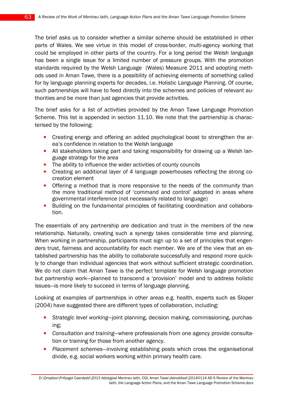The brief asks us to consider whether a similar scheme should be established in other parts of Wales. We see virtue in this model of cross-border, multi-agency working that could be employed in other parts of the country. For a long period the Welsh language has been a single issue for a limited number of pressure groups. With the promotion standards required by the Welsh Language (Wales) Measure 2011 and adopting methods used in Aman Tawe, there is a possibility of achieving elements of something called for by language planning experts for decades, i.e. Holistic Language Planning. Of course, such partnerships will have to feed directly into the schemes and policies of relevant authorities and be more than just agencies that provide activities.

The brief asks for a list of activities provided by the Aman Tawe Language Promotion Scheme. This list is appended in section 11.10. We note that the partnership is characterised by the following:

- Creating energy and offering an added psychological boost to strengthen the area's confidence in relation to the Welsh language
- All stakeholders taking part and taking responsibility for drawing up a Welsh language strategy for the area
- The ability to influence the wider activities of county councils
- Creating an additional layer of 4 language powerhouses reflecting the strong cocreation element
- Offering a method that is more responsive to the needs of the community than the more traditional method of 'command and control' adopted in areas where governmental interference (not necessarily related to language)
- Building on the fundamental principles of facilitating coordination and collaboration.

The essentials of any partnership are dedication and trust in the members of the new relationship. Naturally, creating such a synergy takes considerable time and planning. When working in partnership, participants must sign up to a set of principles that engenders trust, fairness and accountability for each member. We are of the view that an established partnership has the ability to collaborate successfully and respond more quickly to change than individual agencies that work without sufficient strategic coordination. We do not claim that Aman Tawe is the perfect template for Welsh language promotion but partnership work—planned to transcend a 'provision' model and to address holistic issues—is more likely to succeed in terms of language planning.

Looking at examples of partnerships in other areas e.g. health, experts such as Sloper (2004) have suggested there are different types of collaboration, including:

- Strategic level working—joint planning, decision making, commissioning, purchasing;
- Consultation and training—where professionals from one agency provide consultation or training for those from another agency.
- Placement schemes—involving establishing posts which cross the organisational divide, e.g. social workers working within primary health care.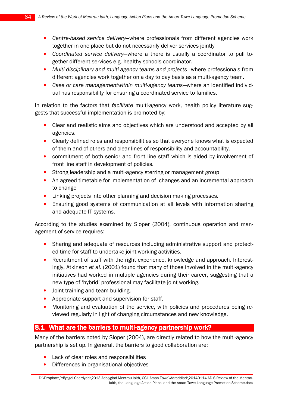- Centre-based service delivery—where professionals from different agencies work together in one place but do not necessarily deliver services jointly
- Coordinated service delivery—where a there is usually a coordinator to pull together different services e.g. healthy schools coordinator.
- Multi-disciplinary and multi-agency teams and projects—where professionals from different agencies work together on a day to day basis as a multi-agency team.
- Case or care managementwithin multi-agency teams—where an identified individual has responsibility for ensuring a coordinated service to families.

In relation to the factors that facilitate multi-agency work, health policy literature suggests that successful implementation is promoted by:

- Clear and realistic aims and objectives which are understood and accepted by all agencies.
- Clearly defined roles and responsibilities so that everyone knows what is expected of them and of others and clear lines of responsibility and accountability.
- commitment of both senior and front line staff which is aided by involvement of front line staff in development of policies.
- Strong leadership and a multi-agency sterring or management group
- An agreed timetable for implementation of changes and an incremental approach to change
- Linking projects into other planning and decision making processes.
- Ensuring good systems of communication at all levels with information sharing and adequate IT systems.

According to the studies examined by Sloper (2004), continuous operation and management of service requires:

- Sharing and adequate of resources including administrative support and protected time for staff to undertake joint working activities.
- Recruitment of staff with the right experience, knowledge and approach. Interestingly, Atkinson et al. (2001) found that many of those involved in the multi-agency initiatives had worked in multiple agencies during their career, suggesting that a new type of 'hybrid' professional may facilitate joint working.
- Joint training and team building.
- Appropriate support and supervision for staff.
- Monitoring and evaluation of the service, with policies and procedures being reviewed regularly in light of changing circumstances and new knowledge.

# 8.1 What are the barriers to multi-agency partnership work?

Many of the barriers noted by Sloper (2004), are directly related to how the multi-agency partnership is set up. In general, the barriers to good collaboration are:

- Lack of clear roles and responsibilities
- Differences in organisational objectives

D:\Dropbox\Prifysgol Caerdydd\2013 Adolygiad Mentrau Iaith, CGI, Aman Tawe\Adroddiad\20140114 AD S Review of the Mentrau Iaith, the Language Action Plans, and the Aman Tawe Language Promotion Scheme.docx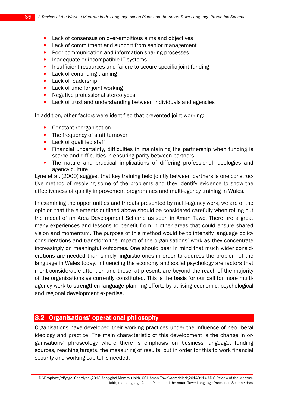- Lack of consensus on over-ambitious aims and objectives
- Lack of commitment and support from senior management
- Poor communication and information-sharing processes
- Inadequate or incompatible IT systems
- Insufficient resources and failure to secure specific joint funding
- Lack of continuing training
- Lack of leadership
- Lack of time for joint working
- Negative professional stereotypes
- Lack of trust and understanding between individuals and agencies

In addition, other factors were identified that prevented joint working:

- Constant reorganisation
- The frequency of staff turnover
- Lack of qualified staff
- Financial uncertainty, difficulties in maintaining the partnership when funding is scarce and difficulties in ensuring parity between partners
- The nature and practical implications of differing professional ideologies and agency culture

Lyne et al. (2000) suggest that key training held jointly between partners is one constructive method of resolving some of the problems and they identify evidence to show the effectiveness of quality improvement programmes and multi-agency training in Wales.

In examining the opportunities and threats presented by multi-agency work, we are of the opinion that the elements outlined above should be considered carefully when rolling out the model of an Area Development Scheme as seen in Aman Tawe. There are a great many experiences and lessons to benefit from in other areas that could ensure shared vision and momentum. The purpose of this method would be to intensify language policy considerations and transform the impact of the organisations' work as they concentrate increasingly on meaningful outcomes. One should bear in mind that much wider considerations are needed than simply linguistic ones in order to address the problem of the language in Wales today. Influencing the economy and social psychology are factors that merit considerable attention and these, at present, are beyond the reach of the majority of the organisations as currently constituted. This is the basis for our call for more multiagency work to strengthen language planning efforts by utilising economic, psychological and regional development expertise.

## 8.2 Organisations' operational philosophy

Organisations have developed their working practices under the influence of neo-liberal ideology and practice. The main characteristic of this development is the change in organisations' phraseology where there is emphasis on business language, funding sources, reaching targets, the measuring of results, but in order for this to work financial security and working capital is needed.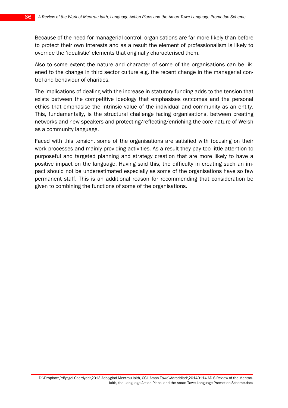Because of the need for managerial control, organisations are far more likely than before to protect their own interests and as a result the element of professionalism is likely to override the 'idealistic' elements that originally characterised them.

Also to some extent the nature and character of some of the organisations can be likened to the change in third sector culture e.g. the recent change in the managerial control and behaviour of charities.

The implications of dealing with the increase in statutory funding adds to the tension that exists between the competitive ideology that emphasises outcomes and the personal ethics that emphasise the intrinsic value of the individual and community as an entity. This, fundamentally, is the structural challenge facing organisations, between creating networks and new speakers and protecting/reflecting/enriching the core nature of Welsh as a community language.

Faced with this tension, some of the organisations are satisfied with focusing on their work processes and mainly providing activities. As a result they pay too little attention to purposeful and targeted planning and strategy creation that are more likely to have a positive impact on the language. Having said this, the difficulty in creating such an impact should not be underestimated especially as some of the organisations have so few permanent staff. This is an additional reason for recommending that consideration be given to combining the functions of some of the organisations.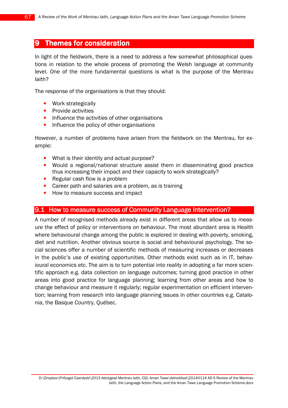# 9 Themes for consideration

In light of the fieldwork, there is a need to address a few somewhat philosophical questions in relation to the whole process of promoting the Welsh language at community level. One of the more fundamental questions is what is the purpose of the Mentrau Iaith?

The response of the organisations is that they should:

- Work strategically
- Provide activities
- Influence the activities of other organisations
- Influence the policy of other organisations

However, a number of problems have arisen from the fieldwork on the Mentrau, for example:

- What is their identity and actual purpose?
- Would a regional/national structure assist them in disseminating good practice thus increasing their impact and their capacity to work strategically?
- Regular cash flow is a problem
- Career path and salaries are a problem, as is training
- How to measure success and impact

## 9.1 How to measure success of Community Language Intervention?

A number of recognised methods already exist in different areas that allow us to measure the effect of policy or interventions on behaviour. The most abundant area is Health where behavioural change among the public is explored in dealing with poverty, smoking, diet and nutrition. Another obvious source is social and behavioural psychology. The social sciences offer a number of scientific methods of measuring increases or decreases in the public's use of existing opportunities. Other methods exist such as in IT, behavioural economics etc. The aim is to turn potential into reality in adopting a far more scientific approach e.g. data collection on language outcomes; turning good practice in other areas into good practice for language planning; learning from other areas and how to change behaviour and measure it regularly; regular experimentation on efficient intervention; learning from research into language planning issues in other countries e.g. Catalonia, the Basque Country, Québec.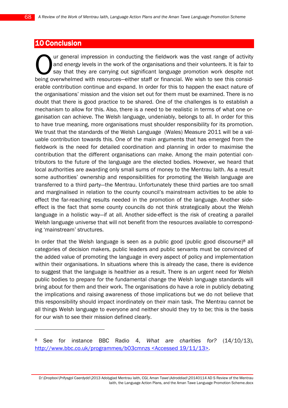# 10 Conclusion

 $\overline{a}$ 

ur general impression in conducting the fieldwork was the vast range of activity and energy levels in the work of the organisations and their volunteers. It is fair to say that they are carrying out significant language promotion work despite not I ur general impression in conducting the fieldwork was the vast range of activity and energy levels in the work of the organisations and their volunteers. It is fair to say that they are carrying out significant language erable contribution continue and expand. In order for this to happen the exact nature of the organisations' mission and the vision set out for them must be examined. There is no doubt that there is good practice to be shared. One of the challenges is to establish a mechanism to allow for this. Also, there is a need to be realistic in terms of what one organisation can achieve. The Welsh language, undeniably, belongs to all. In order for this to have true meaning, more organisations must shoulder responsibility for its promotion. We trust that the standards of the Welsh Language (Wales) Measure 2011 will be a valuable contribution towards this. One of the main arguments that has emerged from the fieldwork is the need for detailed coordination and planning in order to maximise the contribution that the different organisations can make. Among the main potential contributors to the future of the language are the elected bodies. However, we heard that local authorities are awarding only small sums of money to the Mentrau Iaith. As a result some authorities' ownership and responsibilities for promoting the Welsh language are transferred to a third party—the Mentrau. Unfortunately these third parties are too small and marginalised in relation to the county council's mainstream activities to be able to effect the far-reaching results needed in the promotion of the language. Another sideeffect is the fact that some county councils do not think strategically about the Welsh language in a holistic way—if at all. Another side-effect is the risk of creating a parallel Welsh language universe that will not benefit from the resources available to corresponding 'mainstream' structures.

In order that the Welsh language is seen as a public good (public good discourse) $8$  all categories of decision makers, public leaders and public servants must be convinced of the added value of promoting the language in every aspect of policy and implementation within their organisations. In situations where this is already the case, there is evidence to suggest that the language is healthier as a result. There is an urgent need for Welsh public bodies to prepare for the fundamental change the Welsh language standards will bring about for them and their work. The organisations do have a role in publicly debating the implications and raising awareness of those implications but we do not believe that this responsibility should impact inordinately on their main task. The Mentrau cannot be all things Welsh language to everyone and neither should they try to be; this is the basis for our wish to see their mission defined clearly.

<sup>&</sup>lt;sup>8</sup> See for instance BBC Radio 4, What are charities for? (14/10/13), http://www.bbc.co.uk/programmes/b03cmnzs <Accessed 19/11/13>.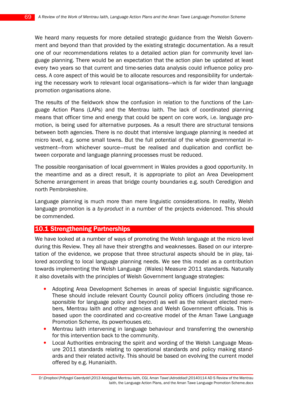We heard many requests for more detailed strategic guidance from the Welsh Government and beyond than that provided by the existing strategic documentation. As a result one of our recommendations relates to a detailed action plan for community level language planning. There would be an expectation that the action plan be updated at least every two years so that current and time-series data analysis could influence policy process. A core aspect of this would be to allocate resources and responsibility for undertaking the necessary work to relevant local organisations—which is far wider than language promotion organisations alone.

The results of the fieldwork show the confusion in relation to the functions of the Language Action Plans (LAPs) and the Mentrau Iaith. The lack of coordinated planning means that officer time and energy that could be spent on core work, i.e. language promotion, is being used for alternative purposes. As a result there are structural tensions between both agencies. There is no doubt that intensive language planning is needed at micro level, e.g. some small towns. But the full potential of the whole governmental investment—from whichever source—must be realised and duplication and conflict between corporate and language planning processes must be reduced.

The possible reorganisation of local government in Wales provides a good opportunity. In the meantime and as a direct result, it is appropriate to pilot an Area Development Scheme arrangement in areas that bridge county boundaries e.g. south Ceredigion and north Pembrokeshire.

Language planning is much more than mere linguistic considerations. In reality, Welsh language promotion is a by-product in a number of the projects evidenced. This should be commended.

## **10.1 Strengthening Partnerships**

We have looked at a number of ways of promoting the Welsh language at the micro level during this Review. They all have their strengths and weaknesses. Based on our interpretation of the evidence, we propose that three structural aspects should be in play, tailored according to local language planning needs. We see this model as a contribution towards implementing the Welsh Language (Wales) Measure 2011 standards. Naturally it also dovetails with the principles of Welsh Government language strategies:

- Adopting Area Development Schemes in areas of special linguistic significance. These should include relevant County Council policy officers (including those responsible for language policy and beyond) as well as the relevant elected members, Mentrau Iaith and other agencies and Welsh Government officials. This is based upon the coordinated and co-creative model of the Aman Tawe Language Promotion Scheme, its powerhouses etc.
- Mentrau Iaith intervening in language behaviour and transferring the ownership for this intervention back to the community.
- Local Authorities embracing the spirit and wording of the Welsh Language Measure 2011 standards relating to operational standards and policy making standards and their related activity. This should be based on evolving the current model offered by e.g. Hunaniaith.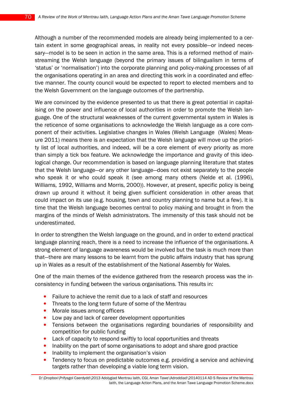Although a number of the recommended models are already being implemented to a certain extent in some geographical areas, in reality not every possible—or indeed necessary—model is to be seen in action in the same area. This is a reformed method of mainstreaming the Welsh language (beyond the primary issues of bilingualism in terms of 'status' or 'normalisation') into the corporate planning and policy-making processes of all the organisations operating in an area and directing this work in a coordinated and effective manner. The county council would be expected to report to elected members and to the Welsh Government on the language outcomes of the partnership.

We are convinced by the evidence presented to us that there is great potential in capitalising on the power and influence of local authorities in order to promote the Welsh language. One of the structural weaknesses of the current governmental system in Wales is the reticence of some organisations to acknowledge the Welsh language as a core component of their activities. Legislative changes in Wales (Welsh Language (Wales) Measure 2011) means there is an expectation that the Welsh language will move up the priority list of local authorities, and indeed, will be a core element of every priority as more than simply a tick box feature. We acknowledge the importance and gravity of this ideological change. Our recommendation is based on language planning literature that states that the Welsh language—or any other language—does not exist separately to the people who speak it or who could speak it (see among many others (Nelde et al. (1996), Williams, 1992, Williams and Morris, 2000)). However, at present, specific policy is being drawn up around it without it being given sufficient consideration in other areas that could impact on its use (e.g. housing, town and country planning to name but a few). It is time that the Welsh language becomes central to policy making and brought in from the margins of the minds of Welsh administrators. The immensity of this task should not be underestimated.

In order to strengthen the Welsh language on the ground, and in order to extend practical language planning reach, there is a need to increase the influence of the organisations. A strong element of language awareness would be involved but the task is much more than that—there are many lessons to be learnt from the public affairs industry that has sprung up in Wales as a result of the establishment of the National Assembly for Wales.

One of the main themes of the evidence gathered from the research process was the inconsistency in funding between the various organisations. This results in:

- Failure to achieve the remit due to a lack of staff and resources
- Threats to the long term future of some of the Mentrau
- Morale issues among officers
- Low pay and lack of career development opportunities
- Tensions between the organisations regarding boundaries of responsibility and competition for public funding
- Lack of capacity to respond swiftly to local opportunities and threats
- Inability on the part of some organisations to adopt and share good practice
- Inability to implement the organisation's vision
- Tendency to focus on predictable outcomes e.g. providing a service and achieving targets rather than developing a viable long term vision.

D:\Dropbox\Prifysgol Caerdydd\2013 Adolygiad Mentrau Iaith, CGI, Aman Tawe\Adroddiad\20140114 AD S Review of the Mentrau Iaith, the Language Action Plans, and the Aman Tawe Language Promotion Scheme.docx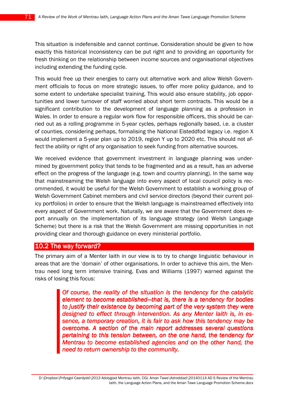This situation is indefensible and cannot continue. Consideration should be given to how exactly this historical inconsistency can be put right and to providing an opportunity for fresh thinking on the relationship between income sources and organisational objectives including extending the funding cycle.

This would free up their energies to carry out alternative work and allow Welsh Government officials to focus on more strategic issues, to offer more policy guidance, and to some extent to undertake specialist training. This would also ensure stability, job opportunities and lower turnover of staff worried about short term contracts. This would be a significant contribution to the development of language planning as a profession in Wales. In order to ensure a regular work flow for responsible officers, this should be carried out as a rolling programme in 5-year cycles, perhaps regionally based, i.e. a cluster of counties, considering perhaps, formalising the National Eisteddfod legacy i.e. region X would implement a 5-year plan up to 2019, region Y up to 2020 etc. This should not affect the ability or right of any organisation to seek funding from alternative sources.

We received evidence that government investment in language planning was undermined by government policy that tends to be fragmented and as a result, has an adverse effect on the progress of the language (e.g. town and country planning). In the same way that mainstreaming the Welsh language into every aspect of local council policy is recommended, it would be useful for the Welsh Government to establish a working group of Welsh Government Cabinet members and civil service directors (beyond their current policy portfolios) in order to ensure that the Welsh language is mainstreamed effectively into every aspect of Government work. Naturally, we are aware that the Government does report annually on the implementation of its language strategy (and Welsh Language Scheme) but there is a risk that the Welsh Government are missing opportunities in not providing clear and thorough guidance on every ministerial portfolio.

#### 10.2 The way forward?

The primary aim of a Menter Iaith in our view is to try to change linguistic behaviour in areas that are the 'domain' of other organisations. In order to achieve this aim, the Mentrau need long term intensive training. Evas and Williams (1997) warned against the risks of losing this focus:

> Of course, the reality of the situation is the tendency for the catalytic element to become established—that is, there is a tendency for bodies to justify their existence by becoming part of the very system they were designed to effect through intervention. As any Menter laith is, in essence, a temporary creation, it is fair to ask how this tendency may be overcome. A section of the main report addresses several questions pertaining to this tension between, on the one hand, the tendency for Mentrau to become established agencies and on the other hand, the need to return ownership to the community.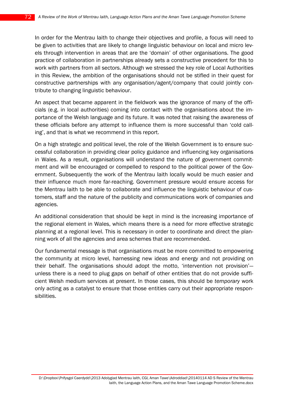In order for the Mentrau Iaith to change their objectives and profile, a focus will need to be given to activities that are likely to change linguistic behaviour on local and micro levels through intervention in areas that are the 'domain' of other organisations. The good practice of collaboration in partnerships already sets a constructive precedent for this to work with partners from all sectors. Although we stressed the key role of Local Authorities in this Review, the ambition of the organisations should not be stifled in their quest for constructive partnerships with any organisation/agent/company that could jointly contribute to changing linguistic behaviour.

An aspect that became apparent in the fieldwork was the ignorance of many of the officials (e.g. in local authorities) coming into contact with the organisations about the importance of the Welsh language and its future. It was noted that raising the awareness of these officials before any attempt to influence them is more successful than 'cold calling', and that is what we recommend in this report.

On a high strategic and political level, the role of the Welsh Government is to ensure successful collaboration in providing clear policy guidance and influencing key organisations in Wales. As a result, organisations will understand the nature of government commitment and will be encouraged or compelled to respond to the political power of the Government. Subsequently the work of the Mentrau Iaith locally would be much easier and their influence much more far-reaching. Government pressure would ensure access for the Mentrau Iaith to be able to collaborate and influence the linguistic behaviour of customers, staff and the nature of the publicity and communications work of companies and agencies.

An additional consideration that should be kept in mind is the increasing importance of the regional element in Wales, which means there is a need for more effective strategic planning at a regional level. This is necessary in order to coordinate and direct the planning work of all the agencies and area schemes that are recommended.

Our fundamental message is that organisations must be more committed to empowering the community at micro level, harnessing new ideas and energy and not providing on their behalf. The organisations should adopt the motto, 'intervention not provision' unless there is a need to plug gaps on behalf of other entities that do not provide sufficient Welsh medium services at present. In those cases, this should be temporary work only acting as a catalyst to ensure that those entities carry out their appropriate responsibilities.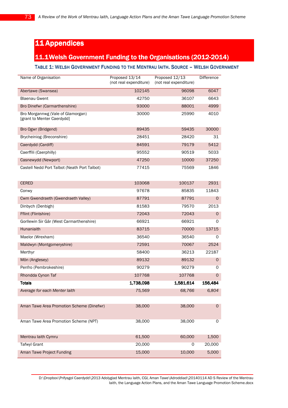# 11 Appendices

# 11.1Welsh Government Funding to the Organisations (2012-2014)

#### TABLE 1: WELSH GOVERNMENT FUNDING TO THE MENTRAU IAITH. SOURCE – WELSH GOVERNMENT

| Name of Organisation                                            | Proposed 13/14<br>(not real expenditure) | Proposed 12/13<br>(not real expenditure) | <b>Difference</b> |
|-----------------------------------------------------------------|------------------------------------------|------------------------------------------|-------------------|
| Abertawe (Swansea)                                              | 102145                                   | 96098                                    | 6047              |
| Blaenau Gwent                                                   | 42750                                    | 36107                                    | 6643              |
| Bro Dinefwr (Carmarthenshire)                                   | 93000                                    | 88001                                    | 4999              |
| Bro Morgannwg (Vale of Glamorgan)<br>[grant to Menter Caerdydd] | 30000                                    | 25990                                    | 4010              |
| Bro Ogwr (Bridgend)                                             | 89435                                    | 59435                                    | 30000             |
| Brycheiniog (Breconshire)                                       | 28451                                    | 28420                                    | 31                |
| Caerdydd (Cardiff)                                              | 84591                                    | 79179                                    | 5412              |
| Caerffili (Caerphilly)                                          | 95552                                    | 90519                                    | 5033              |
| Casnewydd (Newport)                                             | 47250                                    | 10000                                    | 37250             |
| Castell Nedd Port Talbot (Neath Port Talbot)                    | 77415                                    | 75569                                    | 1846              |
| <b>CERED</b>                                                    | 103068                                   | 100137                                   | 2931              |
| Conwy                                                           | 97678                                    | 85835                                    | 11843             |
| Cwm Gwendraeth (Gwendraeth Valley)                              | 87791                                    | 87791                                    | 0                 |
| Dinbych (Denbigh)                                               | 81583                                    | 79570                                    | 2013              |
| Fflint (Flintshire)                                             | 72043                                    | 72043                                    | $\mathsf{O}$      |
| Gorllewin Sir Gâr (West Carmarthenshire)                        | 66921                                    | 66921                                    | 0                 |
| Hunaniaith                                                      | 83715                                    | 70000                                    | 13715             |
| Maelor (Wrexham)                                                | 36540                                    | 36540                                    | 0                 |
| Maldwyn (Montgomeryshire)                                       | 72591                                    | 70067                                    | 2524              |
| Merthyr                                                         | 58400                                    | 36213                                    | 22187             |
| Môn (Anglesey)                                                  | 89132                                    | 89132                                    | $\circ$           |
| Penfro (Pembrokeshire)                                          | 90279                                    | 90279                                    | 0                 |
| Rhondda Cynon Taf                                               | 107768                                   | 107768                                   | 0                 |
| <b>Totals</b>                                                   | 1,738,098                                | 1,581,614                                | 156,484           |
| Average for each Menter laith                                   | 75,569                                   | 68,766                                   | 6,804             |
|                                                                 |                                          |                                          |                   |
| Aman Tawe Area Promotion Scheme (Dinefwr)                       | 38,000                                   | 38,000                                   | $\mathsf{O}$      |
| Aman Tawe Area Promotion Scheme (NPT)                           | 38,000                                   | 38,000                                   | 0                 |
| Mentrau laith Cymru                                             | 61,500                                   | 60,000                                   | 1,500             |
| <b>Tafwyl Grant</b>                                             | 20,000                                   | $\mathbf 0$                              | 20,000            |
| Aman Tawe Project Funding                                       | 15,000                                   | 10,000                                   | 5,000             |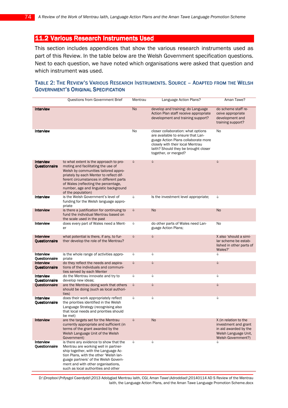# 11.2 Various Research Instruments Used

This section includes appendices that show the various research instruments used as part of this Review. In the table below are the Welsh Government specification questions. Next to each question, we have noted which organisations were asked that question and which instrument was used.

#### TABLE 2: THE REVIEW'S VARIOUS RESEARCH INSTRUMENTS. SOURCE – ADAPTED FROM THE WELSH **GOVERNMENT'S ORIGINAL SPECIFICATION**

|                                   | Questions from Government Brief                                                                                                                                                                                                                                                                                   | Mentrau   | Language Action Plans?                                                                                                                                                                                             | Aman Tawe?                                                                                                           |
|-----------------------------------|-------------------------------------------------------------------------------------------------------------------------------------------------------------------------------------------------------------------------------------------------------------------------------------------------------------------|-----------|--------------------------------------------------------------------------------------------------------------------------------------------------------------------------------------------------------------------|----------------------------------------------------------------------------------------------------------------------|
| <b>Interview</b>                  |                                                                                                                                                                                                                                                                                                                   | <b>No</b> | develop and training: do Language<br>Action Plan staff receive appropriate<br>development and training support?                                                                                                    | do scheme staff re-<br>ceive appropriate<br>development and<br>training support?                                     |
| Interview                         |                                                                                                                                                                                                                                                                                                                   | No        | closer collaboration: what options<br>are available to ensure that Lan-<br>guage Action Plans collaborate more<br>closely with their local Mentrau<br>laith? Should they be brought closer<br>together, or merged? | No                                                                                                                   |
| <b>Interview</b><br>Questionnaire | to what extent is the approach to pro-<br>moting and facilitating the use of<br>Welsh by communities tailored appro-<br>priately by each Menter to reflect dif-<br>ferent circumstances in different parts<br>of Wales (reflecting the percentage,<br>number, age and linguistic background<br>of the population) | d         | P                                                                                                                                                                                                                  | Ò                                                                                                                    |
| <b>Interview</b>                  | is the Welsh Government's level of<br>funding for the Welsh language appro-<br>priate                                                                                                                                                                                                                             | Ò         | Is the investment level appropriate;                                                                                                                                                                               | Ò                                                                                                                    |
| <b>Interview</b>                  | is there a justification for continuing to<br>fund the individual Mentrau based on<br>the scale used in the past                                                                                                                                                                                                  | d         | <b>No</b>                                                                                                                                                                                                          | No                                                                                                                   |
| Interview                         | does every part of Wales need a Ment-<br>er                                                                                                                                                                                                                                                                       | Ò         | do other parts of Wales need Lan-<br>guage Action Plans;                                                                                                                                                           | No                                                                                                                   |
| <b>Interview</b><br>Questionnaire | what potential is there, if any, to fur-<br>ther develop the role of the Mentrau?                                                                                                                                                                                                                                 | d         | S                                                                                                                                                                                                                  | X also 'should a simi-<br>lar scheme be estab-<br>lished in other parts of<br>Wales?'                                |
| Interview<br>Questionnaire        | is the whole range of activities appro-<br>priate                                                                                                                                                                                                                                                                 | Ò         | Ò                                                                                                                                                                                                                  | Ò                                                                                                                    |
| <b>Interview</b><br>Questionnaire | do they reflect the needs and aspira-<br>tions of the individuals and communi-<br>ties served by each Menter                                                                                                                                                                                                      | d         | S                                                                                                                                                                                                                  | d                                                                                                                    |
| Interview<br>Questionnaire        | do the Mentrau innovate and try to<br>develop new ideas;                                                                                                                                                                                                                                                          | Ò         | Ò                                                                                                                                                                                                                  | Þ                                                                                                                    |
| <b>Ouestionnaire</b>              | are the Mentrau doing work that others<br>should be doing (such as local authori-<br>ties)                                                                                                                                                                                                                        | D         | S                                                                                                                                                                                                                  | d                                                                                                                    |
| Interview<br>Questionnaire        | does their work appropriately reflect<br>the priorities identified in the Welsh<br>Language Strategy (recognising also<br>that local needs and priorities should<br>be met)                                                                                                                                       | Ò         | Ò                                                                                                                                                                                                                  | Ò                                                                                                                    |
| <b>Interview</b>                  | are the targets set for the Mentrau<br>currently appropriate and sufficient (in<br>terms of the grant awarded by the<br>Welsh Language Unit of the Welsh<br>Government)                                                                                                                                           | ♦         | <b>No</b>                                                                                                                                                                                                          | X (in relation to the<br>investment and grant<br>in aid awarded by the<br>Welsh Language Unit.<br>Welsh Government?) |
| Interview<br>Questionnaire        | is there any evidence to show that the<br>Mentrau are working well in partner-<br>ship together, with the Language Ac-<br>tion Plans, with the other 'Welsh lan-<br>guage partners' of the Welsh Govern-<br>ment and with other organisations,<br>such as local authorities and other                             | Ò         | Ò                                                                                                                                                                                                                  | Ò                                                                                                                    |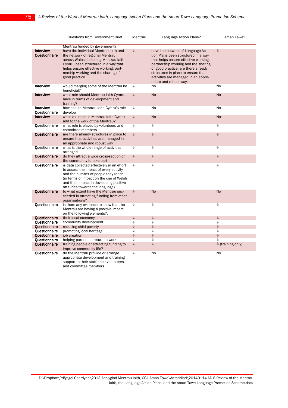|                                   | Questions from Government Brief                                                                                                                                                                                                                           | Mentrau | Language Action Plans?                                                                                                                                                                                                                                                                               | Aman Tawe?        |
|-----------------------------------|-----------------------------------------------------------------------------------------------------------------------------------------------------------------------------------------------------------------------------------------------------------|---------|------------------------------------------------------------------------------------------------------------------------------------------------------------------------------------------------------------------------------------------------------------------------------------------------------|-------------------|
|                                   | Mentrau funded by government?                                                                                                                                                                                                                             |         |                                                                                                                                                                                                                                                                                                      |                   |
| <b>Interview</b><br>Questionnaire | have the individual Mentrau laith and<br>the network of regional Mentrau<br>across Wales (including Mentrau laith<br>Cymru) been structured in a way that<br>helps ensure effective working, part-<br>nership working and the sharing of<br>good practice | s       | have the network of Language Ac-<br>tion Plans been structured in a way<br>that helps ensure effective working,<br>partnership working and the sharing<br>of good practice; are there already<br>structures in place to ensure that<br>activities are managed in an appro-<br>priate and robust way; | d                 |
| <b>Interview</b>                  | would merging some of the Mentrau be<br>beneficial?                                                                                                                                                                                                       | Ò       | No                                                                                                                                                                                                                                                                                                   | No                |
| <b>Interview</b>                  | what role should Mentrau laith Cymru<br>have in terms of development and<br>training?                                                                                                                                                                     | S       | <b>No</b>                                                                                                                                                                                                                                                                                            | <b>No</b>         |
| Interview<br>Questionnaire        | how should Mentrau laith Cymru's role<br>develop                                                                                                                                                                                                          | Ò       | <b>No</b>                                                                                                                                                                                                                                                                                            | No                |
| <b>Interview</b>                  | what value could Mentrau laith Cymru<br>add to the work of the Mentrau?                                                                                                                                                                                   | S       | <b>No</b>                                                                                                                                                                                                                                                                                            | No                |
| Questionnaire                     | what role is played by volunteers and<br>committee members                                                                                                                                                                                                | Ò       | Ò                                                                                                                                                                                                                                                                                                    | Ò                 |
| Questionnaire                     | are there already structures in place to<br>ensure that activities are managed in<br>an appropriate and robust way                                                                                                                                        | s       | S                                                                                                                                                                                                                                                                                                    | Ò                 |
| Questionnaire                     | what is the whole range of activities<br>arranged                                                                                                                                                                                                         | Ò       | Ò                                                                                                                                                                                                                                                                                                    | Ò                 |
| Questionnaire                     | do they attract a wide cross-section of<br>the community to take part                                                                                                                                                                                     | S       | Ò                                                                                                                                                                                                                                                                                                    | Ò                 |
| Questionnaire                     | is data collected effectively in an effort<br>to assess the impact of every activity<br>and the number of people they reach<br>(in terms of impact on the use of Welsh<br>and their impact in developing positive<br>attitudes towards the language)      | d       | Ò                                                                                                                                                                                                                                                                                                    | Ò                 |
| Questionnaire                     | to what extent have the Mentrau suc-<br>ceeded in attracting funding from other<br>organisations?                                                                                                                                                         | S       | <b>No</b>                                                                                                                                                                                                                                                                                            | <b>No</b>         |
| Questionnaire                     | is there any evidence to show that the<br>Mentrau are having a positive impact<br>on the following elements?:                                                                                                                                             | Ò       | Ò                                                                                                                                                                                                                                                                                                    | Ò                 |
| <b>Ouestionnaire</b>              | their local economy                                                                                                                                                                                                                                       | S       | Ò                                                                                                                                                                                                                                                                                                    | Ò                 |
| Questionnaire                     | community development                                                                                                                                                                                                                                     | Ò       | Ò                                                                                                                                                                                                                                                                                                    | Ò                 |
| Questionnaire                     | reducing child poverty                                                                                                                                                                                                                                    | S       | S                                                                                                                                                                                                                                                                                                    | Ò                 |
| Questionnaire                     | promoting local heritage                                                                                                                                                                                                                                  | Ò       | Ò                                                                                                                                                                                                                                                                                                    | Ò                 |
| Questionnaire                     | job creation                                                                                                                                                                                                                                              | S       | S                                                                                                                                                                                                                                                                                                    | S                 |
| Questionnaire                     | helping parents to return to work                                                                                                                                                                                                                         | S       | Ò                                                                                                                                                                                                                                                                                                    | d                 |
| Questionnaire                     | training people or attracting funding to<br>improve community life?                                                                                                                                                                                       | S       | S                                                                                                                                                                                                                                                                                                    | ♦ (training only) |
| Questionnaire                     | do the Mentrau provide or arrange<br>appropriate development and training<br>support to their staff, their volunteers<br>and committee members                                                                                                            | Ò       | <b>No</b>                                                                                                                                                                                                                                                                                            | No                |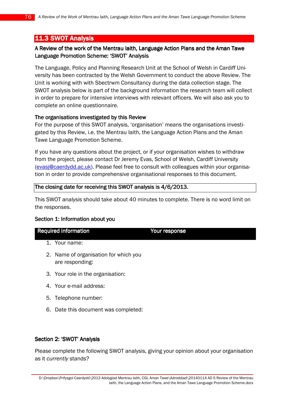# **11.3 SWOT Analysis**

## A Review of the work of the Mentrau Iaith, Language Action Plans and the Aman Tawe Language Promotion Scheme: 'SWOT' Analysis

The Language, Policy and Planning Research Unit at the School of Welsh in Cardiff University has been contracted by the Welsh Government to conduct the above Review. The Unit is working with with Sbectrwm Consultancy during the data collection stage. The SWOT analysis below is part of the background information the research team will collect in order to prepare for intensive interviews with relevant officers. We will also ask you to complete an online questionnaire.

### The organisations investigated by this Review

For the purpose of this SWOT analysis, 'organisation' means the organisations investigated by this Review, i.e. the Mentrau Iaith, the Language Action Plans and the Aman Tawe Language Promotion Scheme.

If you have any questions about the project, or if your organisation wishes to withdraw from the project, please contact Dr Jeremy Evas, School of Welsh, Cardiff University (evasj@caerdydd.ac.uk). Please feel free to consult with colleagues within your organisation in order to provide comprehensive organisational responses to this document.

### The closing date for receiving this SWOT analysis is 4/6/2013.

This SWOT analysis should take about 40 minutes to complete. There is no word limit on the responses.

Your response

### Section 1: Information about you

| <b>Required information</b> |
|-----------------------------|
|-----------------------------|

- 1. Your name:
- 2. Name of organisation for which you are responding:
- 3. Your role in the organisation:
- 4. Your e-mail address:
- 5. Telephone number:
- 6. Date this document was completed:

### Section 2: 'SWOT' Analysis

Please complete the following SWOT analysis, giving your opinion about your organisation as it currently stands?

D:\Dropbox\Prifysgol Caerdydd\2013 Adolygiad Mentrau Iaith, CGI, Aman Tawe\Adroddiad\20140114 AD S Review of the Mentrau Iaith, the Language Action Plans, and the Aman Tawe Language Promotion Scheme.docx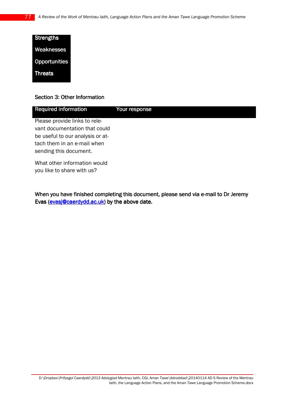| <b>Strengths</b> |
|------------------|
| Weaknesses       |
| Opportunities    |
| <b>Threats</b>   |

#### Section 3: Other Information

| <b>Required information</b>                                    | Your response |
|----------------------------------------------------------------|---------------|
| Please provide links to rele-<br>vant documentation that could |               |
| be useful to our analysis or at-                               |               |
| tach them in an e-mail when<br>sending this document.          |               |
| What other information would<br>you like to share with us?     |               |

When you have finished completing this document, please send via e-mail to Dr Jeremy Evas (evasj@caerdydd.ac.uk) by the above date.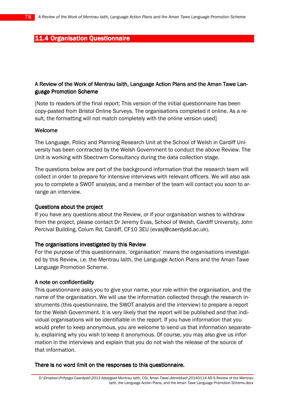## **11.4 Organisation Questionnaire**

## A Review of the Work of Mentrau laith, Language Action Plans and the Aman Tawe Language Promotion Scheme

[Note to readers of the final report: This version of the initial questionnaire has been copy-pasted from Bristol Online Surveys. The organisations completed it online. As a result, the formatting will not match completely with the online version used]

#### Welcome

The Language, Policy and Planning Research Unit at the School of Welsh in Cardiff University has been contracted by the Welsh Government to conduct the above Review. The Unit is working with Sbectrwm Consultancy during the data collection stage.

The questions below are part of the background information that the research team will collect in order to prepare for intensive interviews with relevant officers. We will also ask you to complete a SWOT analysis, and a member of the team will contact you soon to arrange an interview.

#### Questions about the project

If you have any questions about the Review, or if your organisation wishes to withdraw from the project, please contact Dr Jeremy Evas, School of Welsh, Cardiff University, John Percival Building, Colum Rd, Cardiff, CF10 3EU (evasj@caerdydd.ac.uk).

### The organisations investigated by this Review

For the purpose of this questionnaire, 'organisation' means the organisations investigated by this Review, i.e. the Mentrau Iaith, the Language Action Plans and the Aman Tawe Language Promotion Scheme.

#### A note on confidentiality

This questionnaire asks you to give your name, your role within the organisation, and the name of the organisation. We will use the information collected through the research instruments (this questionnaire, the SWOT analysis and the interview) to prepare a report for the Welsh Government. It is very likely that the report will be published and that individual organisations will be identifiable in the report. If you have information that you would prefer to keep anonymous, you are welcome to send us that information separately, explaining why you wish to keep it anonymous. Of course, you may also give us information in the interviews and explain that you do not wish the release of the source of that information.

#### There is no word limit on the responses to this questionnaire.

D:\Dropbox\Prifysgol Caerdydd\2013 Adolygiad Mentrau Iaith, CGI, Aman Tawe\Adroddiad\20140114 AD S Review of the Mentrau Iaith, the Language Action Plans, and the Aman Tawe Language Promotion Scheme.docx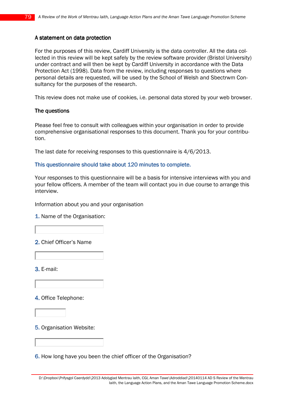### A statement on data protection

For the purposes of this review, Cardiff University is the data controller. All the data collected in this review will be kept safely by the review software provider (Bristol University) under contract and will then be kept by Cardiff University in accordance with the Data Protection Act (1998). Data from the review, including responses to questions where personal details are requested, will be used by the School of Welsh and Sbectrwm Consultancy for the purposes of the research.

This review does not make use of cookies, i.e. personal data stored by your web browser.

#### The questions

Please feel free to consult with colleagues within your organisation in order to provide comprehensive organisational responses to this document. Thank you for your contribution.

The last date for receiving responses to this questionnaire is 4/6/2013.

#### This questionnaire should take about 120 minutes to complete.

Your responses to this questionnaire will be a basis for intensive interviews with you and your fellow officers. A member of the team will contact you in due course to arrange this interview.

Information about you and your organisation

1. Name of the Organisation:

2. Chief Officer's Name

3. E-mail:

4. Office Telephone:

5. Organisation Website:

6. How long have you been the chief officer of the Organisation?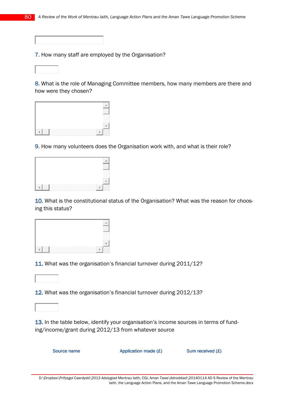7. How many staff are employed by the Organisation?

8. What is the role of Managing Committee members, how many members are there and how were they chosen?



9. How many volunteers does the Organisation work with, and what is their role?



10. What is the constitutional status of the Organisation? What was the reason for choosing this status?



11. What was the organisation's financial turnover during 2011/12?

12. What was the organisation's financial turnover during 2012/13?

13. In the table below, identify your organisation's income sources in terms of funding/income/grant during 2012/13 from whatever source

Source name  $\qquad \qquad \text{Application made } (\pounds) \qquad \qquad \text{Sum received } (\pounds)$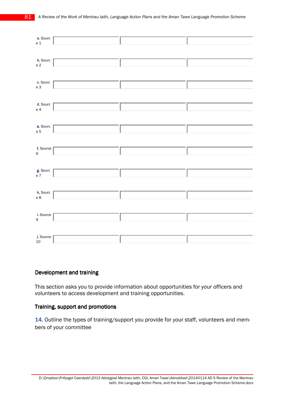

#### Development and training

This section asks you to provide information about opportunities for your officers and volunteers to access development and training opportunities.

#### Training, support and promotions

14. Outline the types of training/support you provide for your staff, volunteers and members of your committee

D:\Dropbox\Prifysgol Caerdydd\2013 Adolygiad Mentrau Iaith, CGI, Aman Tawe\Adroddiad\20140114 AD S Review of the Mentrau Iaith, the Language Action Plans, and the Aman Tawe Language Promotion Scheme.docx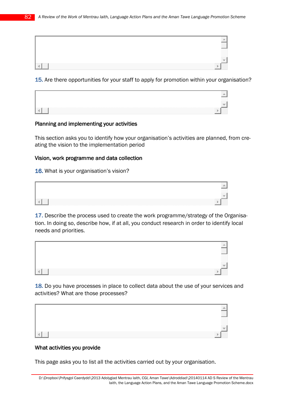|  | __<br>I.      |
|--|---------------|
|  | <br>_________ |
|  |               |

15. Are there opportunities for your staff to apply for promotion within your organisation?

|  | ,,,,,,,,,,,,,,,, | ,,,,,,,,,,,,,,,<br>--------- |
|--|------------------|------------------------------|
|  |                  |                              |
|  |                  |                              |

#### Planning and implementing your activities

This section asks you to identify how your organisation's activities are planned, from creating the vision to the implementation period

#### Vision, work programme and data collection

16. What is your organisation's vision?



17. Describe the process used to create the work programme/strategy of the Organisation. In doing so, describe how, if at all, you conduct research in order to identify local needs and priorities.



18. Do you have processes in place to collect data about the use of your services and activities? What are those processes?



# What activities you provide

This page asks you to list all the activities carried out by your organisation.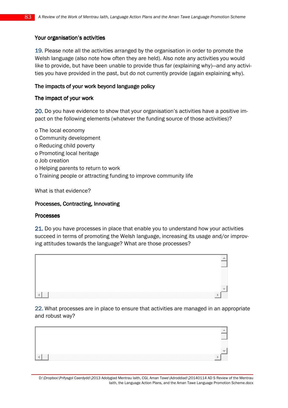#### Your organisation's activities

19. Please note all the activities arranged by the organisation in order to promote the Welsh language (also note how often they are held). Also note any activities you would like to provide, but have been unable to provide thus far (explaining why)—and any activities you have provided in the past, but do not currently provide (again explaining why).

#### The impacts of your work beyond language policy

#### The impact of your work

20. Do you have evidence to show that your organisation's activities have a positive impact on the following elements (whatever the funding source of those activities)?

- o The local economy o Community development o Reducing child poverty o Promoting local heritage
- o Job creation
- o Helping parents to return to work
- o Training people or attracting funding to improve community life

What is that evidence?

#### Processes, Contracting, Innovating

#### **Processes**

21. Do you have processes in place that enable you to understand how your activities succeed in terms of promoting the Welsh language, increasing its usage and/or improving attitudes towards the language? What are those processes?



22. What processes are in place to ensure that activities are managed in an appropriate and robust way?

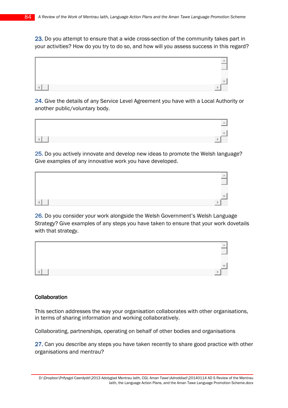23. Do you attempt to ensure that a wide cross-section of the community takes part in your activities? How do you try to do so, and how will you assess success in this regard?



24. Give the details of any Service Level Agreement you have with a Local Authority or another public/voluntary body.



25. Do you actively innovate and develop new ideas to promote the Welsh language? Give examples of any innovative work you have developed.



26. Do you consider your work alongside the Welsh Government's Welsh Language Strategy? Give examples of any steps you have taken to ensure that your work dovetails with that strategy.



#### **Collaboration**

This section addresses the way your organisation collaborates with other organisations, in terms of sharing information and working collaboratively.

Collaborating, partnerships, operating on behalf of other bodies and organisations

27. Can you describe any steps you have taken recently to share good practice with other organisations and mentrau?

D:\Dropbox\Prifysgol Caerdydd\2013 Adolygiad Mentrau Iaith, CGI, Aman Tawe\Adroddiad\20140114 AD S Review of the Mentrau Iaith, the Language Action Plans, and the Aman Tawe Language Promotion Scheme.docx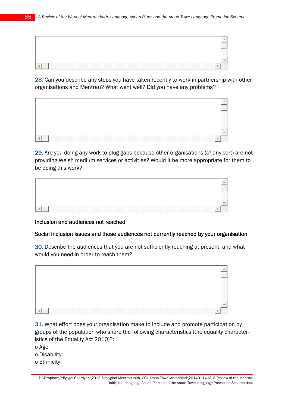| ,,,,,,,,,,,,,,,,<br>- 888 888<br>,,,,,,,,,,,,, |
|------------------------------------------------|
|                                                |
|                                                |

28. Can you describe any steps you have taken recently to work in partnership with other organisations and Mentrau? What went well? Did you have any problems?



29. Are you doing any work to plug gaps because other organisations (of any sort) are not providing Welsh medium services or activities? Would it be more appropriate for them to be doing this work?



#### Inclusion and audiences not reached

#### Social inclusion issues and those audiences not currently reached by your organisation

30. Describe the audiences that you are not sufficiently reaching at present, and what would you need in order to reach them?



31. What effort does your organisation make to include and promote participation by groups of the population who share the following characteristics (the equality characteristics of the Equality Act 2010)?:

- o Age
- o Disability
- o Ethnicity

D:\Dropbox\Prifysgol Caerdydd\2013 Adolygiad Mentrau Iaith, CGI, Aman Tawe\Adroddiad\20140114 AD S Review of the Mentrau Iaith, the Language Action Plans, and the Aman Tawe Language Promotion Scheme.docx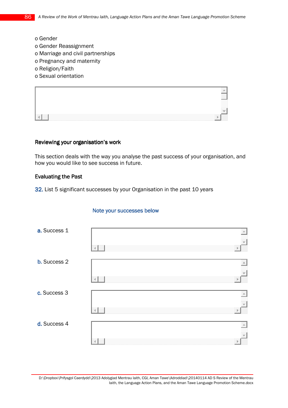- o Gender
- o Gender Reassignment
- o Marriage and civil partnerships
- o Pregnancy and maternity
- o Religion/Faith
- o Sexual orientation



#### Reviewing your organisation's work

This section deals with the way you analyse the past success of your organisation, and how you would like to see success in future.

#### Evaluating the Past

32. List 5 significant successes by your Organisation in the past 10 years

#### Note your successes below

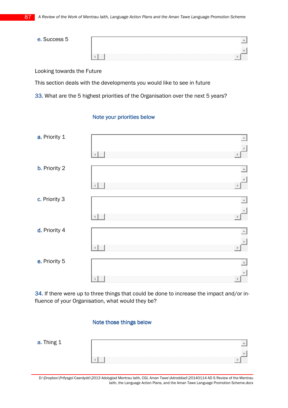| e. Success 5 |                          |
|--------------|--------------------------|
|              | ,,,,,,,,,,<br>,,,,,,,,,, |
|              |                          |

Looking towards the Future

This section deals with the developments you would like to see in future

33. What are the 5 highest priorities of the Organisation over the next 5 years?

### Note your priorities below



34. If there were up to three things that could be done to increase the impact and/or influence of your Organisation, what would they be?

#### Note those things below

| ⊥hinơ 1<br>a.<br>- סייייי |                |  |
|---------------------------|----------------|--|
|                           |                |  |
|                           | .<br>,,,,,,,,, |  |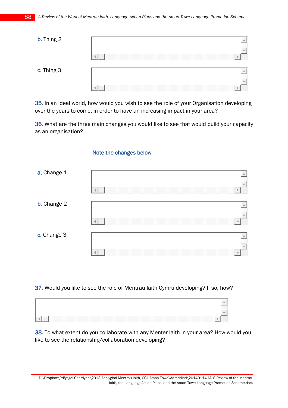| <b>b.</b> Thing 2 |  |
|-------------------|--|
|                   |  |
|                   |  |
| c. Thing 3        |  |
|                   |  |
|                   |  |

35. In an ideal world, how would you wish to see the role of your Organisation developing over the years to come, in order to have an increasing impact in your area?

36. What are the three main changes you would like to see that would build your capacity as an organisation?

#### Note the changes below



37. Would you like to see the role of Mentrau laith Cymru developing? If so, how?



38. To what extent do you collaborate with any Menter laith in your area? How would you like to see the relationship/collaboration developing?

D:\Dropbox\Prifysgol Caerdydd\2013 Adolygiad Mentrau Iaith, CGI, Aman Tawe\Adroddiad\20140114 AD S Review of the Mentrau Iaith, the Language Action Plans, and the Aman Tawe Language Promotion Scheme.docx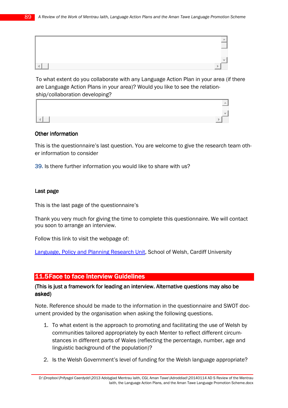|  | ,,,,,,,,,,,,,,,<br>,,,,,,,,,<br> |
|--|----------------------------------|
|  |                                  |
|  |                                  |

To what extent do you collaborate with any Language Action Plan in your area (if there are Language Action Plans in your area)? Would you like to see the relationship/collaboration developing?

|                                      | ,,,,,,,,,,,,,,,,<br>---------<br>,,,,,,,,,,,,,,, |  |
|--------------------------------------|--------------------------------------------------|--|
|                                      |                                                  |  |
| .<br>,,,,,,,,,,,,,,,,,,,,,,,,,,,,,,, |                                                  |  |

#### Other information

This is the questionnaire's last question. You are welcome to give the research team other information to consider

39. Is there further information you would like to share with us?

#### Last page

This is the last page of the questionnaire's

Thank you very much for giving the time to complete this questionnaire. We will contact you soon to arrange an interview.

Follow this link to visit the webpage of:

Language, Policy and Planning Research Unit, School of Welsh, Cardiff University

### 11.5Face to face Interview Guidelines

### (This is just a framework for leading an interview. Alternative questions may also be asked)

Note. Reference should be made to the information in the questionnaire and SWOT document provided by the organisation when asking the following questions.

- 1. To what extent is the approach to promoting and facilitating the use of Welsh by communities tailored appropriately by each Menter to reflect different circumstances in different parts of Wales (reflecting the percentage, number, age and linguistic background of the population)?
- 2. Is the Welsh Government's level of funding for the Welsh language appropriate?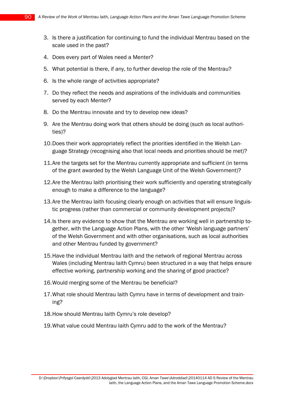- 3. Is there a justification for continuing to fund the individual Mentrau based on the scale used in the past?
- 4. Does every part of Wales need a Menter?
- 5. What potential is there, if any, to further develop the role of the Mentrau?
- 6. Is the whole range of activities appropriate?
- 7. Do they reflect the needs and aspirations of the individuals and communities served by each Menter?
- 8. Do the Mentrau innovate and try to develop new ideas?
- 9. Are the Mentrau doing work that others should be doing (such as local authorities)?
- 10.Does their work appropriately reflect the priorities identified in the Welsh Language Strategy (recognising also that local needs and priorities should be met)?
- 11.Are the targets set for the Mentrau currently appropriate and sufficient (in terms of the grant awarded by the Welsh Language Unit of the Welsh Government)?
- 12. Are the Mentrau laith prioritising their work sufficiently and operating strategically enough to make a difference to the language?
- 13. Are the Mentrau laith focusing clearly enough on activities that will ensure linguistic progress (rather than commercial or community development projects)?
- 14.Is there any evidence to show that the Mentrau are working well in partnership together, with the Language Action Plans, with the other 'Welsh language partners' of the Welsh Government and with other organisations, such as local authorities and other Mentrau funded by government?
- 15.Have the individual Mentrau Iaith and the network of regional Mentrau across Wales (including Mentrau laith Cymru) been structured in a way that helps ensure effective working, partnership working and the sharing of good practice?
- 16.Would merging some of the Mentrau be beneficial?
- 17.What role should Mentrau Iaith Cymru have in terms of development and training?
- 18.How should Mentrau Iaith Cymru's role develop?
- 19.What value could Mentrau Iaith Cymru add to the work of the Mentrau?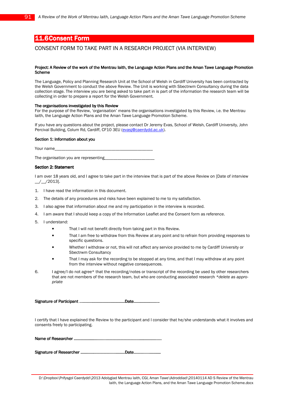## 11.6Consent Form

#### CONSENT FORM TO TAKE PART IN A RESEARCH PROJECT (VIA INTERVIEW)

#### Project: A Review of the work of the Mentrau Iaith, the Language Action Plans and the Aman Tawe Language Promotion **Scheme**

The Language, Policy and Planning Research Unit at the School of Welsh in Cardiff University has been contracted by the Welsh Government to conduct the above Review. The Unit is working with Sbectrwm Consultancy during the data collection stage. The interview you are being asked to take part in is part of the information the research team will be collecting in order to prepare a report for the Welsh Government.

#### The organisations investigated by this Review

For the purpose of the Review, 'organisation' means the organisations investigated by this Review, i.e. the Mentrau Iaith, the Language Action Plans and the Aman Tawe Language Promotion Scheme.

If you have any questions about the project, please contact Dr Jeremy Evas, School of Welsh, Cardiff University, John Percival Building, Colum Rd, Cardiff, CF10 3EU (evasj@caerdydd.ac.uk).

#### Section 1: Information about you

Your name

The organisation you are representing

#### Section 2: Statement

I am over 18 years old, and I agree to take part in the interview that is part of the above Review on [Date of interview \_\_/\_\_/2013].

- 1. I have read the information in this document.
- 2. The details of any procedures and risks have been explained to me to my satisfaction.
- 3. I also agree that information about me and my participation in the interview is recorded.
- 4. I am aware that I should keep a copy of the Information Leaflet and the Consent form as reference.
- 5. I understand:
	- That I will not benefit directly from taking part in this Review.
	- That I am free to withdraw from this Review at any point and to refrain from providing responses to specific questions.
	- Whether I withdraw or not, this will not affect any service provided to me by Cardiff University or Sbectrwm Consultancy
	- That I may ask for the recording to be stopped at any time, and that I may withdraw at any point from the interview without negative consequences.
- 6. I agree/I do not agree\* that the recording/notes or transcript of the recording be used by other researchers that are not members of the research team, but who are conducting associated research \*delete as appropriate

Signature of Participant …………………………………… ……………………………………Date…………………... …………………...…………………...

I certify that I have explained the Review to the participant and I consider that he/she understands what it involves and consents freely to participating.

Name of Researcher ………………………………….…………………….......... ………………………………….……………………................. ………………………………….……………………................. .......

Signature of Researcher ………………………………….. Researcher …………………………………..…………………………………..Date……………………. …………………….…………………….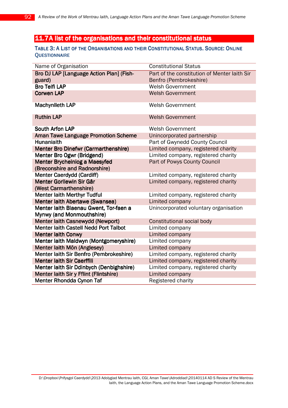# 11.7A list of the organisations and their constitutional status

### TABLE 3: A LIST OF THE ORGANISATIONS AND THEIR CONSTITUTIONAL STATUS. SOURCE: ONLINE **QUESTIONNAIRE**

| Name of Organisation                         | <b>Constitutional Status</b>                 |
|----------------------------------------------|----------------------------------------------|
| Bro DJ LAP [Language Action Plan] (Fish-     | Part of the constitution of Menter laith Sir |
| guard)                                       | Benfro (Pembrokeshire)                       |
| <b>Bro Teifi LAP</b>                         | <b>Welsh Government</b>                      |
| <b>Corwen LAP</b>                            | <b>Welsh Government</b>                      |
|                                              |                                              |
| <b>Machynlleth LAP</b>                       | <b>Welsh Government</b>                      |
| <b>Ruthin LAP</b>                            | <b>Welsh Government</b>                      |
|                                              |                                              |
| <b>South Arfon LAP</b>                       | <b>Welsh Government</b>                      |
| <b>Aman Tawe Language Promotion Scheme</b>   | Unincorporated partnership                   |
| <b>Hunaniaith</b>                            | Part of Gwynedd County Council               |
| <b>Menter Bro Dinefwr (Carmarthenshire)</b>  | Limited company, registered charity          |
| Menter Bro Ogwr (Bridgend)                   | Limited company, registered charity          |
| <b>Menter Brycheiniog a Maesyfed</b>         | Part of Powys County Council                 |
| (Breconshire and Radnorshire)                |                                              |
| <b>Menter Caerdydd (Cardiff)</b>             | Limited company, registered charity          |
| Menter Gorllewin Sir Gâr                     | Limited company, registered charity          |
| (West Carmarthenshire)                       |                                              |
| <b>Menter laith Merthyr Tudful</b>           | Limited company, registered charity          |
| Menter laith Abertawe (Swansea)              | Limited company                              |
| Menter laith Blaenau Gwent, Tor-faen a       | Unincorporated voluntary organisation        |
| Mynwy (and Monmouthshire)                    |                                              |
| Menter laith Casnewydd (Newport)             | Constitutional social body                   |
| <b>Menter laith Castell Nedd Port Talbot</b> | Limited company                              |
| <b>Menter laith Conwy</b>                    | Limited company                              |
| Menter laith Maldwyn (Montgomeryshire)       | Limited company                              |
| Menter laith Môn (Anglesey)                  | Limited company                              |
| Menter laith Sir Benfro (Pembrokeshire)      | Limited company, registered charity          |
| <b>Menter laith Sir Caerffili</b>            | Limited company, registered charity          |
| Menter laith Sir Ddinbych (Denbighshire)     | Limited company, registered charity          |
| Menter laith Sir y Fflint (Flintshire)       | Limited company                              |
| Menter Rhondda Cynon Taf                     | Registered charity                           |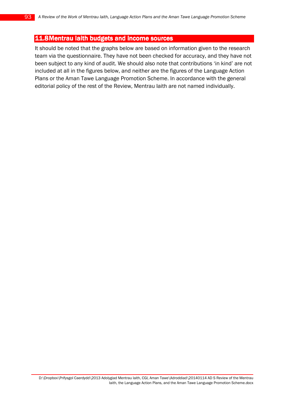# 11.8Mentrau laith budgets and income sources

It should be noted that the graphs below are based on information given to the research team via the questionnaire. They have not been checked for accuracy, and they have not been subject to any kind of audit. We should also note that contributions 'in kind' are not included at all in the figures below, and neither are the figures of the Language Action Plans or the Aman Tawe Language Promotion Scheme. In accordance with the general editorial policy of the rest of the Review, Mentrau Iaith are not named individually.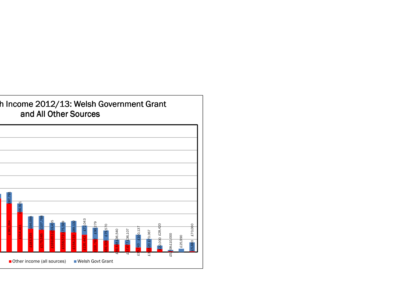

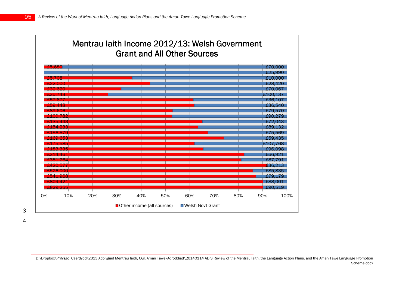|        |       |     |     |                            |     | <b>Grant and All Other Sources</b> | Mentrau laith Income 2012/13: Welsh Government |     |         |         |
|--------|-------|-----|-----|----------------------------|-----|------------------------------------|------------------------------------------------|-----|---------|---------|
| £5.680 |       |     |     |                            |     |                                    |                                                |     |         | £70.000 |
|        |       |     |     |                            |     |                                    |                                                |     |         | £25.990 |
| £5 708 |       |     |     |                            |     |                                    |                                                |     | £10.000 |         |
|        |       |     |     |                            |     |                                    |                                                |     | £28.421 |         |
|        |       |     |     |                            |     |                                    |                                                |     | + 70    |         |
|        |       |     |     |                            |     |                                    |                                                |     |         |         |
|        |       |     |     |                            |     |                                    |                                                |     | £36.10  |         |
|        |       |     |     |                            |     |                                    |                                                |     | £36.540 |         |
|        | 606   |     |     |                            |     |                                    |                                                |     | £79.57( |         |
|        |       |     |     |                            |     |                                    |                                                |     |         | £90.279 |
|        |       |     |     |                            |     |                                    |                                                |     | £72.04. |         |
|        |       |     |     |                            |     |                                    |                                                |     | £89     |         |
|        | 56579 |     |     |                            |     |                                    |                                                |     |         | £75.569 |
|        |       |     |     |                            |     |                                    |                                                |     | £59     |         |
|        | طقطط  |     |     |                            |     |                                    |                                                |     | 51 O    | 768     |
|        | 3. S. |     |     |                            |     |                                    |                                                |     |         | £96.098 |
|        |       |     |     |                            |     |                                    |                                                |     | £66.9   |         |
|        |       |     |     |                            |     |                                    |                                                |     | £8      |         |
|        | in.   |     |     |                            |     |                                    |                                                |     |         | 136.213 |
|        | -00   |     |     |                            |     |                                    |                                                |     |         | £85.835 |
|        | -968  |     |     |                            |     |                                    |                                                |     |         |         |
| 209 42 |       |     |     |                            |     |                                    |                                                |     | £88.00  |         |
|        | 255   |     |     |                            |     |                                    |                                                |     |         | £90.519 |
| 0%     | 10%   | 20% | 30% | 40%                        | 50% | 60%                                | 70%                                            | 80% | 90%     | 100%    |
|        |       |     |     | Other income (all sources) |     | ■ Welsh Govt Grant                 |                                                |     |         |         |

3

4

D:\Dropbox\Prifysgol Caerdydd\2013 Adolygiad Mentrau Iaith, CGI, Aman Tawe\Adroddiad\20140114 AD S Review of the Mentrau Iaith, the Language Action Plans, and the Aman Tawe Language Promotion Scheme.docx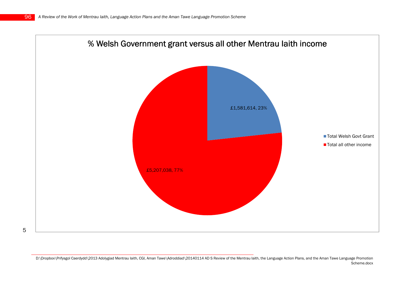

D:\Dropbox\Prifysgol Caerdydd\2013 Adolygiad Mentrau Iaith, CGI, Aman Tawe\Adroddiad\20140114 AD S Review of the Mentrau Iaith, the Language Action Plans, and the Aman Tawe Language Promotion Scheme.docx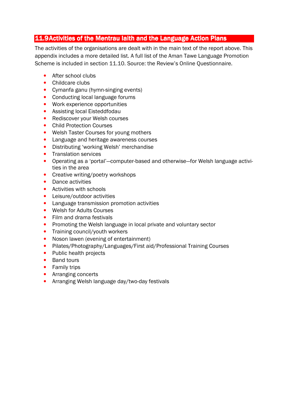# 11.9Activities of the Mentrau laith and the Language Action Plans

The activities of the organisations are dealt with in the main text of the report above. This appendix includes a more detailed list. A full list of the Aman Tawe Language Promotion Scheme is included in section 11.10. Source: the Review's Online Questionnaire.

- After school clubs
- Childcare clubs
- Cymanfa ganu (hymn-singing events)
- Conducting local language forums
- Work experience opportunities
- Assisting local Eisteddfodau
- Rediscover your Welsh courses
- Child Protection Courses
- Welsh Taster Courses for young mothers
- Language and heritage awareness courses
- Distributing 'working Welsh' merchandise
- Translation services
- Operating as a 'portal'—computer-based and otherwise—for Welsh language activities in the area
- Creative writing/poetry workshops
- Dance activities
- Activities with schools
- Leisure/outdoor activities
- Language transmission promotion activities
- Welsh for Adults Courses
- Film and drama festivals
- Promoting the Welsh language in local private and voluntary sector
- Training council/youth workers
- Noson lawen (evening of entertainment)
- Pilates/Photography/Languages/First aid/Professional Training Courses
- Public health projects
- Band tours
- Family trips
- Arranging concerts
- Arranging Welsh language day/two-day festivals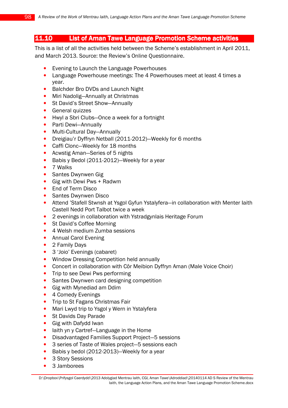# 11.10 List of Aman Tawe Language Promotion Scheme activities

This is a list of all the activities held between the Scheme's establishment in April 2011, and March 2013. Source: the Review's Online Questionnaire.

- Evening to Launch the Language Powerhouses
- Language Powerhouse meetings: The 4 Powerhouses meet at least 4 times a year.
- Balchder Bro DVDs and Launch Night
- Miri Nadolig-Annually at Christmas
- St David's Street Show—Annually
- General quizzes
- Hwyl a Sbri Clubs—Once a week for a fortnight
- Parti Dewi—Annually
- Multi-Cultural Day-Annually
- Dreigiau'r Dyffryn Netball (2011-2012)—Weekly for 6 months
- Caffi Clonc—Weekly for 18 months
- Acwstig Aman–Series of 5 nights
- Babis y Bedol (2011-2012)—Weekly for a year
- 7 Walks
- Santes Dwynwen Gig
- Gig with Dewi Pws + Radwm
- End of Term Disco
- Santes Dwynwen Disco
- Attend 'Stafell Stwnsh at Ysgol Gyfun Ystalyfera—in collaboration with Menter Iaith Castell Nedd Port Talbot twice a week
- 2 evenings in collaboration with Ystradgynlais Heritage Forum
- St David's Coffee Morning
- 4 Welsh medium Zumba sessions
- Annual Carol Evening
- 2 Family Days
- 3 'Joio' Evenings (cabaret)
- Window Dressing Competition held annually
- Concert in collaboration with Côr Meibion Dyffryn Aman (Male Voice Choir)
- Trip to see Dewi Pws performing
- Santes Dwynwen card designing competition
- Gig with Mynediad am Ddim
- 4 Comedy Evenings
- Trip to St Fagans Christmas Fair
- Mari Lwyd trip to Ysgol y Wern in Ystalyfera
- St Davids Day Parade
- Gig with Dafydd Iwan
- laith yn y Cartref-Language in the Home
- Disadvantaged Families Support Project—5 sessions
- 3 series of Taste of Wales project—5 sessions each
- Babis y bedol (2012-2013)—Weekly for a year
- 3 Story Sessions
- 3 Jamborees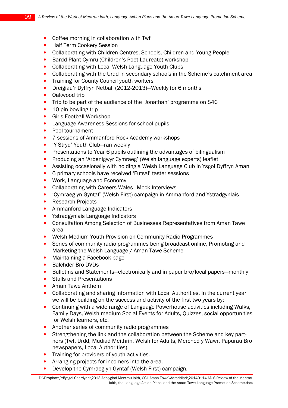- Coffee morning in collaboration with Twf
- Half Term Cookery Session
- Collaborating with Children Centres, Schools, Children and Young People
- Bardd Plant Cymru (Children's Poet Laureate) workshop
- Collaborating with Local Welsh Language Youth Clubs
- Collaborating with the Urdd in secondary schools in the Scheme's catchment area
- Training for County Council youth workers
- Dreigiau'r Dyffryn Netball (2012-2013)—Weekly for 6 months
- Oakwood trip
- Trip to be part of the audience of the 'Jonathan' programme on S4C
- 10 pin bowling trip
- Girls Football Workshop
- Language Awareness Sessions for school pupils
- Pool tournament
- 7 sessions of Ammanford Rock Academy workshops
- 'Y Stryd' Youth Club—ran weekly
- Presentations to Year 6 pupils outlining the advantages of bilingualism
- Producing an 'Arbenigwyr Cymraeg' (Welsh language experts) leaflet
- Assisting occasionally with holding a Welsh Language Club in Ysgol Dyffryn Aman
- 6 primary schools have received 'Futsal' taster sessions
- Work, Language and Economy
- Collaborating with Careers Wales—Mock Interviews
- 'Cymraeg yn Gyntaf' (Welsh First) campaign in Ammanford and Ystradgynlais
- Research Projects
- Ammanford Language Indicators
- Ystradgynlais Language Indicators
- Consultation Among Selection of Businesses Representatives from Aman Tawe area
- Welsh Medium Youth Provision on Community Radio Programmes
- Series of community radio programmes being broadcast online, Promoting and Marketing the Welsh Language / Aman Tawe Scheme
- Maintaining a Facebook page
- Balchder Bro DVDs
- Bulletins and Statements—electronically and in papur bro/local papers—monthly
- Stalls and Presentations
- Aman Tawe Anthem
- Collaborating and sharing information with Local Authorities. In the current year we will be building on the success and activity of the first two years by:
- Continuing with a wide range of Language Powerhouse activities including Walks, Family Days, Welsh medium Social Events for Adults, Quizzes, social opportunities for Welsh learners, etc.
- Another series of community radio programmes
- Strengthening the link and the collaboration between the Scheme and key partners (Twf, Urdd, Mudiad Meithrin, Welsh for Adults, Merched y Wawr, Papurau Bro newspapers, Local Authorities).
- Training for providers of youth activities.
- Arranging projects for incomers into the area.
- Develop the Cymraeg yn Gyntaf (Welsh First) campaign.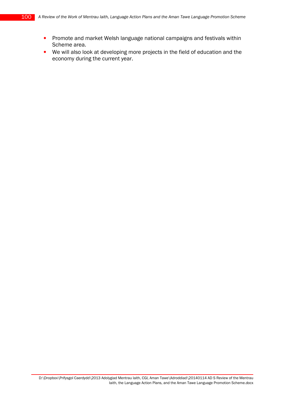- Promote and market Welsh language national campaigns and festivals within Scheme area.
- We will also look at developing more projects in the field of education and the economy during the current year.